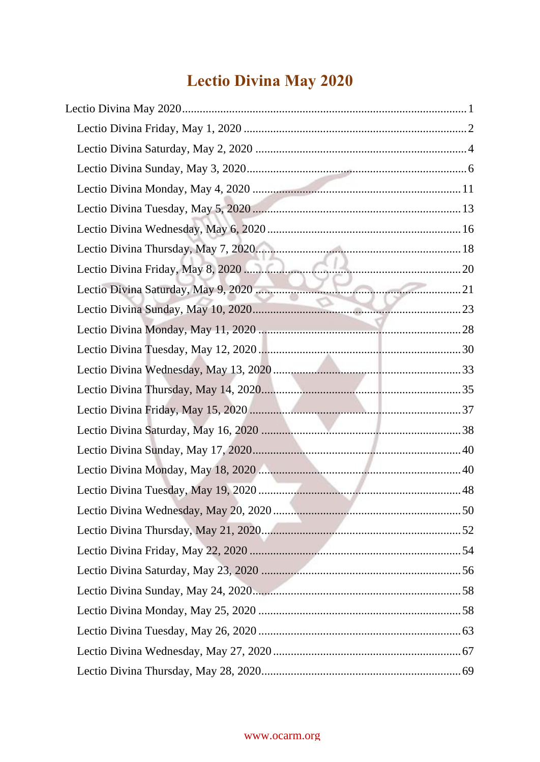# **Lectio Divina May 2020**

<span id="page-0-0"></span>

#### www.ocarm.org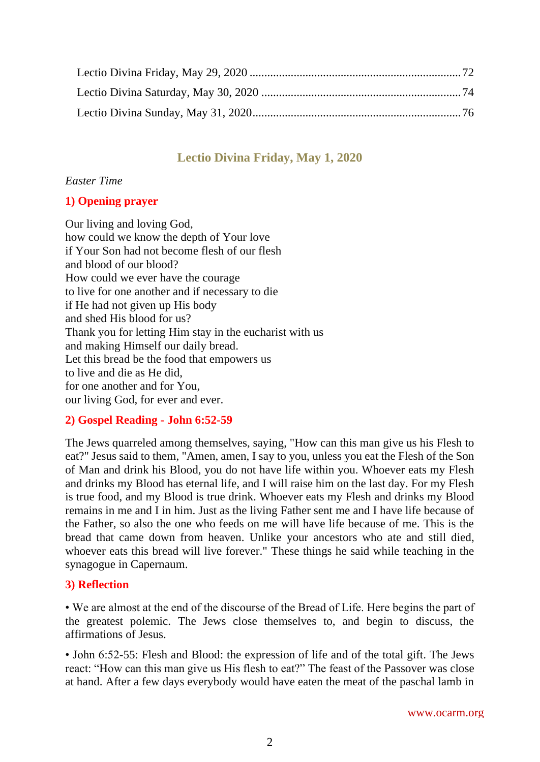# **Lectio Divina Friday, May 1, 2020**

# <span id="page-1-0"></span>*Easter Time*

# **1) Opening prayer**

Our living and loving God, how could we know the depth of Your love if Your Son had not become flesh of our flesh and blood of our blood? How could we ever have the courage to live for one another and if necessary to die if He had not given up His body and shed His blood for us? Thank you for letting Him stay in the eucharist with us and making Himself our daily bread. Let this bread be the food that empowers us to live and die as He did, for one another and for You, our living God, for ever and ever.

# **2) Gospel Reading - John 6:52-59**

The Jews quarreled among themselves, saying, "How can this man give us his Flesh to eat?" Jesus said to them, "Amen, amen, I say to you, unless you eat the Flesh of the Son of Man and drink his Blood, you do not have life within you. Whoever eats my Flesh and drinks my Blood has eternal life, and I will raise him on the last day. For my Flesh is true food, and my Blood is true drink. Whoever eats my Flesh and drinks my Blood remains in me and I in him. Just as the living Father sent me and I have life because of the Father, so also the one who feeds on me will have life because of me. This is the bread that came down from heaven. Unlike your ancestors who ate and still died, whoever eats this bread will live forever." These things he said while teaching in the synagogue in Capernaum.

# **3) Reflection**

• We are almost at the end of the discourse of the Bread of Life. Here begins the part of the greatest polemic. The Jews close themselves to, and begin to discuss, the affirmations of Jesus.

• John 6:52-55: Flesh and Blood: the expression of life and of the total gift. The Jews react: "How can this man give us His flesh to eat?" The feast of the Passover was close at hand. After a few days everybody would have eaten the meat of the paschal lamb in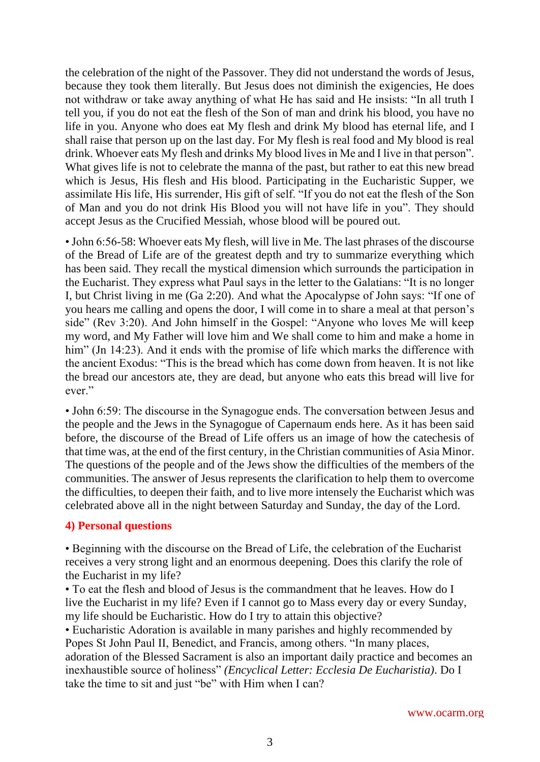the celebration of the night of the Passover. They did not understand the words of Jesus, because they took them literally. But Jesus does not diminish the exigencies, He does not withdraw or take away anything of what He has said and He insists: "In all truth I tell you, if you do not eat the flesh of the Son of man and drink his blood, you have no life in you. Anyone who does eat My flesh and drink My blood has eternal life, and I shall raise that person up on the last day. For My flesh is real food and My blood is real drink. Whoever eats My flesh and drinks My blood lives in Me and I live in that person". What gives life is not to celebrate the manna of the past, but rather to eat this new bread which is Jesus, His flesh and His blood. Participating in the Eucharistic Supper, we assimilate His life, His surrender, His gift of self. "If you do not eat the flesh of the Son of Man and you do not drink His Blood you will not have life in you". They should accept Jesus as the Crucified Messiah, whose blood will be poured out.

• John 6:56-58: Whoever eats My flesh, will live in Me. The last phrases of the discourse of the Bread of Life are of the greatest depth and try to summarize everything which has been said. They recall the mystical dimension which surrounds the participation in the Eucharist. They express what Paul says in the letter to the Galatians: "It is no longer I, but Christ living in me (Ga 2:20). And what the Apocalypse of John says: "If one of you hears me calling and opens the door, I will come in to share a meal at that person's side" (Rev 3:20). And John himself in the Gospel: "Anyone who loves Me will keep my word, and My Father will love him and We shall come to him and make a home in him" (Jn 14:23). And it ends with the promise of life which marks the difference with the ancient Exodus: "This is the bread which has come down from heaven. It is not like the bread our ancestors ate, they are dead, but anyone who eats this bread will live for ever."

• John 6:59: The discourse in the Synagogue ends. The conversation between Jesus and the people and the Jews in the Synagogue of Capernaum ends here. As it has been said before, the discourse of the Bread of Life offers us an image of how the catechesis of that time was, at the end of the first century, in the Christian communities of Asia Minor. The questions of the people and of the Jews show the difficulties of the members of the communities. The answer of Jesus represents the clarification to help them to overcome the difficulties, to deepen their faith, and to live more intensely the Eucharist which was celebrated above all in the night between Saturday and Sunday, the day of the Lord.

# **4) Personal questions**

• Beginning with the discourse on the Bread of Life, the celebration of the Eucharist receives a very strong light and an enormous deepening. Does this clarify the role of the Eucharist in my life?

• To eat the flesh and blood of Jesus is the commandment that he leaves. How do I live the Eucharist in my life? Even if I cannot go to Mass every day or every Sunday, my life should be Eucharistic. How do I try to attain this objective?

• Eucharistic Adoration is available in many parishes and highly recommended by Popes St John Paul II, Benedict, and Francis, among others. "In many places, adoration of the Blessed Sacrament is also an important daily practice and becomes an inexhaustible source of holiness" *(Encyclical Letter: Ecclesia De Eucharistia)*. Do I take the time to sit and just "be" with Him when I can?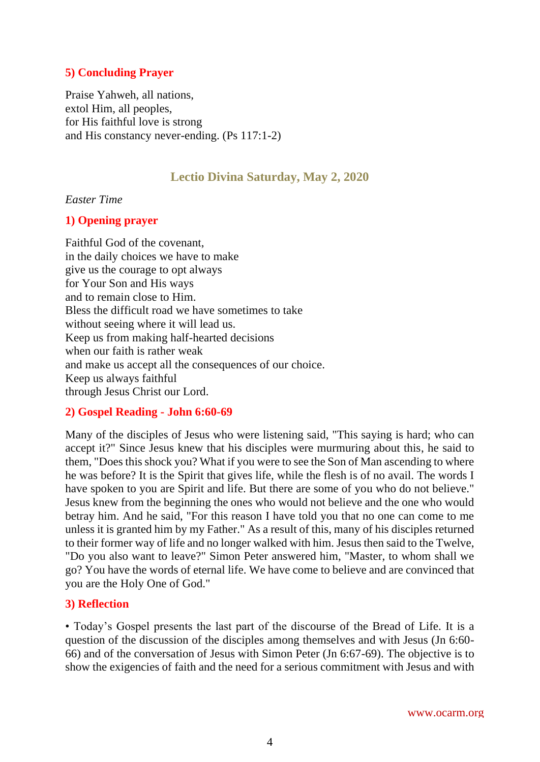# **5) Concluding Prayer**

Praise Yahweh, all nations, extol Him, all peoples, for His faithful love is strong and His constancy never-ending. (Ps 117:1-2)

# **Lectio Divina Saturday, May 2, 2020**

#### <span id="page-3-0"></span>*Easter Time*

### **1) Opening prayer**

Faithful God of the covenant, in the daily choices we have to make give us the courage to opt always for Your Son and His ways and to remain close to Him. Bless the difficult road we have sometimes to take without seeing where it will lead us. Keep us from making half-hearted decisions when our faith is rather weak and make us accept all the consequences of our choice. Keep us always faithful through Jesus Christ our Lord.

#### **2) Gospel Reading - John 6:60-69**

Many of the disciples of Jesus who were listening said, "This saying is hard; who can accept it?" Since Jesus knew that his disciples were murmuring about this, he said to them, "Does this shock you? What if you were to see the Son of Man ascending to where he was before? It is the Spirit that gives life, while the flesh is of no avail. The words I have spoken to you are Spirit and life. But there are some of you who do not believe." Jesus knew from the beginning the ones who would not believe and the one who would betray him. And he said, "For this reason I have told you that no one can come to me unless it is granted him by my Father." As a result of this, many of his disciples returned to their former way of life and no longer walked with him. Jesus then said to the Twelve, "Do you also want to leave?" Simon Peter answered him, "Master, to whom shall we go? You have the words of eternal life. We have come to believe and are convinced that you are the Holy One of God."

#### **3) Reflection**

• Today's Gospel presents the last part of the discourse of the Bread of Life. It is a question of the discussion of the disciples among themselves and with Jesus (Jn 6:60- 66) and of the conversation of Jesus with Simon Peter (Jn 6:67-69). The objective is to show the exigencies of faith and the need for a serious commitment with Jesus and with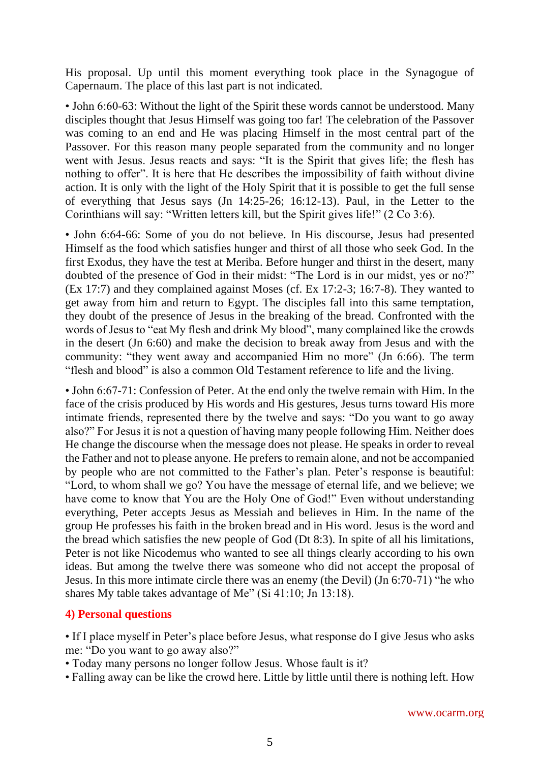His proposal. Up until this moment everything took place in the Synagogue of Capernaum. The place of this last part is not indicated.

• John 6:60-63: Without the light of the Spirit these words cannot be understood. Many disciples thought that Jesus Himself was going too far! The celebration of the Passover was coming to an end and He was placing Himself in the most central part of the Passover. For this reason many people separated from the community and no longer went with Jesus. Jesus reacts and says: "It is the Spirit that gives life; the flesh has nothing to offer". It is here that He describes the impossibility of faith without divine action. It is only with the light of the Holy Spirit that it is possible to get the full sense of everything that Jesus says (Jn 14:25-26; 16:12-13). Paul, in the Letter to the Corinthians will say: "Written letters kill, but the Spirit gives life!" (2 Co 3:6).

• John 6:64-66: Some of you do not believe. In His discourse, Jesus had presented Himself as the food which satisfies hunger and thirst of all those who seek God. In the first Exodus, they have the test at Meriba. Before hunger and thirst in the desert, many doubted of the presence of God in their midst: "The Lord is in our midst, yes or no?" (Ex 17:7) and they complained against Moses (cf. Ex 17:2-3; 16:7-8). They wanted to get away from him and return to Egypt. The disciples fall into this same temptation, they doubt of the presence of Jesus in the breaking of the bread. Confronted with the words of Jesus to "eat My flesh and drink My blood", many complained like the crowds in the desert (Jn 6:60) and make the decision to break away from Jesus and with the community: "they went away and accompanied Him no more" (Jn 6:66). The term "flesh and blood" is also a common Old Testament reference to life and the living.

• John 6:67-71: Confession of Peter. At the end only the twelve remain with Him. In the face of the crisis produced by His words and His gestures, Jesus turns toward His more intimate friends, represented there by the twelve and says: "Do you want to go away also?" For Jesus it is not a question of having many people following Him. Neither does He change the discourse when the message does not please. He speaks in order to reveal the Father and not to please anyone. He prefers to remain alone, and not be accompanied by people who are not committed to the Father's plan. Peter's response is beautiful: "Lord, to whom shall we go? You have the message of eternal life, and we believe; we have come to know that You are the Holy One of God!" Even without understanding everything, Peter accepts Jesus as Messiah and believes in Him. In the name of the group He professes his faith in the broken bread and in His word. Jesus is the word and the bread which satisfies the new people of God (Dt 8:3). In spite of all his limitations, Peter is not like Nicodemus who wanted to see all things clearly according to his own ideas. But among the twelve there was someone who did not accept the proposal of Jesus. In this more intimate circle there was an enemy (the Devil) (Jn 6:70-71) "he who shares My table takes advantage of Me" (Si 41:10; Jn 13:18).

#### **4) Personal questions**

• If I place myself in Peter's place before Jesus, what response do I give Jesus who asks me: "Do you want to go away also?"

- Today many persons no longer follow Jesus. Whose fault is it?
- Falling away can be like the crowd here. Little by little until there is nothing left. How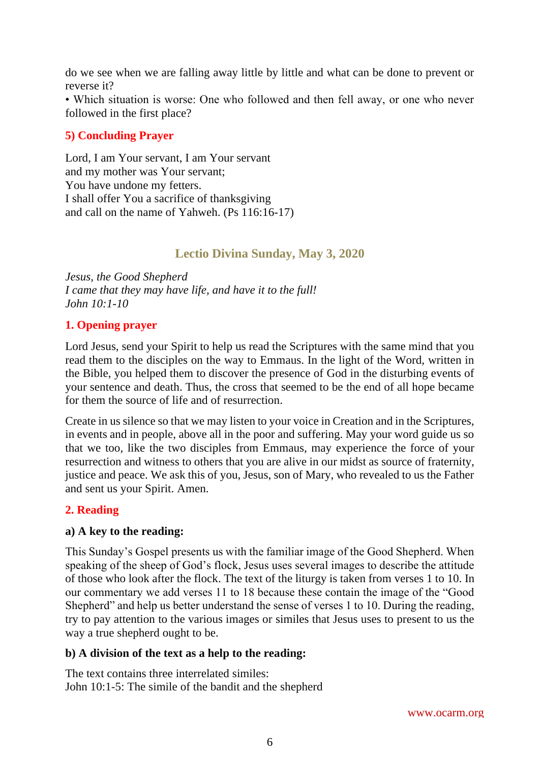do we see when we are falling away little by little and what can be done to prevent or reverse it?

• Which situation is worse: One who followed and then fell away, or one who never followed in the first place?

# **5) Concluding Prayer**

Lord, I am Your servant, I am Your servant and my mother was Your servant; You have undone my fetters. I shall offer You a sacrifice of thanksgiving and call on the name of Yahweh. (Ps 116:16-17)

# **Lectio Divina Sunday, May 3, 2020**

<span id="page-5-0"></span>*Jesus, the Good Shepherd I came that they may have life, and have it to the full! John 10:1-10*

### **1. Opening prayer**

Lord Jesus, send your Spirit to help us read the Scriptures with the same mind that you read them to the disciples on the way to Emmaus. In the light of the Word, written in the Bible, you helped them to discover the presence of God in the disturbing events of your sentence and death. Thus, the cross that seemed to be the end of all hope became for them the source of life and of resurrection.

Create in us silence so that we may listen to your voice in Creation and in the Scriptures, in events and in people, above all in the poor and suffering. May your word guide us so that we too, like the two disciples from Emmaus, may experience the force of your resurrection and witness to others that you are alive in our midst as source of fraternity, justice and peace. We ask this of you, Jesus, son of Mary, who revealed to us the Father and sent us your Spirit. Amen.

# **2. Reading**

# **a) A key to the reading:**

This Sunday's Gospel presents us with the familiar image of the Good Shepherd. When speaking of the sheep of God's flock, Jesus uses several images to describe the attitude of those who look after the flock. The text of the liturgy is taken from verses 1 to 10. In our commentary we add verses 11 to 18 because these contain the image of the "Good Shepherd" and help us better understand the sense of verses 1 to 10. During the reading, try to pay attention to the various images or similes that Jesus uses to present to us the way a true shepherd ought to be.

# **b) A division of the text as a help to the reading:**

The text contains three interrelated similes: John 10:1-5: The simile of the bandit and the shepherd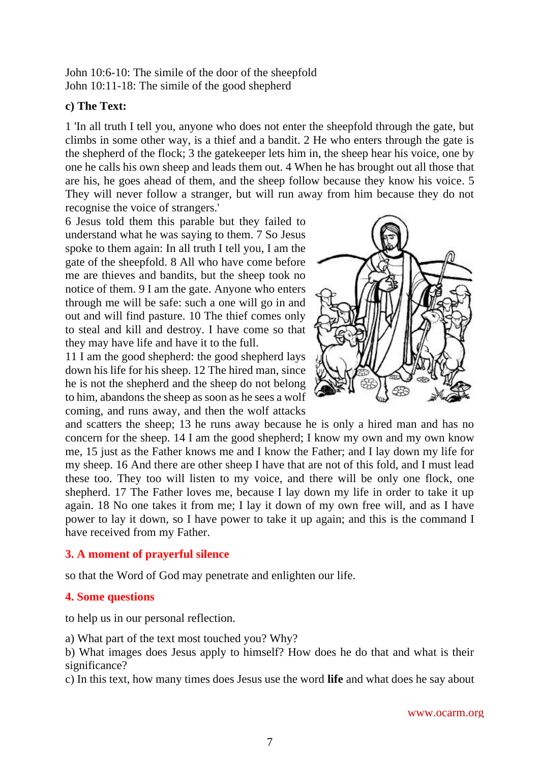John 10:6-10: The simile of the door of the sheepfold John 10:11-18: The simile of the good shepherd

# **c) The Text:**

1 'In all truth I tell you, anyone who does not enter the sheepfold through the gate, but climbs in some other way, is a thief and a bandit. 2 He who enters through the gate is the shepherd of the flock; 3 the gatekeeper lets him in, the sheep hear his voice, one by one he calls his own sheep and leads them out. 4 When he has brought out all those that are his, he goes ahead of them, and the sheep follow because they know his voice. 5 They will never follow a stranger, but will run away from him because they do not recognise the voice of strangers.'

6 Jesus told them this parable but they failed to understand what he was saying to them. 7 So Jesus spoke to them again: In all truth I tell you, I am the gate of the sheepfold. 8 All who have come before me are thieves and bandits, but the sheep took no notice of them. 9 I am the gate. Anyone who enters through me will be safe: such a one will go in and out and will find pasture. 10 The thief comes only to steal and kill and destroy. I have come so that they may have life and have it to the full.

11 I am the good shepherd: the good shepherd lays down his life for his sheep. 12 The hired man, since he is not the shepherd and the sheep do not belong to him, abandons the sheep as soon as he sees a wolf coming, and runs away, and then the wolf attacks



and scatters the sheep; 13 he runs away because he is only a hired man and has no concern for the sheep. 14 I am the good shepherd; I know my own and my own know me, 15 just as the Father knows me and I know the Father; and I lay down my life for my sheep. 16 And there are other sheep I have that are not of this fold, and I must lead these too. They too will listen to my voice, and there will be only one flock, one shepherd. 17 The Father loves me, because I lay down my life in order to take it up again. 18 No one takes it from me; I lay it down of my own free will, and as I have power to lay it down, so I have power to take it up again; and this is the command I have received from my Father.

# **3. A moment of prayerful silence**

so that the Word of God may penetrate and enlighten our life.

# **4. Some questions**

to help us in our personal reflection.

a) What part of the text most touched you? Why?

b) What images does Jesus apply to himself? How does he do that and what is their significance?

c) In this text, how many times does Jesus use the word **life** and what does he say about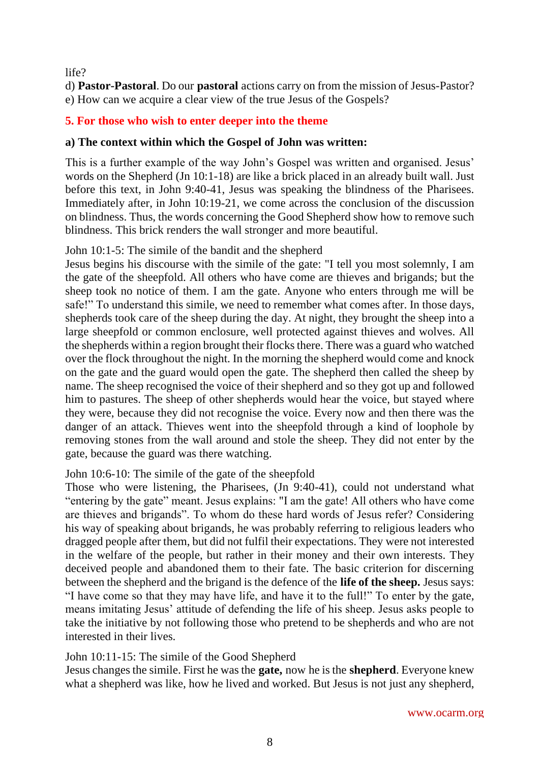life?

d) **Pastor-Pastoral**. Do our **pastoral** actions carry on from the mission of Jesus-Pastor? e) How can we acquire a clear view of the true Jesus of the Gospels?

# **5. For those who wish to enter deeper into the theme**

# **a) The context within which the Gospel of John was written:**

This is a further example of the way John's Gospel was written and organised. Jesus' words on the Shepherd (Jn 10:1-18) are like a brick placed in an already built wall. Just before this text, in John 9:40-41, Jesus was speaking the blindness of the Pharisees. Immediately after, in John 10:19-21, we come across the conclusion of the discussion on blindness. Thus, the words concerning the Good Shepherd show how to remove such blindness. This brick renders the wall stronger and more beautiful.

John 10:1-5: The simile of the bandit and the shepherd

Jesus begins his discourse with the simile of the gate: "I tell you most solemnly, I am the gate of the sheepfold. All others who have come are thieves and brigands; but the sheep took no notice of them. I am the gate. Anyone who enters through me will be safe!" To understand this simile, we need to remember what comes after. In those days, shepherds took care of the sheep during the day. At night, they brought the sheep into a large sheepfold or common enclosure, well protected against thieves and wolves. All the shepherds within a region brought their flocks there. There was a guard who watched over the flock throughout the night. In the morning the shepherd would come and knock on the gate and the guard would open the gate. The shepherd then called the sheep by name. The sheep recognised the voice of their shepherd and so they got up and followed him to pastures. The sheep of other shepherds would hear the voice, but stayed where they were, because they did not recognise the voice. Every now and then there was the danger of an attack. Thieves went into the sheepfold through a kind of loophole by removing stones from the wall around and stole the sheep. They did not enter by the gate, because the guard was there watching.

John 10:6-10: The simile of the gate of the sheepfold

Those who were listening, the Pharisees, (Jn 9:40-41), could not understand what "entering by the gate" meant. Jesus explains: "I am the gate! All others who have come are thieves and brigands". To whom do these hard words of Jesus refer? Considering his way of speaking about brigands, he was probably referring to religious leaders who dragged people after them, but did not fulfil their expectations. They were not interested in the welfare of the people, but rather in their money and their own interests. They deceived people and abandoned them to their fate. The basic criterion for discerning between the shepherd and the brigand is the defence of the **life of the sheep.** Jesus says: "I have come so that they may have life, and have it to the full!" To enter by the gate, means imitating Jesus' attitude of defending the life of his sheep. Jesus asks people to take the initiative by not following those who pretend to be shepherds and who are not interested in their lives.

John 10:11-15: The simile of the Good Shepherd

Jesus changes the simile. First he was the **gate,** now he is the **shepherd**. Everyone knew what a shepherd was like, how he lived and worked. But Jesus is not just any shepherd,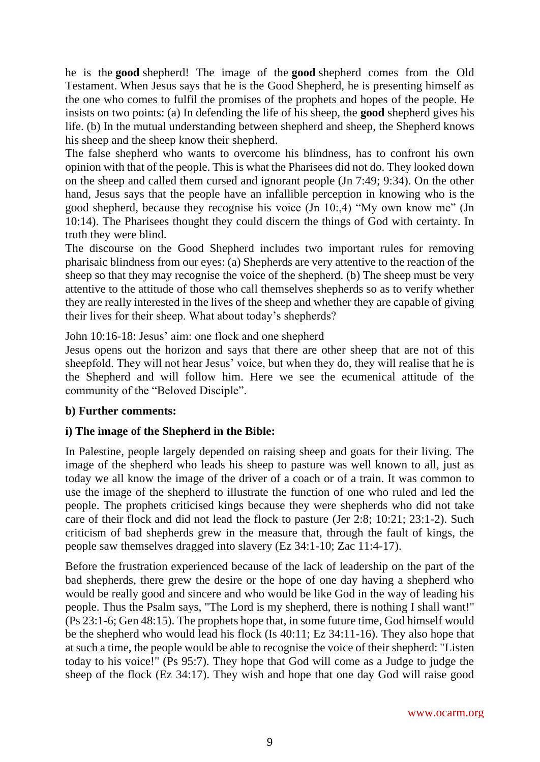he is the **good** shepherd! The image of the **good** shepherd comes from the Old Testament. When Jesus says that he is the Good Shepherd, he is presenting himself as the one who comes to fulfil the promises of the prophets and hopes of the people. He insists on two points: (a) In defending the life of his sheep, the **good** shepherd gives his life. (b) In the mutual understanding between shepherd and sheep, the Shepherd knows his sheep and the sheep know their shepherd.

The false shepherd who wants to overcome his blindness, has to confront his own opinion with that of the people. This is what the Pharisees did not do. They looked down on the sheep and called them cursed and ignorant people (Jn 7:49; 9:34). On the other hand, Jesus says that the people have an infallible perception in knowing who is the good shepherd, because they recognise his voice (Jn 10:,4) "My own know me" (Jn 10:14). The Pharisees thought they could discern the things of God with certainty. In truth they were blind.

The discourse on the Good Shepherd includes two important rules for removing pharisaic blindness from our eyes: (a) Shepherds are very attentive to the reaction of the sheep so that they may recognise the voice of the shepherd. (b) The sheep must be very attentive to the attitude of those who call themselves shepherds so as to verify whether they are really interested in the lives of the sheep and whether they are capable of giving their lives for their sheep. What about today's shepherds?

John 10:16-18: Jesus' aim: one flock and one shepherd

Jesus opens out the horizon and says that there are other sheep that are not of this sheepfold. They will not hear Jesus' voice, but when they do, they will realise that he is the Shepherd and will follow him. Here we see the ecumenical attitude of the community of the "Beloved Disciple".

#### **b) Further comments:**

# **i) The image of the Shepherd in the Bible:**

In Palestine, people largely depended on raising sheep and goats for their living. The image of the shepherd who leads his sheep to pasture was well known to all, just as today we all know the image of the driver of a coach or of a train. It was common to use the image of the shepherd to illustrate the function of one who ruled and led the people. The prophets criticised kings because they were shepherds who did not take care of their flock and did not lead the flock to pasture (Jer 2:8; 10:21; 23:1-2). Such criticism of bad shepherds grew in the measure that, through the fault of kings, the people saw themselves dragged into slavery (Ez 34:1-10; Zac 11:4-17).

Before the frustration experienced because of the lack of leadership on the part of the bad shepherds, there grew the desire or the hope of one day having a shepherd who would be really good and sincere and who would be like God in the way of leading his people. Thus the Psalm says, "The Lord is my shepherd, there is nothing I shall want!" (Ps 23:1-6; Gen 48:15). The prophets hope that, in some future time, God himself would be the shepherd who would lead his flock (Is 40:11; Ez 34:11-16). They also hope that at such a time, the people would be able to recognise the voice of their shepherd: "Listen today to his voice!" (Ps 95:7). They hope that God will come as a Judge to judge the sheep of the flock (Ez 34:17). They wish and hope that one day God will raise good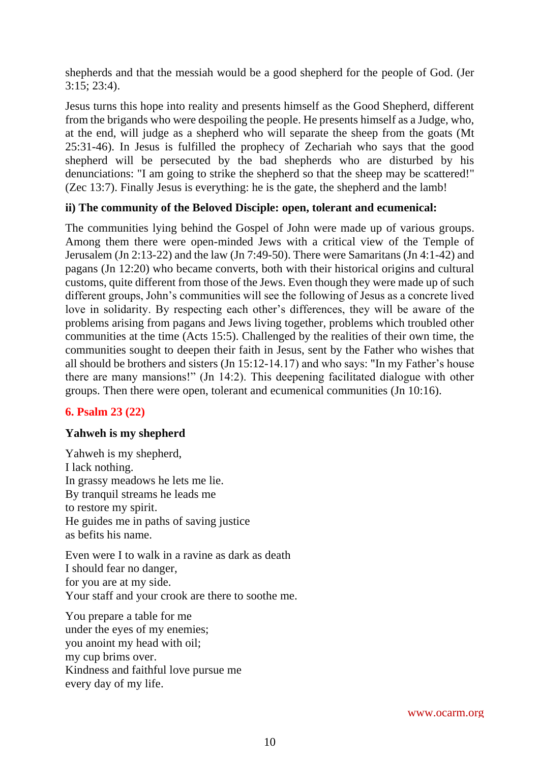shepherds and that the messiah would be a good shepherd for the people of God. (Jer 3:15; 23:4).

Jesus turns this hope into reality and presents himself as the Good Shepherd, different from the brigands who were despoiling the people. He presents himself as a Judge, who, at the end, will judge as a shepherd who will separate the sheep from the goats (Mt 25:31-46). In Jesus is fulfilled the prophecy of Zechariah who says that the good shepherd will be persecuted by the bad shepherds who are disturbed by his denunciations: "I am going to strike the shepherd so that the sheep may be scattered!" (Zec 13:7). Finally Jesus is everything: he is the gate, the shepherd and the lamb!

# **ii) The community of the Beloved Disciple: open, tolerant and ecumenical:**

The communities lying behind the Gospel of John were made up of various groups. Among them there were open-minded Jews with a critical view of the Temple of Jerusalem (Jn 2:13-22) and the law (Jn 7:49-50). There were Samaritans (Jn 4:1-42) and pagans (Jn 12:20) who became converts, both with their historical origins and cultural customs, quite different from those of the Jews. Even though they were made up of such different groups, John's communities will see the following of Jesus as a concrete lived love in solidarity. By respecting each other's differences, they will be aware of the problems arising from pagans and Jews living together, problems which troubled other communities at the time (Acts 15:5). Challenged by the realities of their own time, the communities sought to deepen their faith in Jesus, sent by the Father who wishes that all should be brothers and sisters (Jn 15:12-14.17) and who says: "In my Father's house there are many mansions!" (Jn 14:2). This deepening facilitated dialogue with other groups. Then there were open, tolerant and ecumenical communities (Jn 10:16).

# **6. Psalm 23 (22)**

# **Yahweh is my shepherd**

Yahweh is my shepherd, I lack nothing. In grassy meadows he lets me lie. By tranquil streams he leads me to restore my spirit. He guides me in paths of saving justice as befits his name. Even were I to walk in a ravine as dark as death I should fear no danger, for you are at my side.

Your staff and your crook are there to soothe me.

You prepare a table for me under the eyes of my enemies; you anoint my head with oil; my cup brims over. Kindness and faithful love pursue me every day of my life.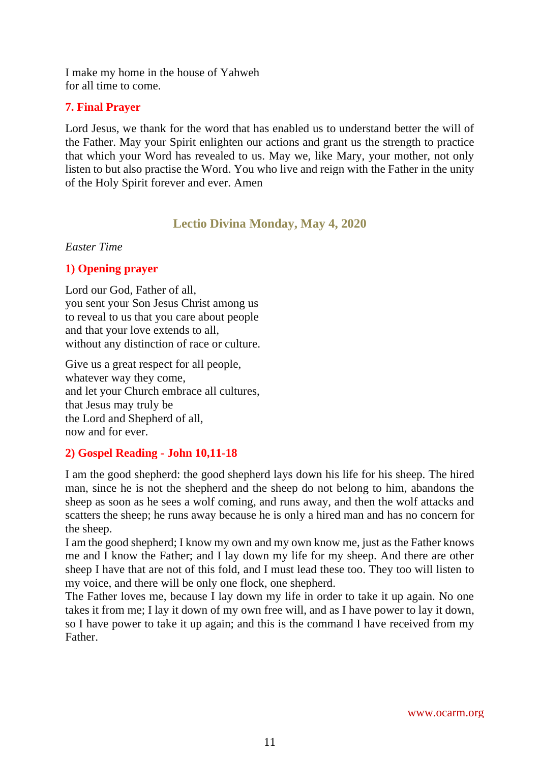I make my home in the house of Yahweh for all time to come.

#### **7. Final Prayer**

Lord Jesus, we thank for the word that has enabled us to understand better the will of the Father. May your Spirit enlighten our actions and grant us the strength to practice that which your Word has revealed to us. May we, like Mary, your mother, not only listen to but also practise the Word. You who live and reign with the Father in the unity of the Holy Spirit forever and ever. Amen

# **Lectio Divina Monday, May 4, 2020**

#### <span id="page-10-0"></span>*Easter Time*

# **1) Opening prayer**

Lord our God, Father of all, you sent your Son Jesus Christ among us to reveal to us that you care about people and that your love extends to all, without any distinction of race or culture.

Give us a great respect for all people, whatever way they come, and let your Church embrace all cultures, that Jesus may truly be the Lord and Shepherd of all, now and for ever.

# **2) Gospel Reading - John 10,11-18**

I am the good shepherd: the good shepherd lays down his life for his sheep. The hired man, since he is not the shepherd and the sheep do not belong to him, abandons the sheep as soon as he sees a wolf coming, and runs away, and then the wolf attacks and scatters the sheep; he runs away because he is only a hired man and has no concern for the sheep.

I am the good shepherd; I know my own and my own know me, just as the Father knows me and I know the Father; and I lay down my life for my sheep. And there are other sheep I have that are not of this fold, and I must lead these too. They too will listen to my voice, and there will be only one flock, one shepherd.

The Father loves me, because I lay down my life in order to take it up again. No one takes it from me; I lay it down of my own free will, and as I have power to lay it down, so I have power to take it up again; and this is the command I have received from my Father.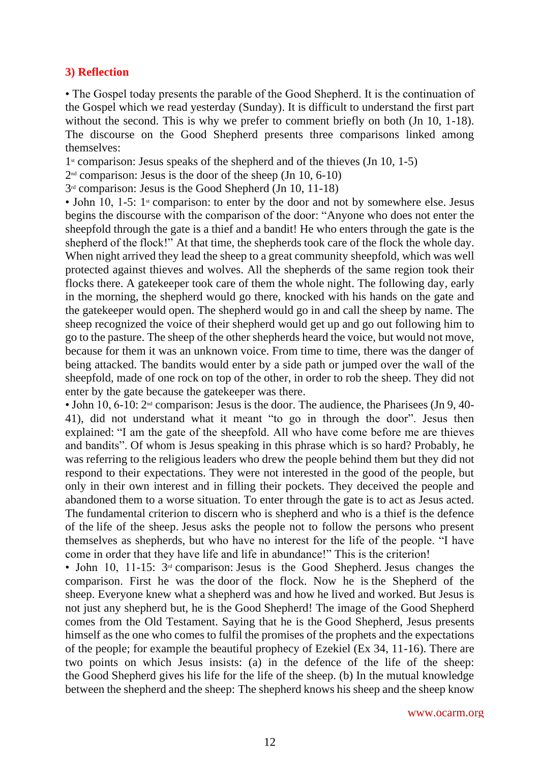# **3) Reflection**

• The Gospel today presents the parable of the Good Shepherd. It is the continuation of the Gospel which we read yesterday (Sunday). It is difficult to understand the first part without the second. This is why we prefer to comment briefly on both (Jn 10, 1-18). The discourse on the Good Shepherd presents three comparisons linked among themselves:

1 st comparison: Jesus speaks of the shepherd and of the thieves (Jn 10, 1-5)

2 nd comparison: Jesus is the door of the sheep (Jn 10, 6-10)

3 rd comparison: Jesus is the Good Shepherd (Jn 10, 11-18)

• John 10, 1-5:  $1$ <sup>st</sup> comparison: to enter by the door and not by somewhere else. Jesus begins the discourse with the comparison of the door: "Anyone who does not enter the sheepfold through the gate is a thief and a bandit! He who enters through the gate is the shepherd of the flock!" At that time, the shepherds took care of the flock the whole day. When night arrived they lead the sheep to a great community sheepfold, which was well protected against thieves and wolves. All the shepherds of the same region took their flocks there. A gatekeeper took care of them the whole night. The following day, early in the morning, the shepherd would go there, knocked with his hands on the gate and the gatekeeper would open. The shepherd would go in and call the sheep by name. The sheep recognized the voice of their shepherd would get up and go out following him to go to the pasture. The sheep of the other shepherds heard the voice, but would not move, because for them it was an unknown voice. From time to time, there was the danger of being attacked. The bandits would enter by a side path or jumped over the wall of the sheepfold, made of one rock on top of the other, in order to rob the sheep. They did not enter by the gate because the gatekeeper was there.

• John 10, 6-10:  $2<sup>nd</sup>$  comparison: Jesus is the door. The audience, the Pharisees (Jn 9, 40-41), did not understand what it meant "to go in through the door". Jesus then explained: "I am the gate of the sheepfold. All who have come before me are thieves and bandits". Of whom is Jesus speaking in this phrase which is so hard? Probably, he was referring to the religious leaders who drew the people behind them but they did not respond to their expectations. They were not interested in the good of the people, but only in their own interest and in filling their pockets. They deceived the people and abandoned them to a worse situation. To enter through the gate is to act as Jesus acted. The fundamental criterion to discern who is shepherd and who is a thief is the defence of the life of the sheep. Jesus asks the people not to follow the persons who present themselves as shepherds, but who have no interest for the life of the people. "I have come in order that they have life and life in abundance!" This is the criterion!

• John 10, 11-15:  $3^{rd}$  comparison: Jesus is the Good Shepherd. Jesus changes the comparison. First he was the door of the flock. Now he is the Shepherd of the sheep. Everyone knew what a shepherd was and how he lived and worked. But Jesus is not just any shepherd but, he is the Good Shepherd! The image of the Good Shepherd comes from the Old Testament. Saying that he is the Good Shepherd, Jesus presents himself as the one who comes to fulfil the promises of the prophets and the expectations of the people; for example the beautiful prophecy of Ezekiel (Ex 34, 11-16). There are two points on which Jesus insists: (a) in the defence of the life of the sheep: the Good Shepherd gives his life for the life of the sheep. (b) In the mutual knowledge between the shepherd and the sheep: The shepherd knows his sheep and the sheep know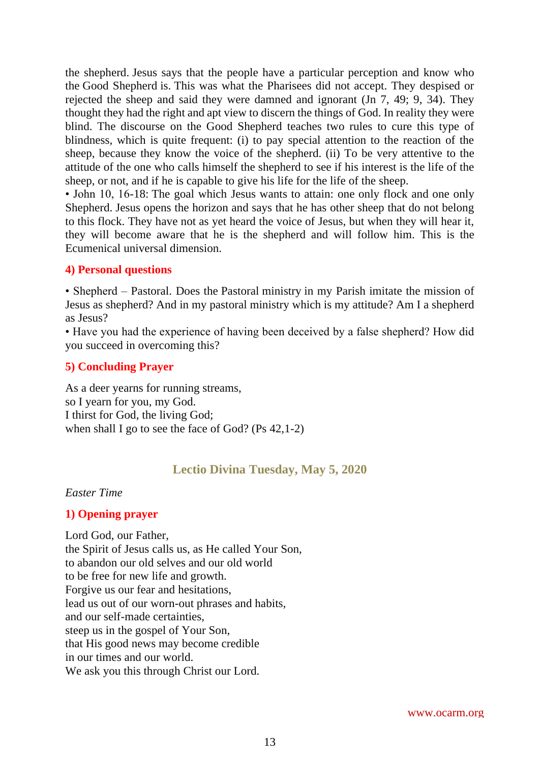the shepherd. Jesus says that the people have a particular perception and know who the Good Shepherd is. This was what the Pharisees did not accept. They despised or rejected the sheep and said they were damned and ignorant (Jn 7, 49; 9, 34). They thought they had the right and apt view to discern the things of God. In reality they were blind. The discourse on the Good Shepherd teaches two rules to cure this type of blindness, which is quite frequent: (i) to pay special attention to the reaction of the sheep, because they know the voice of the shepherd. (ii) To be very attentive to the attitude of the one who calls himself the shepherd to see if his interest is the life of the sheep, or not, and if he is capable to give his life for the life of the sheep.

• John 10, 16-18: The goal which Jesus wants to attain: one only flock and one only Shepherd. Jesus opens the horizon and says that he has other sheep that do not belong to this flock. They have not as yet heard the voice of Jesus, but when they will hear it, they will become aware that he is the shepherd and will follow him. This is the Ecumenical universal dimension.

### **4) Personal questions**

• Shepherd – Pastoral. Does the Pastoral ministry in my Parish imitate the mission of Jesus as shepherd? And in my pastoral ministry which is my attitude? Am I a shepherd as Jesus?

• Have you had the experience of having been deceived by a false shepherd? How did you succeed in overcoming this?

### **5) Concluding Prayer**

As a deer yearns for running streams, so I yearn for you, my God. I thirst for God, the living God; when shall I go to see the face of God? (Ps 42,1-2)

# **Lectio Divina Tuesday, May 5, 2020**

#### <span id="page-12-0"></span>*Easter Time*

#### **1) Opening prayer**

Lord God, our Father, the Spirit of Jesus calls us, as He called Your Son, to abandon our old selves and our old world to be free for new life and growth. Forgive us our fear and hesitations, lead us out of our worn-out phrases and habits, and our self-made certainties, steep us in the gospel of Your Son, that His good news may become credible in our times and our world. We ask you this through Christ our Lord.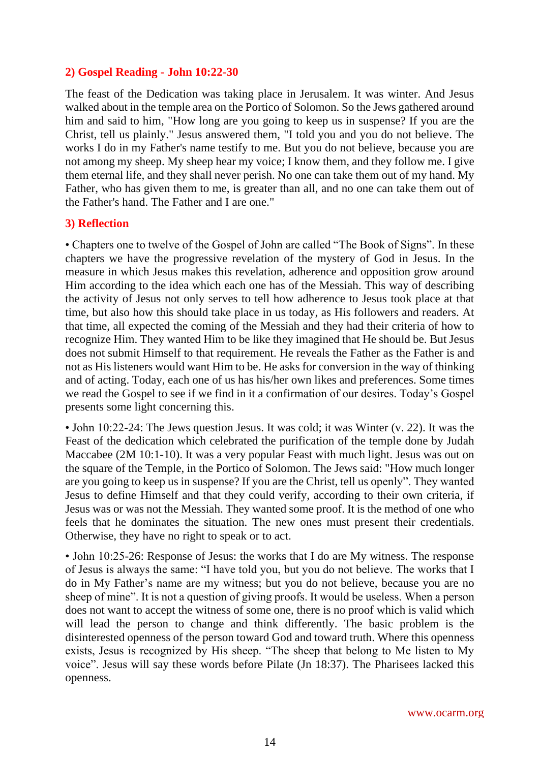# **2) Gospel Reading - John 10:22-30**

The feast of the Dedication was taking place in Jerusalem. It was winter. And Jesus walked about in the temple area on the Portico of Solomon. So the Jews gathered around him and said to him, "How long are you going to keep us in suspense? If you are the Christ, tell us plainly." Jesus answered them, "I told you and you do not believe. The works I do in my Father's name testify to me. But you do not believe, because you are not among my sheep. My sheep hear my voice; I know them, and they follow me. I give them eternal life, and they shall never perish. No one can take them out of my hand. My Father, who has given them to me, is greater than all, and no one can take them out of the Father's hand. The Father and I are one."

### **3) Reflection**

• Chapters one to twelve of the Gospel of John are called "The Book of Signs". In these chapters we have the progressive revelation of the mystery of God in Jesus. In the measure in which Jesus makes this revelation, adherence and opposition grow around Him according to the idea which each one has of the Messiah. This way of describing the activity of Jesus not only serves to tell how adherence to Jesus took place at that time, but also how this should take place in us today, as His followers and readers. At that time, all expected the coming of the Messiah and they had their criteria of how to recognize Him. They wanted Him to be like they imagined that He should be. But Jesus does not submit Himself to that requirement. He reveals the Father as the Father is and not as His listeners would want Him to be. He asks for conversion in the way of thinking and of acting. Today, each one of us has his/her own likes and preferences. Some times we read the Gospel to see if we find in it a confirmation of our desires. Today's Gospel presents some light concerning this.

• John 10:22-24: The Jews question Jesus. It was cold; it was Winter (v. 22). It was the Feast of the dedication which celebrated the purification of the temple done by Judah Maccabee (2M 10:1-10). It was a very popular Feast with much light. Jesus was out on the square of the Temple, in the Portico of Solomon. The Jews said: "How much longer are you going to keep us in suspense? If you are the Christ, tell us openly". They wanted Jesus to define Himself and that they could verify, according to their own criteria, if Jesus was or was not the Messiah. They wanted some proof. It is the method of one who feels that he dominates the situation. The new ones must present their credentials. Otherwise, they have no right to speak or to act.

• John 10:25-26: Response of Jesus: the works that I do are My witness. The response of Jesus is always the same: "I have told you, but you do not believe. The works that I do in My Father's name are my witness; but you do not believe, because you are no sheep of mine". It is not a question of giving proofs. It would be useless. When a person does not want to accept the witness of some one, there is no proof which is valid which will lead the person to change and think differently. The basic problem is the disinterested openness of the person toward God and toward truth. Where this openness exists, Jesus is recognized by His sheep. "The sheep that belong to Me listen to My voice". Jesus will say these words before Pilate (Jn 18:37). The Pharisees lacked this openness.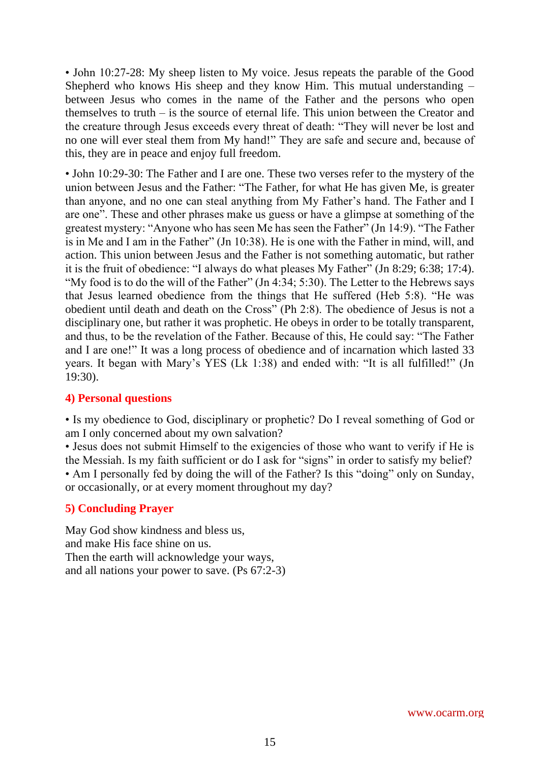• John 10:27-28: My sheep listen to My voice. Jesus repeats the parable of the Good Shepherd who knows His sheep and they know Him. This mutual understanding – between Jesus who comes in the name of the Father and the persons who open themselves to truth – is the source of eternal life. This union between the Creator and the creature through Jesus exceeds every threat of death: "They will never be lost and no one will ever steal them from My hand!" They are safe and secure and, because of this, they are in peace and enjoy full freedom.

• John 10:29-30: The Father and I are one. These two verses refer to the mystery of the union between Jesus and the Father: "The Father, for what He has given Me, is greater than anyone, and no one can steal anything from My Father's hand. The Father and I are one". These and other phrases make us guess or have a glimpse at something of the greatest mystery: "Anyone who has seen Me has seen the Father" (Jn 14:9). "The Father is in Me and I am in the Father" (Jn 10:38). He is one with the Father in mind, will, and action. This union between Jesus and the Father is not something automatic, but rather it is the fruit of obedience: "I always do what pleases My Father" (Jn 8:29; 6:38; 17:4). "My food is to do the will of the Father" (Jn 4:34; 5:30). The Letter to the Hebrews says that Jesus learned obedience from the things that He suffered (Heb 5:8). "He was obedient until death and death on the Cross" (Ph 2:8). The obedience of Jesus is not a disciplinary one, but rather it was prophetic. He obeys in order to be totally transparent, and thus, to be the revelation of the Father. Because of this, He could say: "The Father and I are one!" It was a long process of obedience and of incarnation which lasted 33 years. It began with Mary's YES (Lk 1:38) and ended with: "It is all fulfilled!" (Jn 19:30).

# **4) Personal questions**

• Is my obedience to God, disciplinary or prophetic? Do I reveal something of God or am I only concerned about my own salvation?

• Jesus does not submit Himself to the exigencies of those who want to verify if He is the Messiah. Is my faith sufficient or do I ask for "signs" in order to satisfy my belief? • Am I personally fed by doing the will of the Father? Is this "doing" only on Sunday, or occasionally, or at every moment throughout my day?

#### **5) Concluding Prayer**

May God show kindness and bless us, and make His face shine on us. Then the earth will acknowledge your ways, and all nations your power to save. (Ps 67:2-3)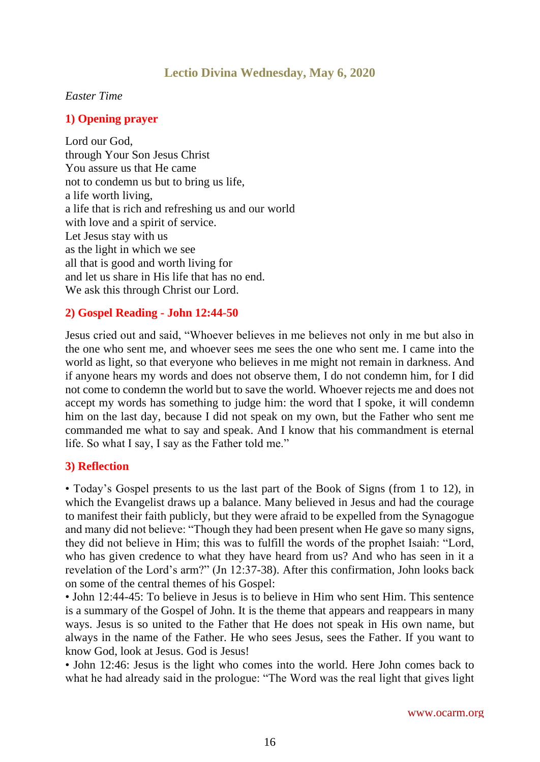# **Lectio Divina Wednesday, May 6, 2020**

#### <span id="page-15-0"></span>*Easter Time*

### **1) Opening prayer**

Lord our God, through Your Son Jesus Christ You assure us that He came not to condemn us but to bring us life, a life worth living, a life that is rich and refreshing us and our world with love and a spirit of service. Let Jesus stay with us as the light in which we see all that is good and worth living for and let us share in His life that has no end. We ask this through Christ our Lord.

### **2) Gospel Reading - John 12:44-50**

Jesus cried out and said, "Whoever believes in me believes not only in me but also in the one who sent me, and whoever sees me sees the one who sent me. I came into the world as light, so that everyone who believes in me might not remain in darkness. And if anyone hears my words and does not observe them, I do not condemn him, for I did not come to condemn the world but to save the world. Whoever rejects me and does not accept my words has something to judge him: the word that I spoke, it will condemn him on the last day, because I did not speak on my own, but the Father who sent me commanded me what to say and speak. And I know that his commandment is eternal life. So what I say, I say as the Father told me."

#### **3) Reflection**

• Today's Gospel presents to us the last part of the Book of Signs (from 1 to 12), in which the Evangelist draws up a balance. Many believed in Jesus and had the courage to manifest their faith publicly, but they were afraid to be expelled from the Synagogue and many did not believe: "Though they had been present when He gave so many signs, they did not believe in Him; this was to fulfill the words of the prophet Isaiah: "Lord, who has given credence to what they have heard from us? And who has seen in it a revelation of the Lord's arm?" (Jn 12:37-38). After this confirmation, John looks back on some of the central themes of his Gospel:

• John 12:44-45: To believe in Jesus is to believe in Him who sent Him. This sentence is a summary of the Gospel of John. It is the theme that appears and reappears in many ways. Jesus is so united to the Father that He does not speak in His own name, but always in the name of the Father. He who sees Jesus, sees the Father. If you want to know God, look at Jesus. God is Jesus!

• John 12:46: Jesus is the light who comes into the world. Here John comes back to what he had already said in the prologue: "The Word was the real light that gives light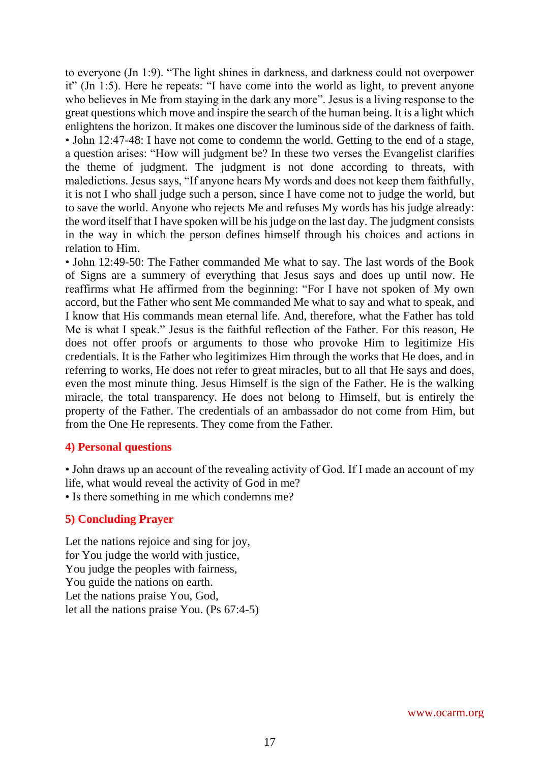to everyone (Jn 1:9). "The light shines in darkness, and darkness could not overpower it" (Jn 1:5). Here he repeats: "I have come into the world as light, to prevent anyone who believes in Me from staying in the dark any more". Jesus is a living response to the great questions which move and inspire the search of the human being. It is a light which enlightens the horizon. It makes one discover the luminous side of the darkness of faith. • John 12:47-48: I have not come to condemn the world. Getting to the end of a stage, a question arises: "How will judgment be? In these two verses the Evangelist clarifies the theme of judgment. The judgment is not done according to threats, with maledictions. Jesus says, "If anyone hears My words and does not keep them faithfully, it is not I who shall judge such a person, since I have come not to judge the world, but to save the world. Anyone who rejects Me and refuses My words has his judge already: the word itself that I have spoken will be his judge on the last day. The judgment consists in the way in which the person defines himself through his choices and actions in relation to Him.

• John 12:49-50: The Father commanded Me what to say. The last words of the Book of Signs are a summery of everything that Jesus says and does up until now. He reaffirms what He affirmed from the beginning: "For I have not spoken of My own accord, but the Father who sent Me commanded Me what to say and what to speak, and I know that His commands mean eternal life. And, therefore, what the Father has told Me is what I speak." Jesus is the faithful reflection of the Father. For this reason, He does not offer proofs or arguments to those who provoke Him to legitimize His credentials. It is the Father who legitimizes Him through the works that He does, and in referring to works, He does not refer to great miracles, but to all that He says and does, even the most minute thing. Jesus Himself is the sign of the Father. He is the walking miracle, the total transparency. He does not belong to Himself, but is entirely the property of the Father. The credentials of an ambassador do not come from Him, but from the One He represents. They come from the Father.

#### **4) Personal questions**

• John draws up an account of the revealing activity of God. If I made an account of my life, what would reveal the activity of God in me?

• Is there something in me which condemns me?

#### **5) Concluding Prayer**

Let the nations rejoice and sing for joy, for You judge the world with justice, You judge the peoples with fairness, You guide the nations on earth. Let the nations praise You, God, let all the nations praise You. (Ps 67:4-5)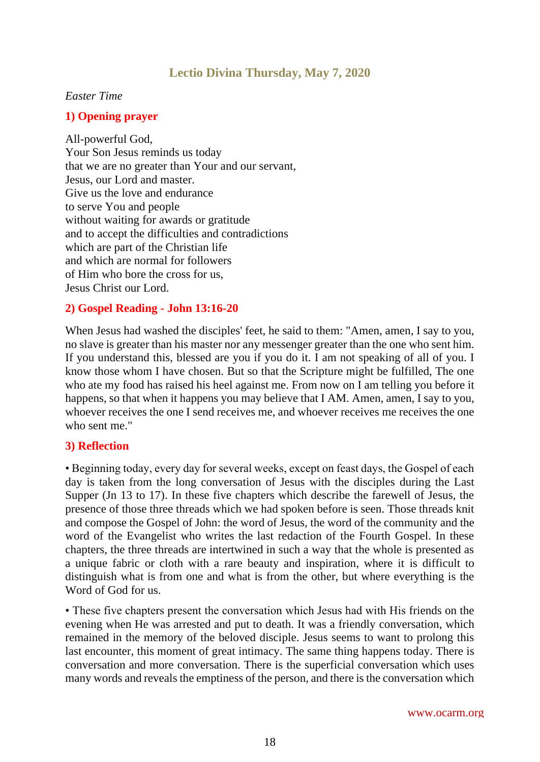# **Lectio Divina Thursday, May 7, 2020**

#### <span id="page-17-0"></span>*Easter Time*

### **1) Opening prayer**

All-powerful God, Your Son Jesus reminds us today that we are no greater than Your and our servant, Jesus, our Lord and master. Give us the love and endurance to serve You and people without waiting for awards or gratitude and to accept the difficulties and contradictions which are part of the Christian life and which are normal for followers of Him who bore the cross for us, Jesus Christ our Lord.

### **2) Gospel Reading - John 13:16-20**

When Jesus had washed the disciples' feet, he said to them: "Amen, amen, I say to you, no slave is greater than his master nor any messenger greater than the one who sent him. If you understand this, blessed are you if you do it. I am not speaking of all of you. I know those whom I have chosen. But so that the Scripture might be fulfilled, The one who ate my food has raised his heel against me. From now on I am telling you before it happens, so that when it happens you may believe that I AM. Amen, amen, I say to you, whoever receives the one I send receives me, and whoever receives me receives the one who sent me."

### **3) Reflection**

• Beginning today, every day for several weeks, except on feast days, the Gospel of each day is taken from the long conversation of Jesus with the disciples during the Last Supper (Jn 13 to 17). In these five chapters which describe the farewell of Jesus, the presence of those three threads which we had spoken before is seen. Those threads knit and compose the Gospel of John: the word of Jesus, the word of the community and the word of the Evangelist who writes the last redaction of the Fourth Gospel. In these chapters, the three threads are intertwined in such a way that the whole is presented as a unique fabric or cloth with a rare beauty and inspiration, where it is difficult to distinguish what is from one and what is from the other, but where everything is the Word of God for us.

• These five chapters present the conversation which Jesus had with His friends on the evening when He was arrested and put to death. It was a friendly conversation, which remained in the memory of the beloved disciple. Jesus seems to want to prolong this last encounter, this moment of great intimacy. The same thing happens today. There is conversation and more conversation. There is the superficial conversation which uses many words and reveals the emptiness of the person, and there is the conversation which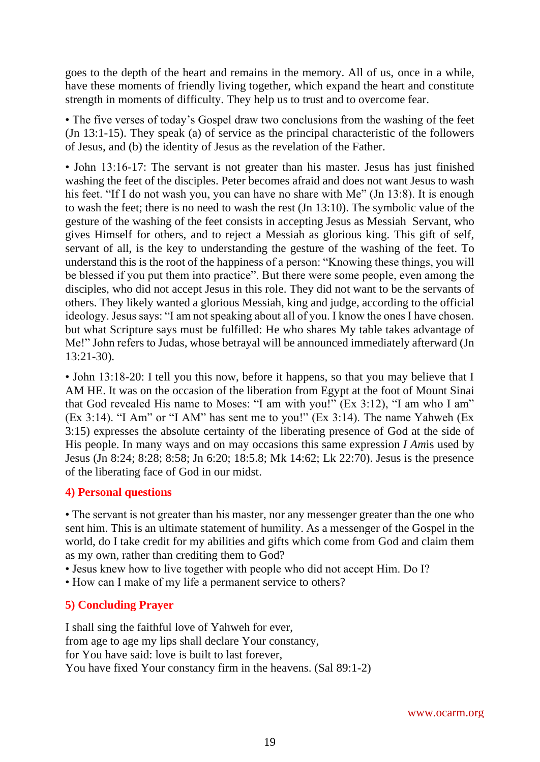goes to the depth of the heart and remains in the memory. All of us, once in a while, have these moments of friendly living together, which expand the heart and constitute strength in moments of difficulty. They help us to trust and to overcome fear.

• The five verses of today's Gospel draw two conclusions from the washing of the feet (Jn 13:1-15). They speak (a) of service as the principal characteristic of the followers of Jesus, and (b) the identity of Jesus as the revelation of the Father.

• John 13:16-17: The servant is not greater than his master. Jesus has just finished washing the feet of the disciples. Peter becomes afraid and does not want Jesus to wash his feet. "If I do not wash you, you can have no share with Me" (Jn 13:8). It is enough to wash the feet; there is no need to wash the rest (Jn 13:10). The symbolic value of the gesture of the washing of the feet consists in accepting Jesus as Messiah Servant, who gives Himself for others, and to reject a Messiah as glorious king. This gift of self, servant of all, is the key to understanding the gesture of the washing of the feet. To understand this is the root of the happiness of a person: "Knowing these things, you will be blessed if you put them into practice". But there were some people, even among the disciples, who did not accept Jesus in this role. They did not want to be the servants of others. They likely wanted a glorious Messiah, king and judge, according to the official ideology. Jesus says: "I am not speaking about all of you. I know the ones I have chosen. but what Scripture says must be fulfilled: He who shares My table takes advantage of Me!" John refers to Judas, whose betrayal will be announced immediately afterward (Jn 13:21-30).

• John 13:18-20: I tell you this now, before it happens, so that you may believe that I AM HE. It was on the occasion of the liberation from Egypt at the foot of Mount Sinai that God revealed His name to Moses: "I am with you!" (Ex 3:12), "I am who I am" (Ex 3:14). "I Am" or "I AM" has sent me to you!" (Ex 3:14). The name Yahweh (Ex 3:15) expresses the absolute certainty of the liberating presence of God at the side of His people. In many ways and on may occasions this same expression *I Am*is used by Jesus (Jn 8:24; 8:28; 8:58; Jn 6:20; 18:5.8; Mk 14:62; Lk 22:70). Jesus is the presence of the liberating face of God in our midst.

# **4) Personal questions**

• The servant is not greater than his master, nor any messenger greater than the one who sent him. This is an ultimate statement of humility. As a messenger of the Gospel in the world, do I take credit for my abilities and gifts which come from God and claim them as my own, rather than crediting them to God?

• Jesus knew how to live together with people who did not accept Him. Do I?

• How can I make of my life a permanent service to others?

# **5) Concluding Prayer**

I shall sing the faithful love of Yahweh for ever, from age to age my lips shall declare Your constancy, for You have said: love is built to last forever, You have fixed Your constancy firm in the heavens. (Sal 89:1-2)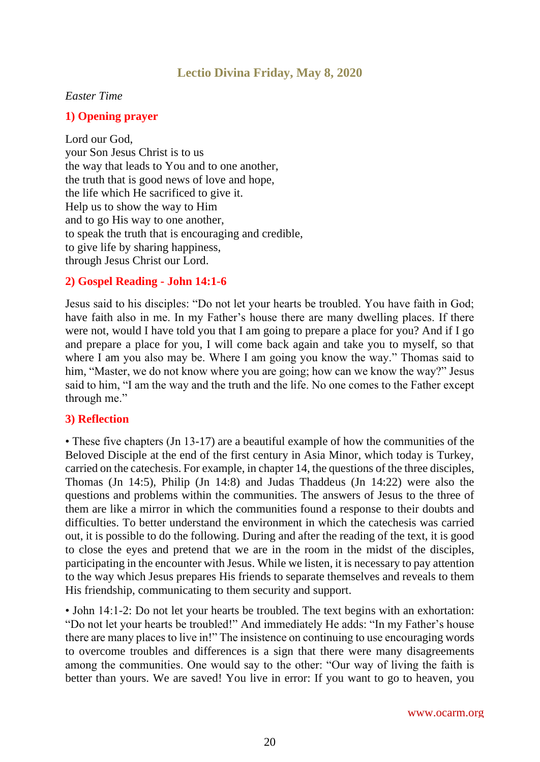# **Lectio Divina Friday, May 8, 2020**

<span id="page-19-0"></span>*Easter Time*

### **1) Opening prayer**

Lord our God, your Son Jesus Christ is to us the way that leads to You and to one another, the truth that is good news of love and hope, the life which He sacrificed to give it. Help us to show the way to Him and to go His way to one another, to speak the truth that is encouraging and credible, to give life by sharing happiness, through Jesus Christ our Lord.

### **2) Gospel Reading - John 14:1-6**

Jesus said to his disciples: "Do not let your hearts be troubled. You have faith in God; have faith also in me. In my Father's house there are many dwelling places. If there were not, would I have told you that I am going to prepare a place for you? And if I go and prepare a place for you, I will come back again and take you to myself, so that where I am you also may be. Where I am going you know the way." Thomas said to him, "Master, we do not know where you are going; how can we know the way?" Jesus said to him, "I am the way and the truth and the life. No one comes to the Father except through me."

#### **3) Reflection**

• These five chapters (Jn 13-17) are a beautiful example of how the communities of the Beloved Disciple at the end of the first century in Asia Minor, which today is Turkey, carried on the catechesis. For example, in chapter 14, the questions of the three disciples, Thomas (Jn 14:5), Philip (Jn 14:8) and Judas Thaddeus (Jn 14:22) were also the questions and problems within the communities. The answers of Jesus to the three of them are like a mirror in which the communities found a response to their doubts and difficulties. To better understand the environment in which the catechesis was carried out, it is possible to do the following. During and after the reading of the text, it is good to close the eyes and pretend that we are in the room in the midst of the disciples, participating in the encounter with Jesus. While we listen, it is necessary to pay attention to the way which Jesus prepares His friends to separate themselves and reveals to them His friendship, communicating to them security and support.

• John 14:1-2: Do not let your hearts be troubled. The text begins with an exhortation: "Do not let your hearts be troubled!" And immediately He adds: "In my Father's house there are many places to live in!" The insistence on continuing to use encouraging words to overcome troubles and differences is a sign that there were many disagreements among the communities. One would say to the other: "Our way of living the faith is better than yours. We are saved! You live in error: If you want to go to heaven, you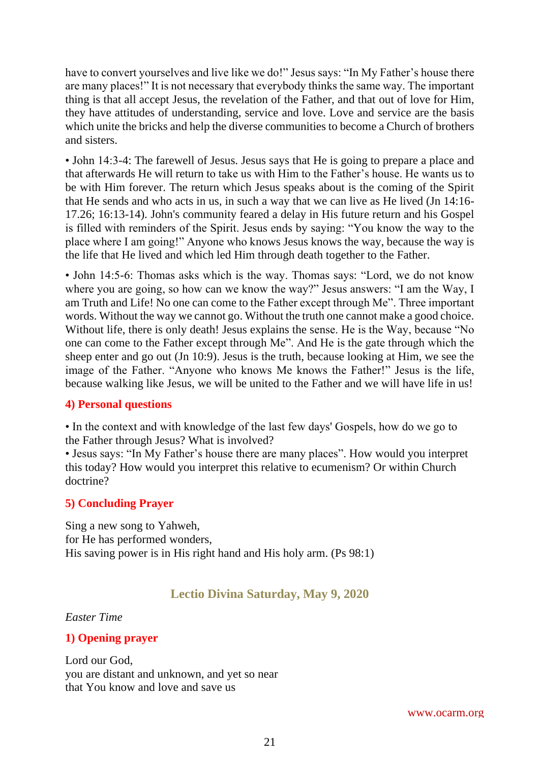have to convert yourselves and live like we do!" Jesus says: "In My Father's house there are many places!" It is not necessary that everybody thinks the same way. The important thing is that all accept Jesus, the revelation of the Father, and that out of love for Him, they have attitudes of understanding, service and love. Love and service are the basis which unite the bricks and help the diverse communities to become a Church of brothers and sisters.

• John 14:3-4: The farewell of Jesus. Jesus says that He is going to prepare a place and that afterwards He will return to take us with Him to the Father's house. He wants us to be with Him forever. The return which Jesus speaks about is the coming of the Spirit that He sends and who acts in us, in such a way that we can live as He lived (Jn 14:16- 17.26; 16:13-14). John's community feared a delay in His future return and his Gospel is filled with reminders of the Spirit. Jesus ends by saying: "You know the way to the place where I am going!" Anyone who knows Jesus knows the way, because the way is the life that He lived and which led Him through death together to the Father.

• John 14:5-6: Thomas asks which is the way. Thomas says: "Lord, we do not know where you are going, so how can we know the way?" Jesus answers: "I am the Way, I am Truth and Life! No one can come to the Father except through Me". Three important words. Without the way we cannot go. Without the truth one cannot make a good choice. Without life, there is only death! Jesus explains the sense. He is the Way, because "No one can come to the Father except through Me". And He is the gate through which the sheep enter and go out (Jn 10:9). Jesus is the truth, because looking at Him, we see the image of the Father. "Anyone who knows Me knows the Father!" Jesus is the life, because walking like Jesus, we will be united to the Father and we will have life in us!

# **4) Personal questions**

• In the context and with knowledge of the last few days' Gospels, how do we go to the Father through Jesus? What is involved?

• Jesus says: "In My Father's house there are many places". How would you interpret this today? How would you interpret this relative to ecumenism? Or within Church doctrine?

# **5) Concluding Prayer**

Sing a new song to Yahweh, for He has performed wonders, His saving power is in His right hand and His holy arm. (Ps 98:1)

# **Lectio Divina Saturday, May 9, 2020**

# <span id="page-20-0"></span>*Easter Time*

# **1) Opening prayer**

Lord our God, you are distant and unknown, and yet so near that You know and love and save us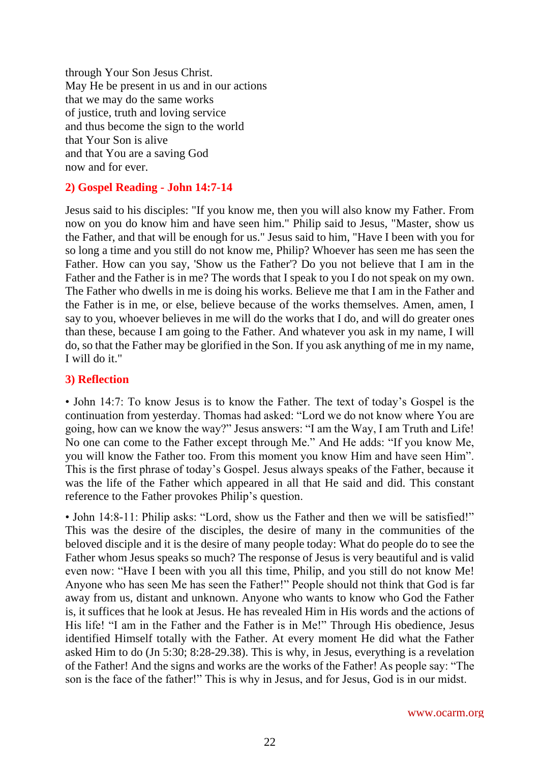through Your Son Jesus Christ. May He be present in us and in our actions that we may do the same works of justice, truth and loving service and thus become the sign to the world that Your Son is alive and that You are a saving God now and for ever.

### **2) Gospel Reading - John 14:7-14**

Jesus said to his disciples: "If you know me, then you will also know my Father. From now on you do know him and have seen him." Philip said to Jesus, "Master, show us the Father, and that will be enough for us." Jesus said to him, "Have I been with you for so long a time and you still do not know me, Philip? Whoever has seen me has seen the Father. How can you say, 'Show us the Father'? Do you not believe that I am in the Father and the Father is in me? The words that I speak to you I do not speak on my own. The Father who dwells in me is doing his works. Believe me that I am in the Father and the Father is in me, or else, believe because of the works themselves. Amen, amen, I say to you, whoever believes in me will do the works that I do, and will do greater ones than these, because I am going to the Father. And whatever you ask in my name, I will do, so that the Father may be glorified in the Son. If you ask anything of me in my name, I will do it."

#### **3) Reflection**

• John 14:7: To know Jesus is to know the Father. The text of today's Gospel is the continuation from yesterday. Thomas had asked: "Lord we do not know where You are going, how can we know the way?" Jesus answers: "I am the Way, I am Truth and Life! No one can come to the Father except through Me." And He adds: "If you know Me, you will know the Father too. From this moment you know Him and have seen Him". This is the first phrase of today's Gospel. Jesus always speaks of the Father, because it was the life of the Father which appeared in all that He said and did. This constant reference to the Father provokes Philip's question.

• John 14:8-11: Philip asks: "Lord, show us the Father and then we will be satisfied!" This was the desire of the disciples, the desire of many in the communities of the beloved disciple and it is the desire of many people today: What do people do to see the Father whom Jesus speaks so much? The response of Jesus is very beautiful and is valid even now: "Have I been with you all this time, Philip, and you still do not know Me! Anyone who has seen Me has seen the Father!" People should not think that God is far away from us, distant and unknown. Anyone who wants to know who God the Father is, it suffices that he look at Jesus. He has revealed Him in His words and the actions of His life! "I am in the Father and the Father is in Me!" Through His obedience, Jesus identified Himself totally with the Father. At every moment He did what the Father asked Him to do (Jn 5:30; 8:28-29.38). This is why, in Jesus, everything is a revelation of the Father! And the signs and works are the works of the Father! As people say: "The son is the face of the father!" This is why in Jesus, and for Jesus, God is in our midst.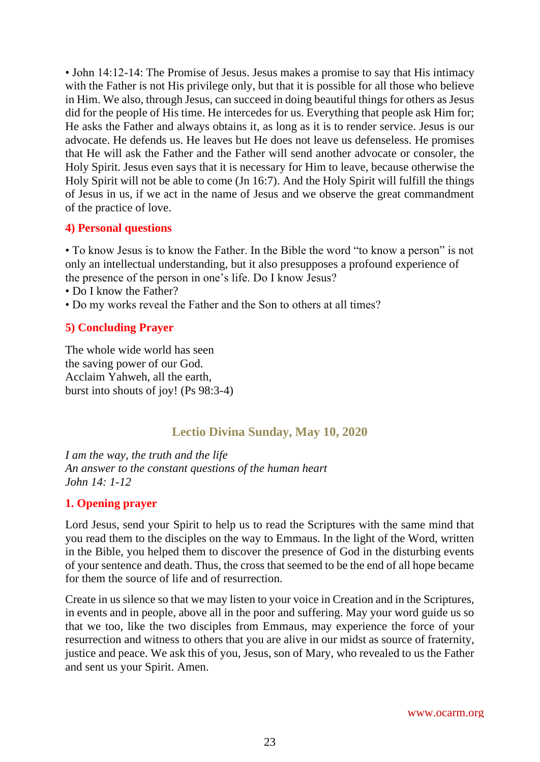• John 14:12-14: The Promise of Jesus. Jesus makes a promise to say that His intimacy with the Father is not His privilege only, but that it is possible for all those who believe in Him. We also, through Jesus, can succeed in doing beautiful things for others as Jesus did for the people of His time. He intercedes for us. Everything that people ask Him for; He asks the Father and always obtains it, as long as it is to render service. Jesus is our advocate. He defends us. He leaves but He does not leave us defenseless. He promises that He will ask the Father and the Father will send another advocate or consoler, the Holy Spirit. Jesus even says that it is necessary for Him to leave, because otherwise the Holy Spirit will not be able to come (Jn 16:7). And the Holy Spirit will fulfill the things of Jesus in us, if we act in the name of Jesus and we observe the great commandment of the practice of love.

### **4) Personal questions**

• To know Jesus is to know the Father. In the Bible the word "to know a person" is not only an intellectual understanding, but it also presupposes a profound experience of the presence of the person in one's life. Do I know Jesus?

- Do I know the Father?
- Do my works reveal the Father and the Son to others at all times?

# **5) Concluding Prayer**

The whole wide world has seen the saving power of our God. Acclaim Yahweh, all the earth, burst into shouts of joy! (Ps 98:3-4)

# **Lectio Divina Sunday, May 10, 2020**

<span id="page-22-0"></span>*I am the way, the truth and the life An answer to the constant questions of the human heart John 14: 1-12*

# **1. Opening prayer**

Lord Jesus, send your Spirit to help us to read the Scriptures with the same mind that you read them to the disciples on the way to Emmaus. In the light of the Word, written in the Bible, you helped them to discover the presence of God in the disturbing events of your sentence and death. Thus, the cross that seemed to be the end of all hope became for them the source of life and of resurrection.

Create in us silence so that we may listen to your voice in Creation and in the Scriptures, in events and in people, above all in the poor and suffering. May your word guide us so that we too, like the two disciples from Emmaus, may experience the force of your resurrection and witness to others that you are alive in our midst as source of fraternity, justice and peace. We ask this of you, Jesus, son of Mary, who revealed to us the Father and sent us your Spirit. Amen.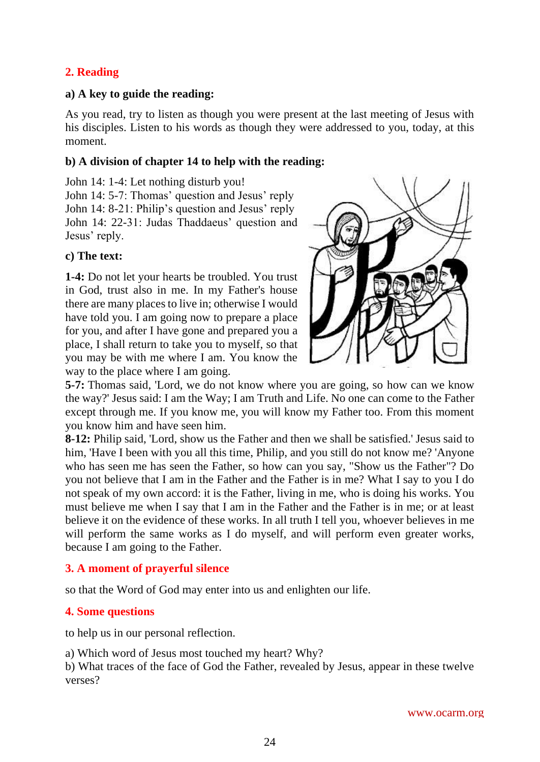# **2. Reading**

### **a) A key to guide the reading:**

As you read, try to listen as though you were present at the last meeting of Jesus with his disciples. Listen to his words as though they were addressed to you, today, at this moment.

### **b) A division of chapter 14 to help with the reading:**

John 14: 1-4: Let nothing disturb you! John 14: 5-7: Thomas' question and Jesus' reply John 14: 8-21: Philip's question and Jesus' reply John 14: 22-31: Judas Thaddaeus' question and Jesus' reply.

### **c) The text:**

**1-4:** Do not let your hearts be troubled. You trust in God, trust also in me. In my Father's house there are many places to live in; otherwise I would have told you. I am going now to prepare a place for you, and after I have gone and prepared you a place, I shall return to take you to myself, so that you may be with me where I am. You know the way to the place where I am going.



**5-7:** Thomas said, 'Lord, we do not know where you are going, so how can we know the way?' Jesus said: I am the Way; I am Truth and Life. No one can come to the Father except through me. If you know me, you will know my Father too. From this moment you know him and have seen him.

**8-12:** Philip said, 'Lord, show us the Father and then we shall be satisfied.' Jesus said to him, 'Have I been with you all this time, Philip, and you still do not know me? 'Anyone who has seen me has seen the Father, so how can you say, "Show us the Father"? Do you not believe that I am in the Father and the Father is in me? What I say to you I do not speak of my own accord: it is the Father, living in me, who is doing his works. You must believe me when I say that I am in the Father and the Father is in me; or at least believe it on the evidence of these works. In all truth I tell you, whoever believes in me will perform the same works as I do myself, and will perform even greater works, because I am going to the Father.

# **3. A moment of prayerful silence**

so that the Word of God may enter into us and enlighten our life.

# **4. Some questions**

to help us in our personal reflection.

a) Which word of Jesus most touched my heart? Why?

b) What traces of the face of God the Father, revealed by Jesus, appear in these twelve verses?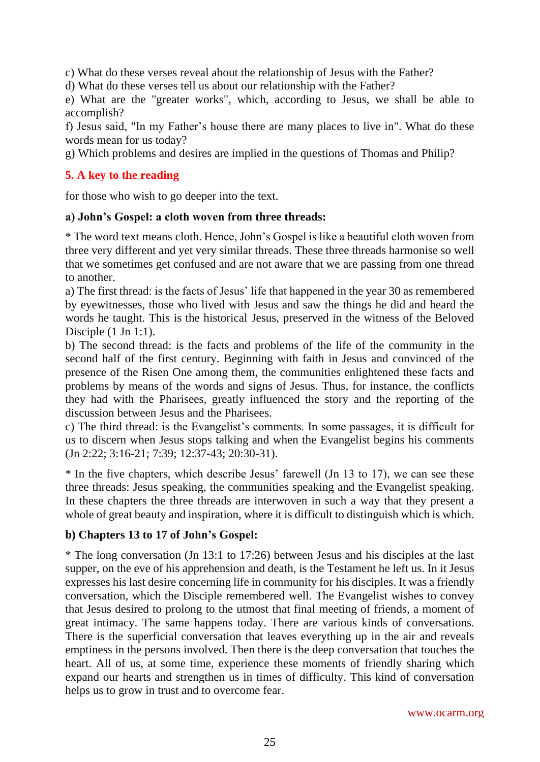c) What do these verses reveal about the relationship of Jesus with the Father?

d) What do these verses tell us about our relationship with the Father?

e) What are the "greater works", which, according to Jesus, we shall be able to accomplish?

f) Jesus said, "In my Father's house there are many places to live in". What do these words mean for us today?

g) Which problems and desires are implied in the questions of Thomas and Philip?

# **5. A key to the reading**

for those who wish to go deeper into the text.

# **a) John's Gospel: a cloth woven from three threads:**

\* The word text means cloth. Hence, John's Gospel is like a beautiful cloth woven from three very different and yet very similar threads. These three threads harmonise so well that we sometimes get confused and are not aware that we are passing from one thread to another.

a) The first thread: is the facts of Jesus' life that happened in the year 30 as remembered by eyewitnesses, those who lived with Jesus and saw the things he did and heard the words he taught. This is the historical Jesus, preserved in the witness of the Beloved Disciple  $(1 \text{ Jn } 1:1)$ .

b) The second thread: is the facts and problems of the life of the community in the second half of the first century. Beginning with faith in Jesus and convinced of the presence of the Risen One among them, the communities enlightened these facts and problems by means of the words and signs of Jesus. Thus, for instance, the conflicts they had with the Pharisees, greatly influenced the story and the reporting of the discussion between Jesus and the Pharisees.

c) The third thread: is the Evangelist's comments. In some passages, it is difficult for us to discern when Jesus stops talking and when the Evangelist begins his comments (Jn 2:22; 3:16-21; 7:39; 12:37-43; 20:30-31).

\* In the five chapters, which describe Jesus' farewell (Jn 13 to 17), we can see these three threads: Jesus speaking, the communities speaking and the Evangelist speaking. In these chapters the three threads are interwoven in such a way that they present a whole of great beauty and inspiration, where it is difficult to distinguish which is which.

# **b) Chapters 13 to 17 of John's Gospel:**

\* The long conversation (Jn 13:1 to 17:26) between Jesus and his disciples at the last supper, on the eve of his apprehension and death, is the Testament he left us. In it Jesus expresses his last desire concerning life in community for his disciples. It was a friendly conversation, which the Disciple remembered well. The Evangelist wishes to convey that Jesus desired to prolong to the utmost that final meeting of friends, a moment of great intimacy. The same happens today. There are various kinds of conversations. There is the superficial conversation that leaves everything up in the air and reveals emptiness in the persons involved. Then there is the deep conversation that touches the heart. All of us, at some time, experience these moments of friendly sharing which expand our hearts and strengthen us in times of difficulty. This kind of conversation helps us to grow in trust and to overcome fear.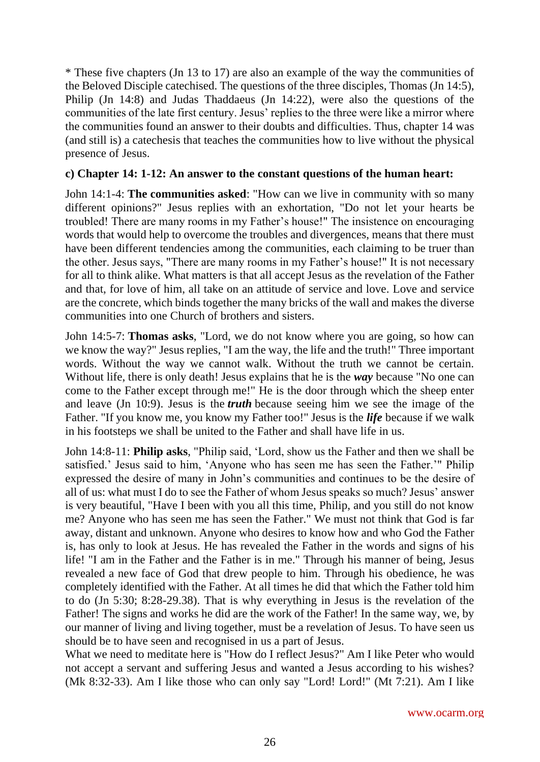\* These five chapters (Jn 13 to 17) are also an example of the way the communities of the Beloved Disciple catechised. The questions of the three disciples, Thomas (Jn 14:5), Philip (Jn 14:8) and Judas Thaddaeus (Jn 14:22), were also the questions of the communities of the late first century. Jesus' replies to the three were like a mirror where the communities found an answer to their doubts and difficulties. Thus, chapter 14 was (and still is) a catechesis that teaches the communities how to live without the physical presence of Jesus.

### **c) Chapter 14: 1-12: An answer to the constant questions of the human heart:**

John 14:1-4: **The communities asked**: "How can we live in community with so many different opinions?" Jesus replies with an exhortation, "Do not let your hearts be troubled! There are many rooms in my Father's house!" The insistence on encouraging words that would help to overcome the troubles and divergences, means that there must have been different tendencies among the communities, each claiming to be truer than the other. Jesus says, "There are many rooms in my Father's house!" It is not necessary for all to think alike. What matters is that all accept Jesus as the revelation of the Father and that, for love of him, all take on an attitude of service and love. Love and service are the concrete, which binds together the many bricks of the wall and makes the diverse communities into one Church of brothers and sisters.

John 14:5-7: **Thomas asks**, "Lord, we do not know where you are going, so how can we know the way?" Jesus replies, "I am the way, the life and the truth!" Three important words. Without the way we cannot walk. Without the truth we cannot be certain. Without life, there is only death! Jesus explains that he is the *way* because "No one can come to the Father except through me!" He is the door through which the sheep enter and leave (Jn 10:9). Jesus is the *truth* because seeing him we see the image of the Father. "If you know me, you know my Father too!" Jesus is the *life* because if we walk in his footsteps we shall be united to the Father and shall have life in us.

John 14:8-11: **Philip asks**, "Philip said, 'Lord, show us the Father and then we shall be satisfied.' Jesus said to him, 'Anyone who has seen me has seen the Father.'" Philip expressed the desire of many in John's communities and continues to be the desire of all of us: what must I do to see the Father of whom Jesus speaks so much? Jesus' answer is very beautiful, "Have I been with you all this time, Philip, and you still do not know me? Anyone who has seen me has seen the Father." We must not think that God is far away, distant and unknown. Anyone who desires to know how and who God the Father is, has only to look at Jesus. He has revealed the Father in the words and signs of his life! "I am in the Father and the Father is in me." Through his manner of being, Jesus revealed a new face of God that drew people to him. Through his obedience, he was completely identified with the Father. At all times he did that which the Father told him to do (Jn 5:30; 8:28-29.38). That is why everything in Jesus is the revelation of the Father! The signs and works he did are the work of the Father! In the same way, we, by our manner of living and living together, must be a revelation of Jesus. To have seen us should be to have seen and recognised in us a part of Jesus.

What we need to meditate here is "How do I reflect Jesus?" Am I like Peter who would not accept a servant and suffering Jesus and wanted a Jesus according to his wishes? (Mk 8:32-33). Am I like those who can only say "Lord! Lord!" (Mt 7:21). Am I like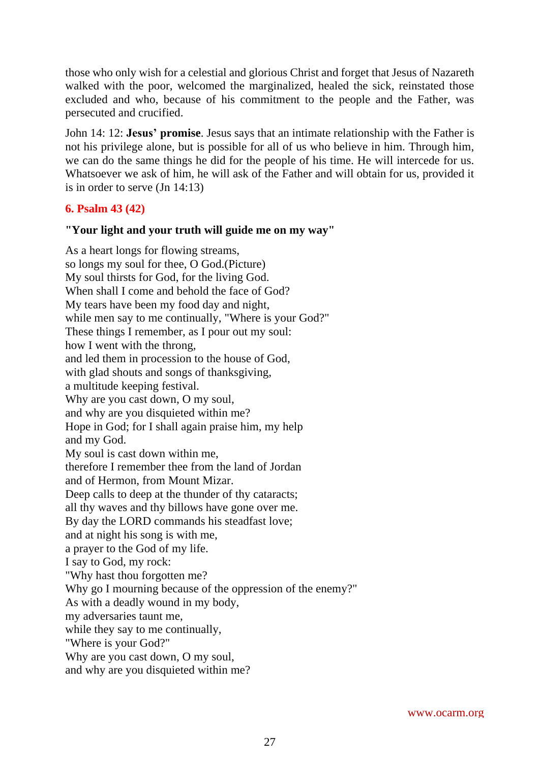those who only wish for a celestial and glorious Christ and forget that Jesus of Nazareth walked with the poor, welcomed the marginalized, healed the sick, reinstated those excluded and who, because of his commitment to the people and the Father, was persecuted and crucified.

John 14: 12: **Jesus' promise**. Jesus says that an intimate relationship with the Father is not his privilege alone, but is possible for all of us who believe in him. Through him, we can do the same things he did for the people of his time. He will intercede for us. Whatsoever we ask of him, he will ask of the Father and will obtain for us, provided it is in order to serve (Jn 14:13)

# **6. Psalm 43 (42)**

### **"Your light and your truth will guide me on my way"**

As a heart longs for flowing streams, so longs my soul for thee, O God.(Picture) My soul thirsts for God, for the living God. When shall I come and behold the face of God? My tears have been my food day and night, while men say to me continually, "Where is your God?" These things I remember, as I pour out my soul: how I went with the throng, and led them in procession to the house of God, with glad shouts and songs of thanksgiving, a multitude keeping festival. Why are you cast down, O my soul, and why are you disquieted within me? Hope in God; for I shall again praise him, my help and my God. My soul is cast down within me, therefore I remember thee from the land of Jordan and of Hermon, from Mount Mizar. Deep calls to deep at the thunder of thy cataracts; all thy waves and thy billows have gone over me. By day the LORD commands his steadfast love; and at night his song is with me, a prayer to the God of my life. I say to God, my rock: "Why hast thou forgotten me? Why go I mourning because of the oppression of the enemy?" As with a deadly wound in my body, my adversaries taunt me, while they say to me continually, "Where is your God?" Why are you cast down, O my soul,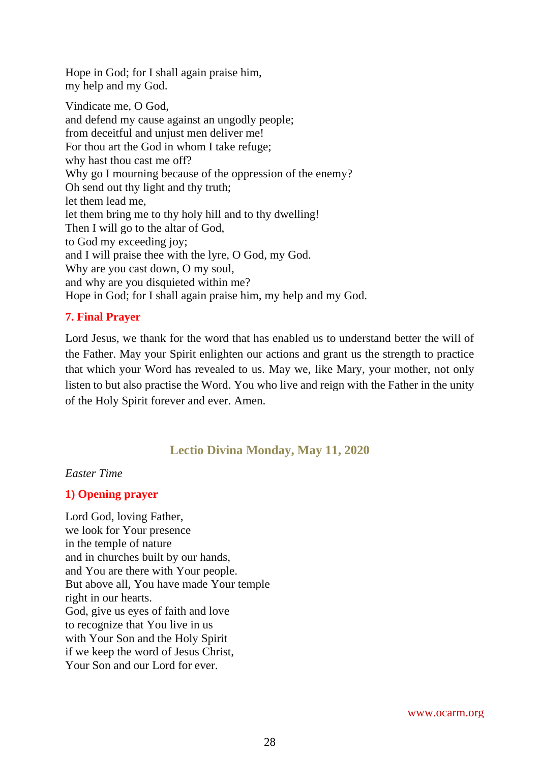Hope in God; for I shall again praise him, my help and my God.

Vindicate me, O God, and defend my cause against an ungodly people; from deceitful and unjust men deliver me! For thou art the God in whom I take refuge; why hast thou cast me off? Why go I mourning because of the oppression of the enemy? Oh send out thy light and thy truth; let them lead me, let them bring me to thy holy hill and to thy dwelling! Then I will go to the altar of God, to God my exceeding joy; and I will praise thee with the lyre, O God, my God. Why are you cast down, O my soul, and why are you disquieted within me? Hope in God; for I shall again praise him, my help and my God.

# **7. Final Prayer**

Lord Jesus, we thank for the word that has enabled us to understand better the will of the Father. May your Spirit enlighten our actions and grant us the strength to practice that which your Word has revealed to us. May we, like Mary, your mother, not only listen to but also practise the Word. You who live and reign with the Father in the unity of the Holy Spirit forever and ever. Amen.

# **Lectio Divina Monday, May 11, 2020**

<span id="page-27-0"></span>*Easter Time*

# **1) Opening prayer**

Lord God, loving Father, we look for Your presence in the temple of nature and in churches built by our hands, and You are there with Your people. But above all, You have made Your temple right in our hearts. God, give us eyes of faith and love to recognize that You live in us with Your Son and the Holy Spirit if we keep the word of Jesus Christ, Your Son and our Lord for ever.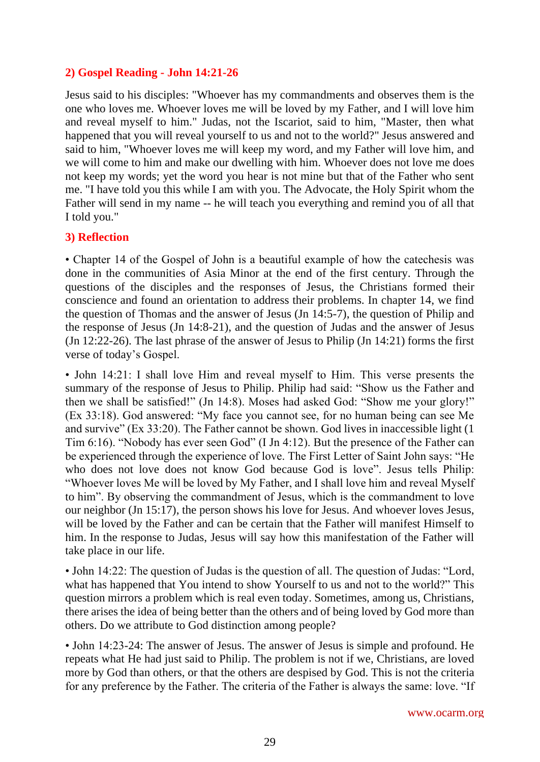# **2) Gospel Reading - John 14:21-26**

Jesus said to his disciples: "Whoever has my commandments and observes them is the one who loves me. Whoever loves me will be loved by my Father, and I will love him and reveal myself to him." Judas, not the Iscariot, said to him, "Master, then what happened that you will reveal yourself to us and not to the world?" Jesus answered and said to him, "Whoever loves me will keep my word, and my Father will love him, and we will come to him and make our dwelling with him. Whoever does not love me does not keep my words; yet the word you hear is not mine but that of the Father who sent me. "I have told you this while I am with you. The Advocate, the Holy Spirit whom the Father will send in my name -- he will teach you everything and remind you of all that I told you."

### **3) Reflection**

• Chapter 14 of the Gospel of John is a beautiful example of how the catechesis was done in the communities of Asia Minor at the end of the first century. Through the questions of the disciples and the responses of Jesus, the Christians formed their conscience and found an orientation to address their problems. In chapter 14, we find the question of Thomas and the answer of Jesus (Jn 14:5-7), the question of Philip and the response of Jesus (Jn 14:8-21), and the question of Judas and the answer of Jesus (Jn 12:22-26). The last phrase of the answer of Jesus to Philip (Jn 14:21) forms the first verse of today's Gospel.

• John 14:21: I shall love Him and reveal myself to Him. This verse presents the summary of the response of Jesus to Philip. Philip had said: "Show us the Father and then we shall be satisfied!" (Jn 14:8). Moses had asked God: "Show me your glory!" (Ex 33:18). God answered: "My face you cannot see, for no human being can see Me and survive" (Ex 33:20). The Father cannot be shown. God lives in inaccessible light (1 Tim 6:16). "Nobody has ever seen God" (I Jn 4:12). But the presence of the Father can be experienced through the experience of love. The First Letter of Saint John says: "He who does not love does not know God because God is love". Jesus tells Philip: "Whoever loves Me will be loved by My Father, and I shall love him and reveal Myself to him". By observing the commandment of Jesus, which is the commandment to love our neighbor (Jn 15:17), the person shows his love for Jesus. And whoever loves Jesus, will be loved by the Father and can be certain that the Father will manifest Himself to him. In the response to Judas, Jesus will say how this manifestation of the Father will take place in our life.

• John 14:22: The question of Judas is the question of all. The question of Judas: "Lord, what has happened that You intend to show Yourself to us and not to the world?" This question mirrors a problem which is real even today. Sometimes, among us, Christians, there arises the idea of being better than the others and of being loved by God more than others. Do we attribute to God distinction among people?

• John 14:23-24: The answer of Jesus. The answer of Jesus is simple and profound. He repeats what He had just said to Philip. The problem is not if we, Christians, are loved more by God than others, or that the others are despised by God. This is not the criteria for any preference by the Father. The criteria of the Father is always the same: love. "If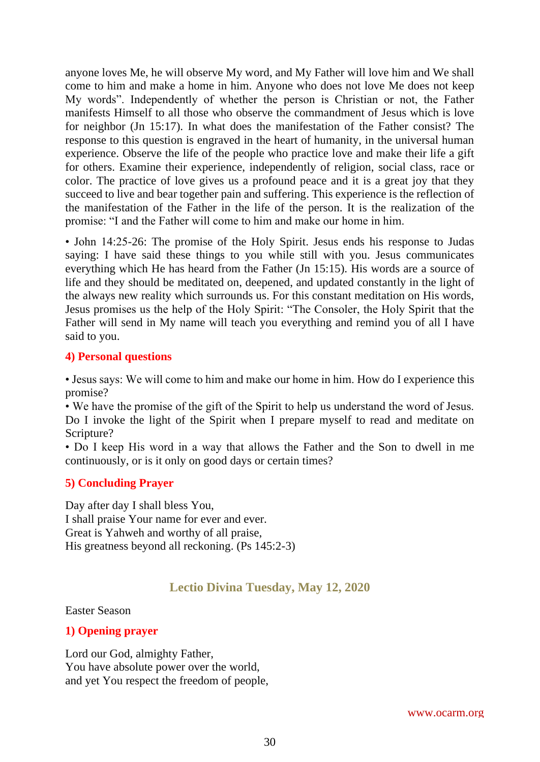anyone loves Me, he will observe My word, and My Father will love him and We shall come to him and make a home in him. Anyone who does not love Me does not keep My words". Independently of whether the person is Christian or not, the Father manifests Himself to all those who observe the commandment of Jesus which is love for neighbor (Jn 15:17). In what does the manifestation of the Father consist? The response to this question is engraved in the heart of humanity, in the universal human experience. Observe the life of the people who practice love and make their life a gift for others. Examine their experience, independently of religion, social class, race or color. The practice of love gives us a profound peace and it is a great joy that they succeed to live and bear together pain and suffering. This experience is the reflection of the manifestation of the Father in the life of the person. It is the realization of the promise: "I and the Father will come to him and make our home in him.

• John 14:25-26: The promise of the Holy Spirit. Jesus ends his response to Judas saying: I have said these things to you while still with you. Jesus communicates everything which He has heard from the Father (Jn 15:15). His words are a source of life and they should be meditated on, deepened, and updated constantly in the light of the always new reality which surrounds us. For this constant meditation on His words, Jesus promises us the help of the Holy Spirit: "The Consoler, the Holy Spirit that the Father will send in My name will teach you everything and remind you of all I have said to you.

#### **4) Personal questions**

• Jesus says: We will come to him and make our home in him. How do I experience this promise?

• We have the promise of the gift of the Spirit to help us understand the word of Jesus. Do I invoke the light of the Spirit when I prepare myself to read and meditate on Scripture?

• Do I keep His word in a way that allows the Father and the Son to dwell in me continuously, or is it only on good days or certain times?

# **5) Concluding Prayer**

Day after day I shall bless You, I shall praise Your name for ever and ever. Great is Yahweh and worthy of all praise, His greatness beyond all reckoning. (Ps 145:2-3)

# **Lectio Divina Tuesday, May 12, 2020**

<span id="page-29-0"></span>Easter Season

# **1) Opening prayer**

Lord our God, almighty Father, You have absolute power over the world, and yet You respect the freedom of people,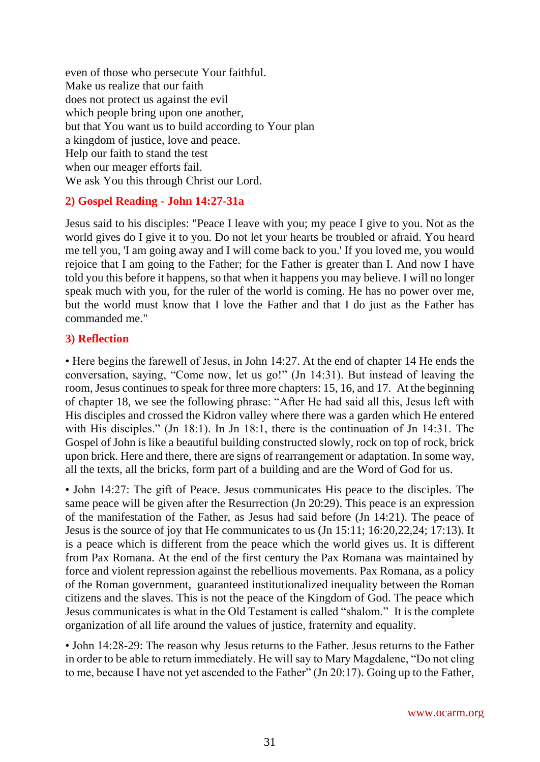even of those who persecute Your faithful. Make us realize that our faith does not protect us against the evil which people bring upon one another, but that You want us to build according to Your plan a kingdom of justice, love and peace. Help our faith to stand the test when our meager efforts fail. We ask You this through Christ our Lord.

# **2) Gospel Reading - John 14:27-31a**

Jesus said to his disciples: "Peace I leave with you; my peace I give to you. Not as the world gives do I give it to you. Do not let your hearts be troubled or afraid. You heard me tell you, 'I am going away and I will come back to you.' If you loved me, you would rejoice that I am going to the Father; for the Father is greater than I. And now I have told you this before it happens, so that when it happens you may believe. I will no longer speak much with you, for the ruler of the world is coming. He has no power over me, but the world must know that I love the Father and that I do just as the Father has commanded me."

### **3) Reflection**

• Here begins the farewell of Jesus, in John 14:27. At the end of chapter 14 He ends the conversation, saying, "Come now, let us go!" (Jn 14:31). But instead of leaving the room, Jesus continues to speak for three more chapters: 15, 16, and 17. At the beginning of chapter 18, we see the following phrase: "After He had said all this, Jesus left with His disciples and crossed the Kidron valley where there was a garden which He entered with His disciples." (Jn 18:1). In Jn 18:1, there is the continuation of Jn 14:31. The Gospel of John is like a beautiful building constructed slowly, rock on top of rock, brick upon brick. Here and there, there are signs of rearrangement or adaptation. In some way, all the texts, all the bricks, form part of a building and are the Word of God for us.

• John 14:27: The gift of Peace. Jesus communicates His peace to the disciples. The same peace will be given after the Resurrection (Jn 20:29). This peace is an expression of the manifestation of the Father, as Jesus had said before (Jn 14:21). The peace of Jesus is the source of joy that He communicates to us (Jn 15:11; 16:20,22,24; 17:13). It is a peace which is different from the peace which the world gives us. It is different from Pax Romana. At the end of the first century the Pax Romana was maintained by force and violent repression against the rebellious movements. Pax Romana, as a policy of the Roman government, guaranteed institutionalized inequality between the Roman citizens and the slaves. This is not the peace of the Kingdom of God. The peace which Jesus communicates is what in the Old Testament is called "shalom." It is the complete organization of all life around the values of justice, fraternity and equality.

• John 14:28-29: The reason why Jesus returns to the Father. Jesus returns to the Father in order to be able to return immediately. He will say to Mary Magdalene, "Do not cling to me, because I have not yet ascended to the Father" (Jn 20:17). Going up to the Father,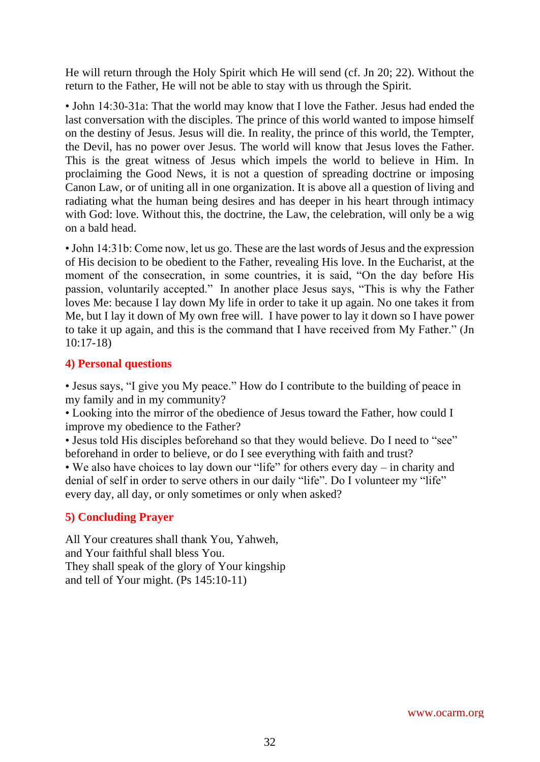He will return through the Holy Spirit which He will send (cf. Jn 20; 22). Without the return to the Father, He will not be able to stay with us through the Spirit.

• John 14:30-31a: That the world may know that I love the Father. Jesus had ended the last conversation with the disciples. The prince of this world wanted to impose himself on the destiny of Jesus. Jesus will die. In reality, the prince of this world, the Tempter, the Devil, has no power over Jesus. The world will know that Jesus loves the Father. This is the great witness of Jesus which impels the world to believe in Him. In proclaiming the Good News, it is not a question of spreading doctrine or imposing Canon Law, or of uniting all in one organization. It is above all a question of living and radiating what the human being desires and has deeper in his heart through intimacy with God: love. Without this, the doctrine, the Law, the celebration, will only be a wig on a bald head.

• John 14:31b: Come now, let us go. These are the last words of Jesus and the expression of His decision to be obedient to the Father, revealing His love. In the Eucharist, at the moment of the consecration, in some countries, it is said, "On the day before His passion, voluntarily accepted." In another place Jesus says, "This is why the Father loves Me: because I lay down My life in order to take it up again. No one takes it from Me, but I lay it down of My own free will. I have power to lay it down so I have power to take it up again, and this is the command that I have received from My Father." (Jn 10:17-18)

# **4) Personal questions**

• Jesus says, "I give you My peace." How do I contribute to the building of peace in my family and in my community?

• Looking into the mirror of the obedience of Jesus toward the Father, how could I improve my obedience to the Father?

• Jesus told His disciples beforehand so that they would believe. Do I need to "see" beforehand in order to believe, or do I see everything with faith and trust?

• We also have choices to lay down our "life" for others every day – in charity and denial of self in order to serve others in our daily "life". Do I volunteer my "life" every day, all day, or only sometimes or only when asked?

# **5) Concluding Prayer**

All Your creatures shall thank You, Yahweh, and Your faithful shall bless You. They shall speak of the glory of Your kingship and tell of Your might. (Ps 145:10-11)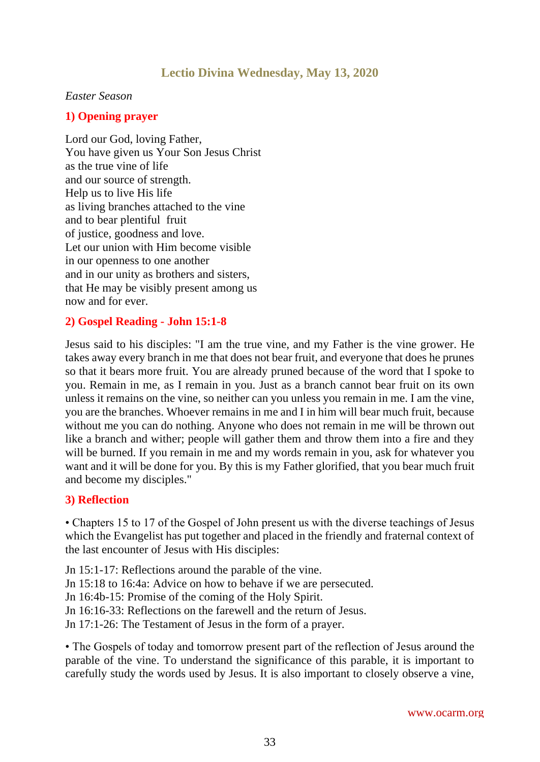# **Lectio Divina Wednesday, May 13, 2020**

#### <span id="page-32-0"></span>*Easter Season*

#### **1) Opening prayer**

Lord our God, loving Father, You have given us Your Son Jesus Christ as the true vine of life and our source of strength. Help us to live His life as living branches attached to the vine and to bear plentiful fruit of justice, goodness and love. Let our union with Him become visible in our openness to one another and in our unity as brothers and sisters, that He may be visibly present among us now and for ever.

### **2) Gospel Reading - John 15:1-8**

Jesus said to his disciples: "I am the true vine, and my Father is the vine grower. He takes away every branch in me that does not bear fruit, and everyone that does he prunes so that it bears more fruit. You are already pruned because of the word that I spoke to you. Remain in me, as I remain in you. Just as a branch cannot bear fruit on its own unless it remains on the vine, so neither can you unless you remain in me. I am the vine, you are the branches. Whoever remains in me and I in him will bear much fruit, because without me you can do nothing. Anyone who does not remain in me will be thrown out like a branch and wither; people will gather them and throw them into a fire and they will be burned. If you remain in me and my words remain in you, ask for whatever you want and it will be done for you. By this is my Father glorified, that you bear much fruit and become my disciples."

#### **3) Reflection**

• Chapters 15 to 17 of the Gospel of John present us with the diverse teachings of Jesus which the Evangelist has put together and placed in the friendly and fraternal context of the last encounter of Jesus with His disciples:

Jn 15:1-17: Reflections around the parable of the vine. Jn 15:18 to 16:4a: Advice on how to behave if we are persecuted. Jn 16:4b-15: Promise of the coming of the Holy Spirit. Jn 16:16-33: Reflections on the farewell and the return of Jesus. Jn 17:1-26: The Testament of Jesus in the form of a prayer.

• The Gospels of today and tomorrow present part of the reflection of Jesus around the parable of the vine. To understand the significance of this parable, it is important to carefully study the words used by Jesus. It is also important to closely observe a vine,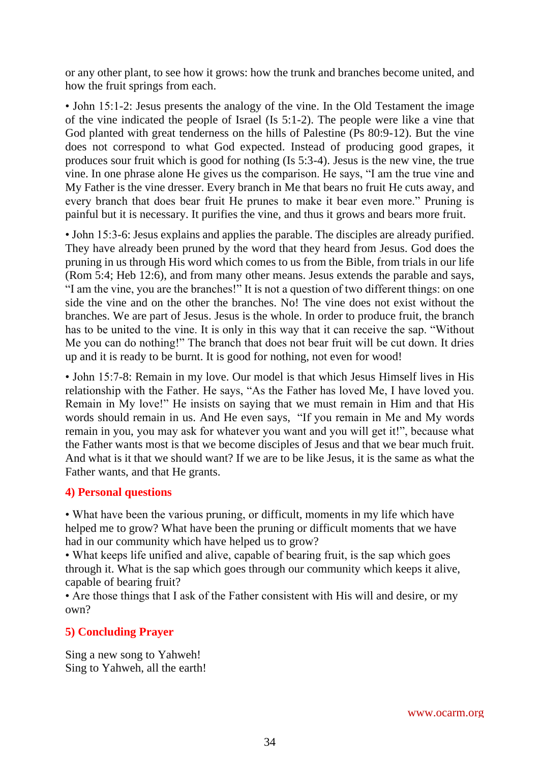or any other plant, to see how it grows: how the trunk and branches become united, and how the fruit springs from each.

• John 15:1-2: Jesus presents the analogy of the vine. In the Old Testament the image of the vine indicated the people of Israel (Is 5:1-2). The people were like a vine that God planted with great tenderness on the hills of Palestine (Ps 80:9-12). But the vine does not correspond to what God expected. Instead of producing good grapes, it produces sour fruit which is good for nothing (Is 5:3-4). Jesus is the new vine, the true vine. In one phrase alone He gives us the comparison. He says, "I am the true vine and My Father is the vine dresser. Every branch in Me that bears no fruit He cuts away, and every branch that does bear fruit He prunes to make it bear even more." Pruning is painful but it is necessary. It purifies the vine, and thus it grows and bears more fruit.

• John 15:3-6: Jesus explains and applies the parable. The disciples are already purified. They have already been pruned by the word that they heard from Jesus. God does the pruning in us through His word which comes to us from the Bible, from trials in our life (Rom 5:4; Heb 12:6), and from many other means. Jesus extends the parable and says, "I am the vine, you are the branches!" It is not a question of two different things: on one side the vine and on the other the branches. No! The vine does not exist without the branches. We are part of Jesus. Jesus is the whole. In order to produce fruit, the branch has to be united to the vine. It is only in this way that it can receive the sap. "Without Me you can do nothing!" The branch that does not bear fruit will be cut down. It dries up and it is ready to be burnt. It is good for nothing, not even for wood!

• John 15:7-8: Remain in my love. Our model is that which Jesus Himself lives in His relationship with the Father. He says, "As the Father has loved Me, I have loved you. Remain in My love!" He insists on saying that we must remain in Him and that His words should remain in us. And He even says, "If you remain in Me and My words remain in you, you may ask for whatever you want and you will get it!", because what the Father wants most is that we become disciples of Jesus and that we bear much fruit. And what is it that we should want? If we are to be like Jesus, it is the same as what the Father wants, and that He grants.

# **4) Personal questions**

• What have been the various pruning, or difficult, moments in my life which have helped me to grow? What have been the pruning or difficult moments that we have had in our community which have helped us to grow?

• What keeps life unified and alive, capable of bearing fruit, is the sap which goes through it. What is the sap which goes through our community which keeps it alive, capable of bearing fruit?

• Are those things that I ask of the Father consistent with His will and desire, or my own?

# **5) Concluding Prayer**

Sing a new song to Yahweh! Sing to Yahweh, all the earth!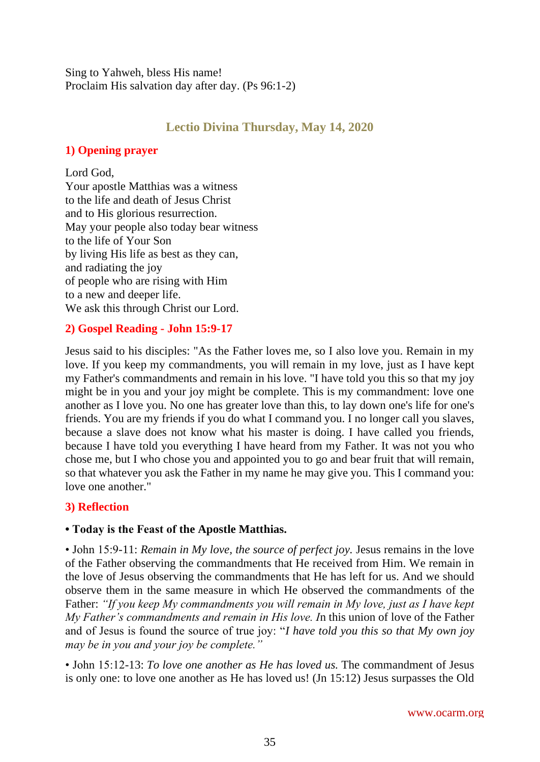Sing to Yahweh, bless His name! Proclaim His salvation day after day. (Ps 96:1-2)

### **Lectio Divina Thursday, May 14, 2020**

#### <span id="page-34-0"></span>**1) Opening prayer**

#### Lord God,

Your apostle Matthias was a witness to the life and death of Jesus Christ and to His glorious resurrection. May your people also today bear witness to the life of Your Son by living His life as best as they can, and radiating the joy of people who are rising with Him to a new and deeper life. We ask this through Christ our Lord.

### **2) Gospel Reading - John 15:9-17**

Jesus said to his disciples: "As the Father loves me, so I also love you. Remain in my love. If you keep my commandments, you will remain in my love, just as I have kept my Father's commandments and remain in his love. "I have told you this so that my joy might be in you and your joy might be complete. This is my commandment: love one another as I love you. No one has greater love than this, to lay down one's life for one's friends. You are my friends if you do what I command you. I no longer call you slaves, because a slave does not know what his master is doing. I have called you friends, because I have told you everything I have heard from my Father. It was not you who chose me, but I who chose you and appointed you to go and bear fruit that will remain, so that whatever you ask the Father in my name he may give you. This I command you: love one another."

#### **3) Reflection**

#### **• Today is the Feast of the Apostle Matthias.**

• John 15:9-11: *Remain in My love, the source of perfect joy.* Jesus remains in the love of the Father observing the commandments that He received from Him. We remain in the love of Jesus observing the commandments that He has left for us. And we should observe them in the same measure in which He observed the commandments of the Father: *"If you keep My commandments you will remain in My love, just as I have kept My Father's commandments and remain in His love. I*n this union of love of the Father and of Jesus is found the source of true joy: "*I have told you this so that My own joy may be in you and your joy be complete."*

• John 15:12-13: *To love one another as He has loved us.* The commandment of Jesus is only one: to love one another as He has loved us! (Jn 15:12) Jesus surpasses the Old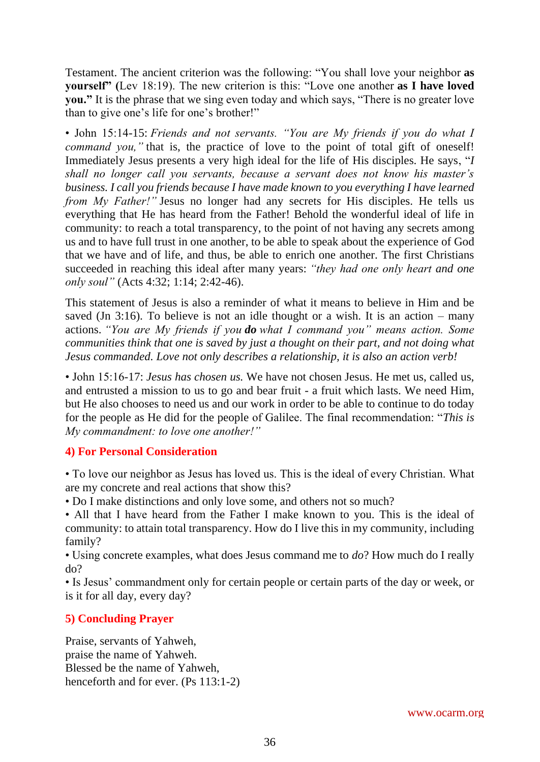Testament. The ancient criterion was the following: "You shall love your neighbor **as yourself" (**Lev 18:19). The new criterion is this: "Love one another **as I have loved you."** It is the phrase that we sing even today and which says, "There is no greater love than to give one's life for one's brother!"

• John 15:14-15: *Friends and not servants. "You are My friends if you do what I command you,* "that is, the practice of love to the point of total gift of oneself! Immediately Jesus presents a very high ideal for the life of His disciples. He says, "*I shall no longer call you servants, because a servant does not know his master's business. I call you friends because I have made known to you everything I have learned from My Father!"* Jesus no longer had any secrets for His disciples. He tells us everything that He has heard from the Father! Behold the wonderful ideal of life in community: to reach a total transparency, to the point of not having any secrets among us and to have full trust in one another, to be able to speak about the experience of God that we have and of life, and thus, be able to enrich one another. The first Christians succeeded in reaching this ideal after many years: *"they had one only heart and one only soul"* (Acts 4:32; 1:14; 2:42-46).

This statement of Jesus is also a reminder of what it means to believe in Him and be saved (Jn 3:16). To believe is not an idle thought or a wish. It is an action – many actions. *"You are My friends if you do what I command you" means action. Some communities think that one is saved by just a thought on their part, and not doing what Jesus commanded. Love not only describes a relationship, it is also an action verb!*

• John 15:16-17: *Jesus has chosen us.* We have not chosen Jesus. He met us, called us, and entrusted a mission to us to go and bear fruit - a fruit which lasts. We need Him, but He also chooses to need us and our work in order to be able to continue to do today for the people as He did for the people of Galilee. The final recommendation: "*This is My commandment: to love one another!"*

# **4) For Personal Consideration**

• To love our neighbor as Jesus has loved us. This is the ideal of every Christian. What are my concrete and real actions that show this?

• Do I make distinctions and only love some, and others not so much?

• All that I have heard from the Father I make known to you. This is the ideal of community: to attain total transparency. How do I live this in my community, including family?

• Using concrete examples, what does Jesus command me to *do*? How much do I really do?

• Is Jesus' commandment only for certain people or certain parts of the day or week, or is it for all day, every day?

# **5) Concluding Prayer**

Praise, servants of Yahweh, praise the name of Yahweh. Blessed be the name of Yahweh, henceforth and for ever. (Ps 113:1-2)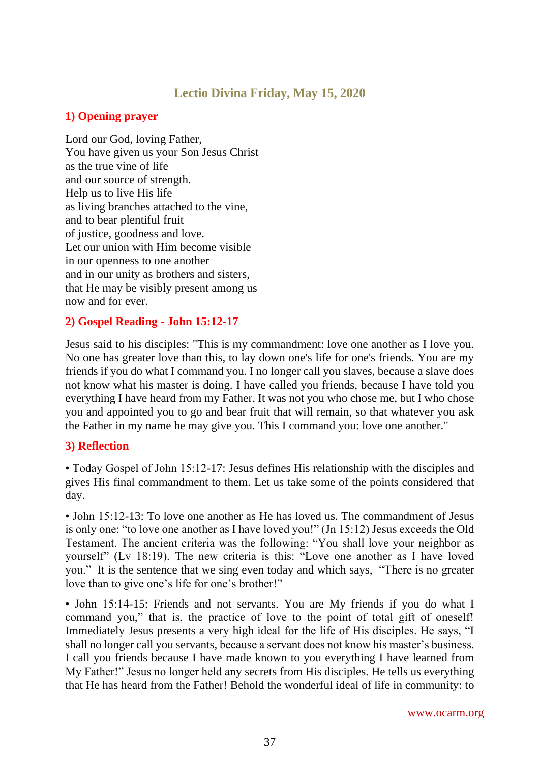# **Lectio Divina Friday, May 15, 2020**

### **1) Opening prayer**

Lord our God, loving Father, You have given us your Son Jesus Christ as the true vine of life and our source of strength. Help us to live His life as living branches attached to the vine, and to bear plentiful fruit of justice, goodness and love. Let our union with Him become visible in our openness to one another and in our unity as brothers and sisters, that He may be visibly present among us now and for ever.

## **2) Gospel Reading - John 15:12-17**

Jesus said to his disciples: "This is my commandment: love one another as I love you. No one has greater love than this, to lay down one's life for one's friends. You are my friends if you do what I command you. I no longer call you slaves, because a slave does not know what his master is doing. I have called you friends, because I have told you everything I have heard from my Father. It was not you who chose me, but I who chose you and appointed you to go and bear fruit that will remain, so that whatever you ask the Father in my name he may give you. This I command you: love one another."

#### **3) Reflection**

• Today Gospel of John 15:12-17: Jesus defines His relationship with the disciples and gives His final commandment to them. Let us take some of the points considered that day.

• John 15:12-13: To love one another as He has loved us. The commandment of Jesus is only one: "to love one another as I have loved you!" (Jn 15:12) Jesus exceeds the Old Testament. The ancient criteria was the following: "You shall love your neighbor as yourself" (Lv 18:19). The new criteria is this: "Love one another as I have loved you." It is the sentence that we sing even today and which says, "There is no greater love than to give one's life for one's brother!"

• John 15:14-15: Friends and not servants. You are My friends if you do what I command you," that is, the practice of love to the point of total gift of oneself! Immediately Jesus presents a very high ideal for the life of His disciples. He says, "I shall no longer call you servants, because a servant does not know his master's business. I call you friends because I have made known to you everything I have learned from My Father!" Jesus no longer held any secrets from His disciples. He tells us everything that He has heard from the Father! Behold the wonderful ideal of life in community: to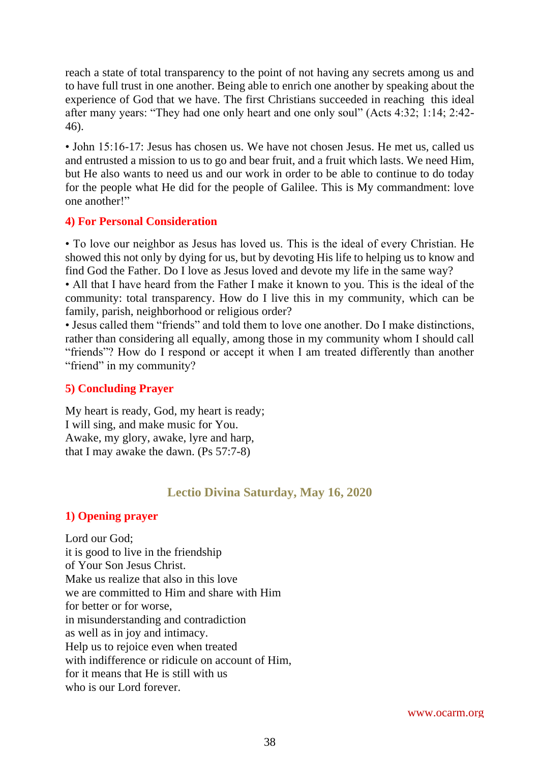reach a state of total transparency to the point of not having any secrets among us and to have full trust in one another. Being able to enrich one another by speaking about the experience of God that we have. The first Christians succeeded in reaching this ideal after many years: "They had one only heart and one only soul" (Acts 4:32; 1:14; 2:42- 46).

• John 15:16-17: Jesus has chosen us. We have not chosen Jesus. He met us, called us and entrusted a mission to us to go and bear fruit, and a fruit which lasts. We need Him, but He also wants to need us and our work in order to be able to continue to do today for the people what He did for the people of Galilee. This is My commandment: love one another!"

### **4) For Personal Consideration**

• To love our neighbor as Jesus has loved us. This is the ideal of every Christian. He showed this not only by dying for us, but by devoting His life to helping us to know and find God the Father. Do I love as Jesus loved and devote my life in the same way?

• All that I have heard from the Father I make it known to you. This is the ideal of the community: total transparency. How do I live this in my community, which can be family, parish, neighborhood or religious order?

• Jesus called them "friends" and told them to love one another. Do I make distinctions, rather than considering all equally, among those in my community whom I should call "friends"? How do I respond or accept it when I am treated differently than another "friend" in my community?

## **5) Concluding Prayer**

My heart is ready, God, my heart is ready; I will sing, and make music for You. Awake, my glory, awake, lyre and harp, that I may awake the dawn. (Ps 57:7-8)

## **Lectio Divina Saturday, May 16, 2020**

## **1) Opening prayer**

Lord our God; it is good to live in the friendship of Your Son Jesus Christ. Make us realize that also in this love we are committed to Him and share with Him for better or for worse, in misunderstanding and contradiction as well as in joy and intimacy. Help us to rejoice even when treated with indifference or ridicule on account of Him, for it means that He is still with us who is our Lord forever.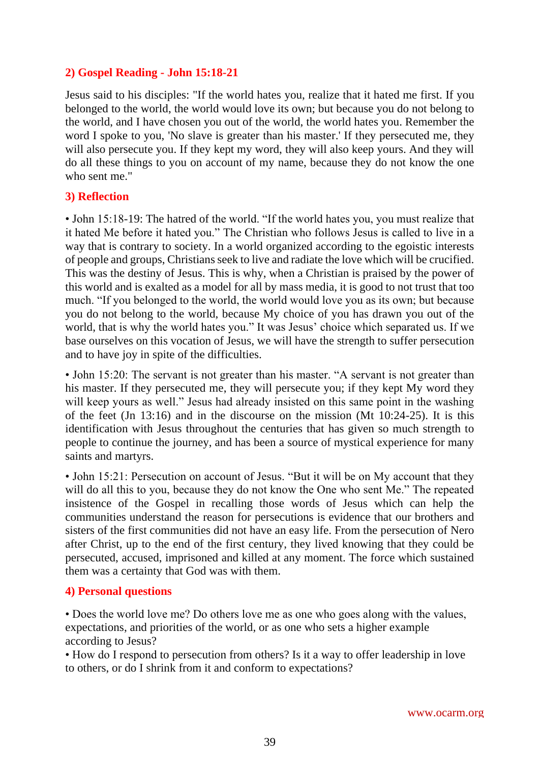## **2) Gospel Reading - John 15:18-21**

Jesus said to his disciples: "If the world hates you, realize that it hated me first. If you belonged to the world, the world would love its own; but because you do not belong to the world, and I have chosen you out of the world, the world hates you. Remember the word I spoke to you, 'No slave is greater than his master.' If they persecuted me, they will also persecute you. If they kept my word, they will also keep yours. And they will do all these things to you on account of my name, because they do not know the one who sent me."

## **3) Reflection**

• John 15:18-19: The hatred of the world. "If the world hates you, you must realize that it hated Me before it hated you." The Christian who follows Jesus is called to live in a way that is contrary to society. In a world organized according to the egoistic interests of people and groups, Christians seek to live and radiate the love which will be crucified. This was the destiny of Jesus. This is why, when a Christian is praised by the power of this world and is exalted as a model for all by mass media, it is good to not trust that too much. "If you belonged to the world, the world would love you as its own; but because you do not belong to the world, because My choice of you has drawn you out of the world, that is why the world hates you." It was Jesus' choice which separated us. If we base ourselves on this vocation of Jesus, we will have the strength to suffer persecution and to have joy in spite of the difficulties.

• John 15:20: The servant is not greater than his master. "A servant is not greater than his master. If they persecuted me, they will persecute you; if they kept My word they will keep yours as well." Jesus had already insisted on this same point in the washing of the feet (Jn 13:16) and in the discourse on the mission (Mt 10:24-25). It is this identification with Jesus throughout the centuries that has given so much strength to people to continue the journey, and has been a source of mystical experience for many saints and martyrs.

• John 15:21: Persecution on account of Jesus. "But it will be on My account that they will do all this to you, because they do not know the One who sent Me." The repeated insistence of the Gospel in recalling those words of Jesus which can help the communities understand the reason for persecutions is evidence that our brothers and sisters of the first communities did not have an easy life. From the persecution of Nero after Christ, up to the end of the first century, they lived knowing that they could be persecuted, accused, imprisoned and killed at any moment. The force which sustained them was a certainty that God was with them.

## **4) Personal questions**

• Does the world love me? Do others love me as one who goes along with the values, expectations, and priorities of the world, or as one who sets a higher example according to Jesus?

• How do I respond to persecution from others? Is it a way to offer leadership in love to others, or do I shrink from it and conform to expectations?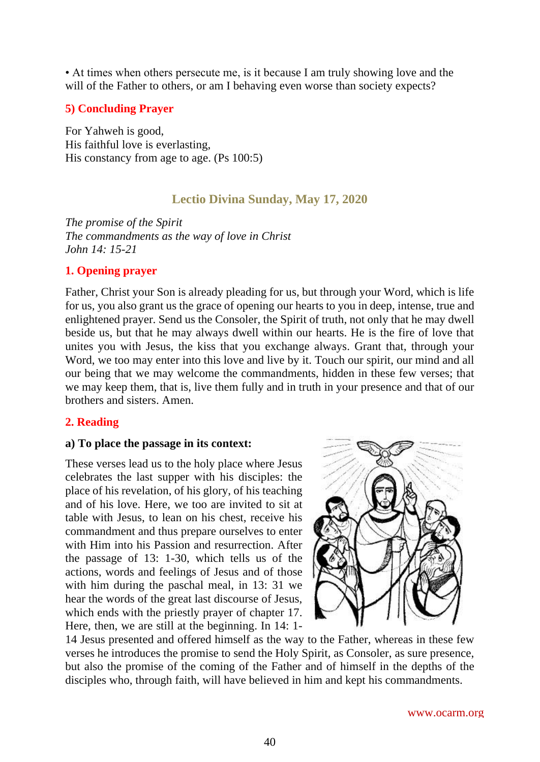• At times when others persecute me, is it because I am truly showing love and the will of the Father to others, or am I behaving even worse than society expects?

### **5) Concluding Prayer**

For Yahweh is good, His faithful love is everlasting, His constancy from age to age. (Ps 100:5)

## **Lectio Divina Sunday, May 17, 2020**

*The promise of the Spirit The commandments as the way of love in Christ John 14: 15-21*

#### **1. Opening prayer**

Father, Christ your Son is already pleading for us, but through your Word, which is life for us, you also grant us the grace of opening our hearts to you in deep, intense, true and enlightened prayer. Send us the Consoler, the Spirit of truth, not only that he may dwell beside us, but that he may always dwell within our hearts. He is the fire of love that unites you with Jesus, the kiss that you exchange always. Grant that, through your Word, we too may enter into this love and live by it. Touch our spirit, our mind and all our being that we may welcome the commandments, hidden in these few verses; that we may keep them, that is, live them fully and in truth in your presence and that of our brothers and sisters. Amen.

## **2. Reading**

#### **a) To place the passage in its context:**

These verses lead us to the holy place where Jesus celebrates the last supper with his disciples: the place of his revelation, of his glory, of his teaching and of his love. Here, we too are invited to sit at table with Jesus, to lean on his chest, receive his commandment and thus prepare ourselves to enter with Him into his Passion and resurrection. After the passage of 13: 1-30, which tells us of the actions, words and feelings of Jesus and of those with him during the paschal meal, in 13: 31 we hear the words of the great last discourse of Jesus, which ends with the priestly prayer of chapter 17. Here, then, we are still at the beginning. In 14: 1-



14 Jesus presented and offered himself as the way to the Father, whereas in these few verses he introduces the promise to send the Holy Spirit, as Consoler, as sure presence, but also the promise of the coming of the Father and of himself in the depths of the disciples who, through faith, will have believed in him and kept his commandments.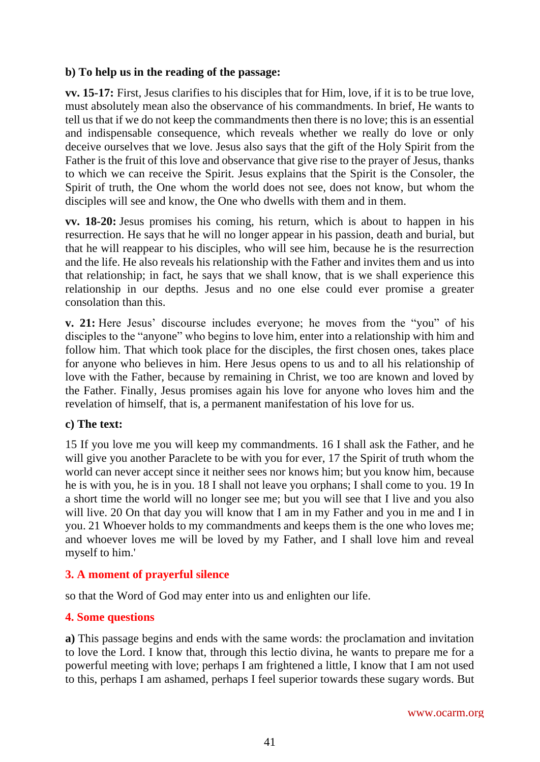## **b) To help us in the reading of the passage:**

**vv. 15-17:** First, Jesus clarifies to his disciples that for Him, love, if it is to be true love, must absolutely mean also the observance of his commandments. In brief, He wants to tell us that if we do not keep the commandments then there is no love; this is an essential and indispensable consequence, which reveals whether we really do love or only deceive ourselves that we love. Jesus also says that the gift of the Holy Spirit from the Father is the fruit of this love and observance that give rise to the prayer of Jesus, thanks to which we can receive the Spirit. Jesus explains that the Spirit is the Consoler, the Spirit of truth, the One whom the world does not see, does not know, but whom the disciples will see and know, the One who dwells with them and in them.

**vv. 18-20:** Jesus promises his coming, his return, which is about to happen in his resurrection. He says that he will no longer appear in his passion, death and burial, but that he will reappear to his disciples, who will see him, because he is the resurrection and the life. He also reveals his relationship with the Father and invites them and us into that relationship; in fact, he says that we shall know, that is we shall experience this relationship in our depths. Jesus and no one else could ever promise a greater consolation than this.

**v. 21:** Here Jesus' discourse includes everyone; he moves from the "you" of his disciples to the "anyone" who begins to love him, enter into a relationship with him and follow him. That which took place for the disciples, the first chosen ones, takes place for anyone who believes in him. Here Jesus opens to us and to all his relationship of love with the Father, because by remaining in Christ, we too are known and loved by the Father. Finally, Jesus promises again his love for anyone who loves him and the revelation of himself, that is, a permanent manifestation of his love for us.

## **c) The text:**

15 If you love me you will keep my commandments. 16 I shall ask the Father, and he will give you another Paraclete to be with you for ever, 17 the Spirit of truth whom the world can never accept since it neither sees nor knows him; but you know him, because he is with you, he is in you. 18 I shall not leave you orphans; I shall come to you. 19 In a short time the world will no longer see me; but you will see that I live and you also will live. 20 On that day you will know that I am in my Father and you in me and I in you. 21 Whoever holds to my commandments and keeps them is the one who loves me; and whoever loves me will be loved by my Father, and I shall love him and reveal myself to him.'

## **3. A moment of prayerful silence**

so that the Word of God may enter into us and enlighten our life.

## **4. Some questions**

**a)** This passage begins and ends with the same words: the proclamation and invitation to love the Lord. I know that, through this lectio divina, he wants to prepare me for a powerful meeting with love; perhaps I am frightened a little, I know that I am not used to this, perhaps I am ashamed, perhaps I feel superior towards these sugary words. But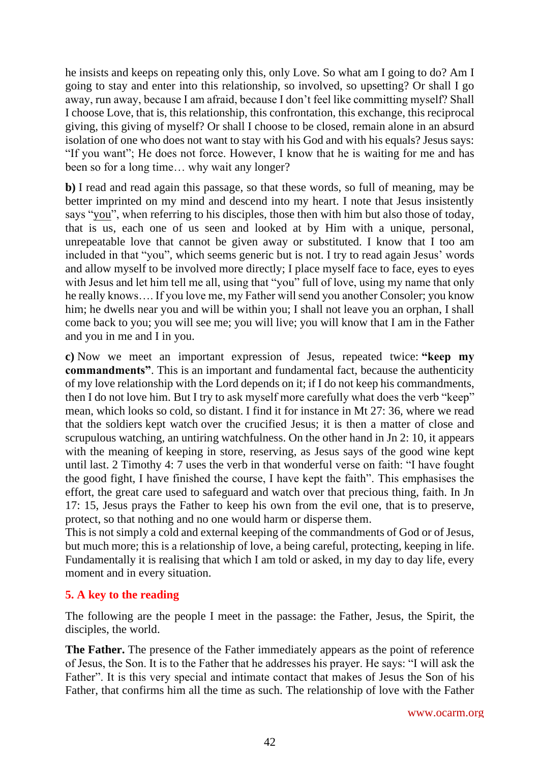he insists and keeps on repeating only this, only Love. So what am I going to do? Am I going to stay and enter into this relationship, so involved, so upsetting? Or shall I go away, run away, because I am afraid, because I don't feel like committing myself? Shall I choose Love, that is, this relationship, this confrontation, this exchange, this reciprocal giving, this giving of myself? Or shall I choose to be closed, remain alone in an absurd isolation of one who does not want to stay with his God and with his equals? Jesus says: "If you want"; He does not force. However, I know that he is waiting for me and has been so for a long time… why wait any longer?

**b)** I read and read again this passage, so that these words, so full of meaning, may be better imprinted on my mind and descend into my heart. I note that Jesus insistently says "you", when referring to his disciples, those then with him but also those of today, that is us, each one of us seen and looked at by Him with a unique, personal, unrepeatable love that cannot be given away or substituted. I know that I too am included in that "you", which seems generic but is not. I try to read again Jesus' words and allow myself to be involved more directly; I place myself face to face, eyes to eyes with Jesus and let him tell me all, using that "you" full of love, using my name that only he really knows…. If you love me, my Father will send you another Consoler; you know him; he dwells near you and will be within you; I shall not leave you an orphan, I shall come back to you; you will see me; you will live; you will know that I am in the Father and you in me and I in you.

**c)** Now we meet an important expression of Jesus, repeated twice: **"keep my commandments"**. This is an important and fundamental fact, because the authenticity of my love relationship with the Lord depends on it; if I do not keep his commandments, then I do not love him. But I try to ask myself more carefully what does the verb "keep" mean, which looks so cold, so distant. I find it for instance in Mt 27: 36, where we read that the soldiers kept watch over the crucified Jesus; it is then a matter of close and scrupulous watching, an untiring watchfulness. On the other hand in Jn 2: 10, it appears with the meaning of keeping in store, reserving, as Jesus says of the good wine kept until last. 2 Timothy 4: 7 uses the verb in that wonderful verse on faith: "I have fought the good fight, I have finished the course, I have kept the faith". This emphasises the effort, the great care used to safeguard and watch over that precious thing, faith. In Jn 17: 15, Jesus prays the Father to keep his own from the evil one, that is to preserve, protect, so that nothing and no one would harm or disperse them.

This is not simply a cold and external keeping of the commandments of God or of Jesus, but much more; this is a relationship of love, a being careful, protecting, keeping in life. Fundamentally it is realising that which I am told or asked, in my day to day life, every moment and in every situation.

## **5. A key to the reading**

The following are the people I meet in the passage: the Father, Jesus, the Spirit, the disciples, the world.

**The Father.** The presence of the Father immediately appears as the point of reference of Jesus, the Son. It is to the Father that he addresses his prayer. He says: "I will ask the Father". It is this very special and intimate contact that makes of Jesus the Son of his Father, that confirms him all the time as such. The relationship of love with the Father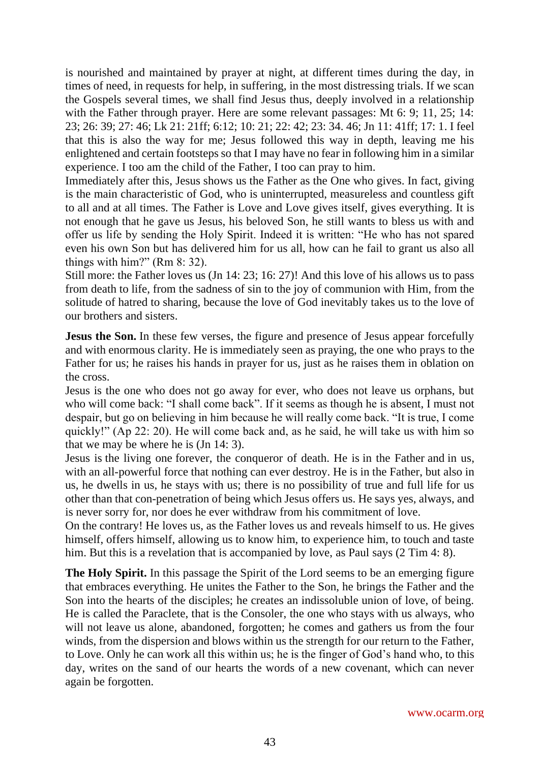is nourished and maintained by prayer at night, at different times during the day, in times of need, in requests for help, in suffering, in the most distressing trials. If we scan the Gospels several times, we shall find Jesus thus, deeply involved in a relationship with the Father through prayer. Here are some relevant passages: Mt 6: 9; 11, 25; 14: 23; 26: 39; 27: 46; Lk 21: 21ff; 6:12; 10: 21; 22: 42; 23: 34. 46; Jn 11: 41ff; 17: 1. I feel that this is also the way for me; Jesus followed this way in depth, leaving me his enlightened and certain footsteps so that I may have no fear in following him in a similar experience. I too am the child of the Father, I too can pray to him.

Immediately after this, Jesus shows us the Father as the One who gives. In fact, giving is the main characteristic of God, who is uninterrupted, measureless and countless gift to all and at all times. The Father is Love and Love gives itself, gives everything. It is not enough that he gave us Jesus, his beloved Son, he still wants to bless us with and offer us life by sending the Holy Spirit. Indeed it is written: "He who has not spared even his own Son but has delivered him for us all, how can he fail to grant us also all things with him?" (Rm 8: 32).

Still more: the Father loves us (Jn 14: 23; 16: 27)! And this love of his allows us to pass from death to life, from the sadness of sin to the joy of communion with Him, from the solitude of hatred to sharing, because the love of God inevitably takes us to the love of our brothers and sisters.

**Jesus the Son.** In these few verses, the figure and presence of Jesus appear forcefully and with enormous clarity. He is immediately seen as praying, the one who prays to the Father for us; he raises his hands in prayer for us, just as he raises them in oblation on the cross.

Jesus is the one who does not go away for ever, who does not leave us orphans, but who will come back: "I shall come back". If it seems as though he is absent, I must not despair, but go on believing in him because he will really come back. "It is true, I come quickly!" (Ap 22: 20). He will come back and, as he said, he will take us with him so that we may be where he is (Jn 14: 3).

Jesus is the living one forever, the conqueror of death. He is in the Father and in us, with an all-powerful force that nothing can ever destroy. He is in the Father, but also in us, he dwells in us, he stays with us; there is no possibility of true and full life for us other than that con-penetration of being which Jesus offers us. He says yes, always, and is never sorry for, nor does he ever withdraw from his commitment of love.

On the contrary! He loves us, as the Father loves us and reveals himself to us. He gives himself, offers himself, allowing us to know him, to experience him, to touch and taste him. But this is a revelation that is accompanied by love, as Paul says (2 Tim 4: 8).

**The Holy Spirit.** In this passage the Spirit of the Lord seems to be an emerging figure that embraces everything. He unites the Father to the Son, he brings the Father and the Son into the hearts of the disciples; he creates an indissoluble union of love, of being. He is called the Paraclete, that is the Consoler, the one who stays with us always, who will not leave us alone, abandoned, forgotten; he comes and gathers us from the four winds, from the dispersion and blows within us the strength for our return to the Father, to Love. Only he can work all this within us; he is the finger of God's hand who, to this day, writes on the sand of our hearts the words of a new covenant, which can never again be forgotten.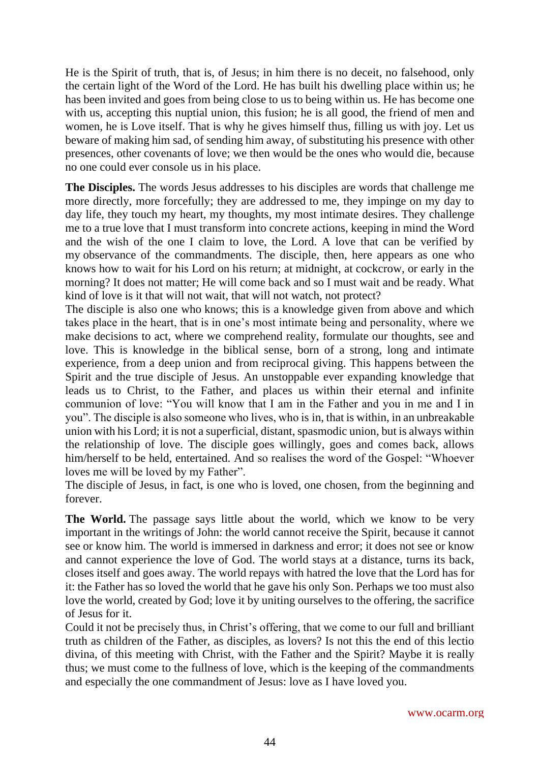He is the Spirit of truth, that is, of Jesus; in him there is no deceit, no falsehood, only the certain light of the Word of the Lord. He has built his dwelling place within us; he has been invited and goes from being close to us to being within us. He has become one with us, accepting this nuptial union, this fusion; he is all good, the friend of men and women, he is Love itself. That is why he gives himself thus, filling us with joy. Let us beware of making him sad, of sending him away, of substituting his presence with other presences, other covenants of love; we then would be the ones who would die, because no one could ever console us in his place.

**The Disciples.** The words Jesus addresses to his disciples are words that challenge me more directly, more forcefully; they are addressed to me, they impinge on my day to day life, they touch my heart, my thoughts, my most intimate desires. They challenge me to a true love that I must transform into concrete actions, keeping in mind the Word and the wish of the one I claim to love, the Lord. A love that can be verified by my observance of the commandments. The disciple, then, here appears as one who knows how to wait for his Lord on his return; at midnight, at cockcrow, or early in the morning? It does not matter; He will come back and so I must wait and be ready. What kind of love is it that will not wait, that will not watch, not protect?

The disciple is also one who knows; this is a knowledge given from above and which takes place in the heart, that is in one's most intimate being and personality, where we make decisions to act, where we comprehend reality, formulate our thoughts, see and love. This is knowledge in the biblical sense, born of a strong, long and intimate experience, from a deep union and from reciprocal giving. This happens between the Spirit and the true disciple of Jesus. An unstoppable ever expanding knowledge that leads us to Christ, to the Father, and places us within their eternal and infinite communion of love: "You will know that I am in the Father and you in me and I in you". The disciple is also someone who lives, who is in, that is within, in an unbreakable union with his Lord; it is not a superficial, distant, spasmodic union, but is always within the relationship of love. The disciple goes willingly, goes and comes back, allows him/herself to be held, entertained. And so realises the word of the Gospel: "Whoever loves me will be loved by my Father".

The disciple of Jesus, in fact, is one who is loved, one chosen, from the beginning and forever.

**The World.** The passage says little about the world, which we know to be very important in the writings of John: the world cannot receive the Spirit, because it cannot see or know him. The world is immersed in darkness and error; it does not see or know and cannot experience the love of God. The world stays at a distance, turns its back, closes itself and goes away. The world repays with hatred the love that the Lord has for it: the Father has so loved the world that he gave his only Son. Perhaps we too must also love the world, created by God; love it by uniting ourselves to the offering, the sacrifice of Jesus for it.

Could it not be precisely thus, in Christ's offering, that we come to our full and brilliant truth as children of the Father, as disciples, as lovers? Is not this the end of this lectio divina, of this meeting with Christ, with the Father and the Spirit? Maybe it is really thus; we must come to the fullness of love, which is the keeping of the commandments and especially the one commandment of Jesus: love as I have loved you.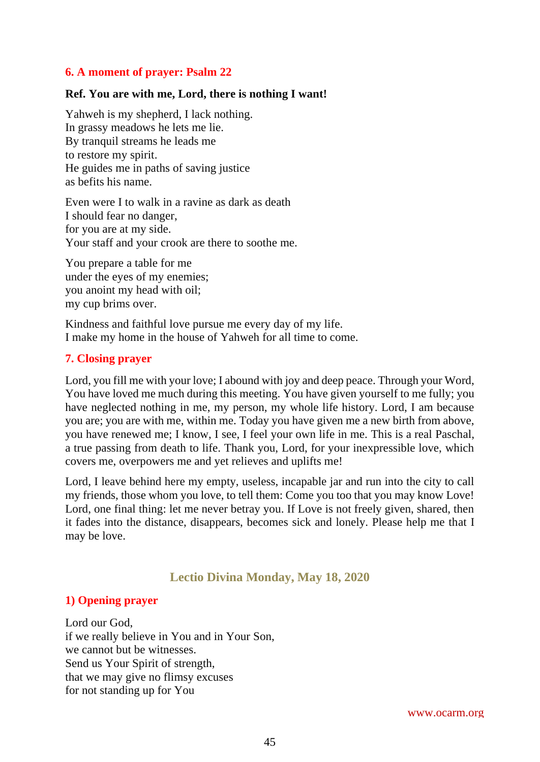## **6. A moment of prayer: Psalm 22**

#### **Ref. You are with me, Lord, there is nothing I want!**

Yahweh is my shepherd, I lack nothing. In grassy meadows he lets me lie. By tranquil streams he leads me to restore my spirit. He guides me in paths of saving justice as befits his name.

Even were I to walk in a ravine as dark as death I should fear no danger, for you are at my side. Your staff and your crook are there to soothe me.

You prepare a table for me under the eyes of my enemies; you anoint my head with oil; my cup brims over.

Kindness and faithful love pursue me every day of my life. I make my home in the house of Yahweh for all time to come.

### **7. Closing prayer**

Lord, you fill me with your love; I abound with joy and deep peace. Through your Word, You have loved me much during this meeting. You have given yourself to me fully; you have neglected nothing in me, my person, my whole life history. Lord, I am because you are; you are with me, within me. Today you have given me a new birth from above, you have renewed me; I know, I see, I feel your own life in me. This is a real Paschal, a true passing from death to life. Thank you, Lord, for your inexpressible love, which covers me, overpowers me and yet relieves and uplifts me!

Lord, I leave behind here my empty, useless, incapable jar and run into the city to call my friends, those whom you love, to tell them: Come you too that you may know Love! Lord, one final thing: let me never betray you. If Love is not freely given, shared, then it fades into the distance, disappears, becomes sick and lonely. Please help me that I may be love.

## **Lectio Divina Monday, May 18, 2020**

#### **1) Opening prayer**

Lord our God, if we really believe in You and in Your Son, we cannot but be witnesses. Send us Your Spirit of strength, that we may give no flimsy excuses for not standing up for You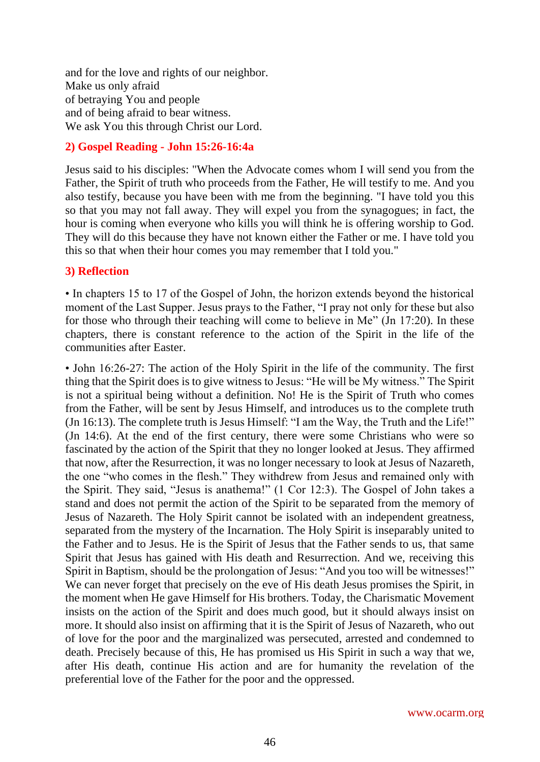and for the love and rights of our neighbor. Make us only afraid of betraying You and people and of being afraid to bear witness. We ask You this through Christ our Lord.

## **2) Gospel Reading - John 15:26-16:4a**

Jesus said to his disciples: "When the Advocate comes whom I will send you from the Father, the Spirit of truth who proceeds from the Father, He will testify to me. And you also testify, because you have been with me from the beginning. "I have told you this so that you may not fall away. They will expel you from the synagogues; in fact, the hour is coming when everyone who kills you will think he is offering worship to God. They will do this because they have not known either the Father or me. I have told you this so that when their hour comes you may remember that I told you."

## **3) Reflection**

• In chapters 15 to 17 of the Gospel of John, the horizon extends beyond the historical moment of the Last Supper. Jesus prays to the Father, "I pray not only for these but also for those who through their teaching will come to believe in Me" (Jn 17:20). In these chapters, there is constant reference to the action of the Spirit in the life of the communities after Easter.

• John 16:26-27: The action of the Holy Spirit in the life of the community. The first thing that the Spirit does is to give witness to Jesus: "He will be My witness." The Spirit is not a spiritual being without a definition. No! He is the Spirit of Truth who comes from the Father, will be sent by Jesus Himself, and introduces us to the complete truth (Jn 16:13). The complete truth is Jesus Himself: "I am the Way, the Truth and the Life!" (Jn 14:6). At the end of the first century, there were some Christians who were so fascinated by the action of the Spirit that they no longer looked at Jesus. They affirmed that now, after the Resurrection, it was no longer necessary to look at Jesus of Nazareth, the one "who comes in the flesh." They withdrew from Jesus and remained only with the Spirit. They said, "Jesus is anathema!" (1 Cor 12:3). The Gospel of John takes a stand and does not permit the action of the Spirit to be separated from the memory of Jesus of Nazareth. The Holy Spirit cannot be isolated with an independent greatness, separated from the mystery of the Incarnation. The Holy Spirit is inseparably united to the Father and to Jesus. He is the Spirit of Jesus that the Father sends to us, that same Spirit that Jesus has gained with His death and Resurrection. And we, receiving this Spirit in Baptism, should be the prolongation of Jesus: "And you too will be witnesses!" We can never forget that precisely on the eve of His death Jesus promises the Spirit, in the moment when He gave Himself for His brothers. Today, the Charismatic Movement insists on the action of the Spirit and does much good, but it should always insist on more. It should also insist on affirming that it is the Spirit of Jesus of Nazareth, who out of love for the poor and the marginalized was persecuted, arrested and condemned to death. Precisely because of this, He has promised us His Spirit in such a way that we, after His death, continue His action and are for humanity the revelation of the preferential love of the Father for the poor and the oppressed.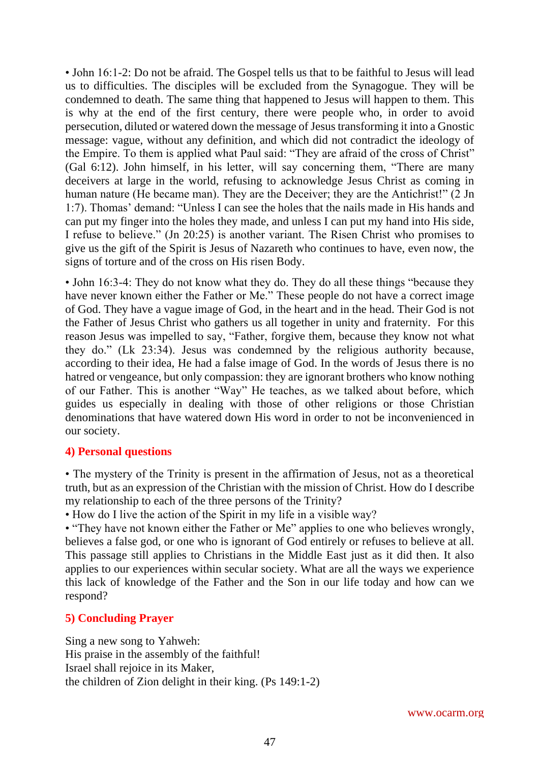• John 16:1-2: Do not be afraid. The Gospel tells us that to be faithful to Jesus will lead us to difficulties. The disciples will be excluded from the Synagogue. They will be condemned to death. The same thing that happened to Jesus will happen to them. This is why at the end of the first century, there were people who, in order to avoid persecution, diluted or watered down the message of Jesus transforming it into a Gnostic message: vague, without any definition, and which did not contradict the ideology of the Empire. To them is applied what Paul said: "They are afraid of the cross of Christ" (Gal 6:12). John himself, in his letter, will say concerning them, "There are many deceivers at large in the world, refusing to acknowledge Jesus Christ as coming in human nature (He became man). They are the Deceiver; they are the Antichrist!" (2 Jn 1:7). Thomas' demand: "Unless I can see the holes that the nails made in His hands and can put my finger into the holes they made, and unless I can put my hand into His side, I refuse to believe." (Jn 20:25) is another variant. The Risen Christ who promises to give us the gift of the Spirit is Jesus of Nazareth who continues to have, even now, the signs of torture and of the cross on His risen Body.

• John 16:3-4: They do not know what they do. They do all these things "because they have never known either the Father or Me." These people do not have a correct image of God. They have a vague image of God, in the heart and in the head. Their God is not the Father of Jesus Christ who gathers us all together in unity and fraternity. For this reason Jesus was impelled to say, "Father, forgive them, because they know not what they do." (Lk 23:34). Jesus was condemned by the religious authority because, according to their idea, He had a false image of God. In the words of Jesus there is no hatred or vengeance, but only compassion: they are ignorant brothers who know nothing of our Father. This is another "Way" He teaches, as we talked about before, which guides us especially in dealing with those of other religions or those Christian denominations that have watered down His word in order to not be inconvenienced in our society.

## **4) Personal questions**

• The mystery of the Trinity is present in the affirmation of Jesus, not as a theoretical truth, but as an expression of the Christian with the mission of Christ. How do I describe my relationship to each of the three persons of the Trinity?

• How do I live the action of the Spirit in my life in a visible way?

• "They have not known either the Father or Me" applies to one who believes wrongly, believes a false god, or one who is ignorant of God entirely or refuses to believe at all. This passage still applies to Christians in the Middle East just as it did then. It also applies to our experiences within secular society. What are all the ways we experience this lack of knowledge of the Father and the Son in our life today and how can we respond?

## **5) Concluding Prayer**

Sing a new song to Yahweh: His praise in the assembly of the faithful! Israel shall rejoice in its Maker, the children of Zion delight in their king. (Ps 149:1-2)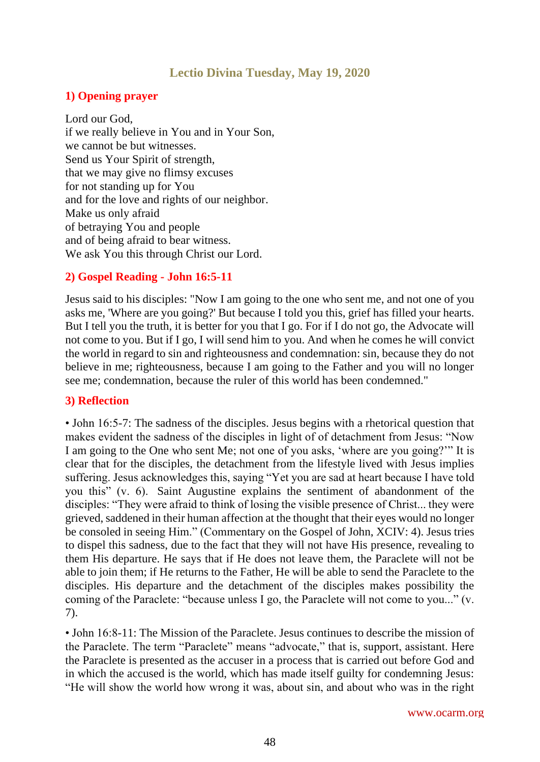## **Lectio Divina Tuesday, May 19, 2020**

### **1) Opening prayer**

Lord our God, if we really believe in You and in Your Son, we cannot be but witnesses. Send us Your Spirit of strength, that we may give no flimsy excuses for not standing up for You and for the love and rights of our neighbor. Make us only afraid of betraying You and people and of being afraid to bear witness. We ask You this through Christ our Lord.

### **2) Gospel Reading - John 16:5-11**

Jesus said to his disciples: "Now I am going to the one who sent me, and not one of you asks me, 'Where are you going?' But because I told you this, grief has filled your hearts. But I tell you the truth, it is better for you that I go. For if I do not go, the Advocate will not come to you. But if I go, I will send him to you. And when he comes he will convict the world in regard to sin and righteousness and condemnation: sin, because they do not believe in me; righteousness, because I am going to the Father and you will no longer see me; condemnation, because the ruler of this world has been condemned."

#### **3) Reflection**

• John 16:5-7: The sadness of the disciples. Jesus begins with a rhetorical question that makes evident the sadness of the disciples in light of of detachment from Jesus: "Now I am going to the One who sent Me; not one of you asks, 'where are you going?'" It is clear that for the disciples, the detachment from the lifestyle lived with Jesus implies suffering. Jesus acknowledges this, saying "Yet you are sad at heart because I have told you this" (v. 6). Saint Augustine explains the sentiment of abandonment of the disciples: "They were afraid to think of losing the visible presence of Christ... they were grieved, saddened in their human affection at the thought that their eyes would no longer be consoled in seeing Him." (Commentary on the Gospel of John, XCIV: 4). Jesus tries to dispel this sadness, due to the fact that they will not have His presence, revealing to them His departure. He says that if He does not leave them, the Paraclete will not be able to join them; if He returns to the Father, He will be able to send the Paraclete to the disciples. His departure and the detachment of the disciples makes possibility the coming of the Paraclete: "because unless I go, the Paraclete will not come to you..." (v. 7).

• John 16:8-11: The Mission of the Paraclete. Jesus continues to describe the mission of the Paraclete. The term "Paraclete" means "advocate," that is, support, assistant. Here the Paraclete is presented as the accuser in a process that is carried out before God and in which the accused is the world, which has made itself guilty for condemning Jesus: "He will show the world how wrong it was, about sin, and about who was in the right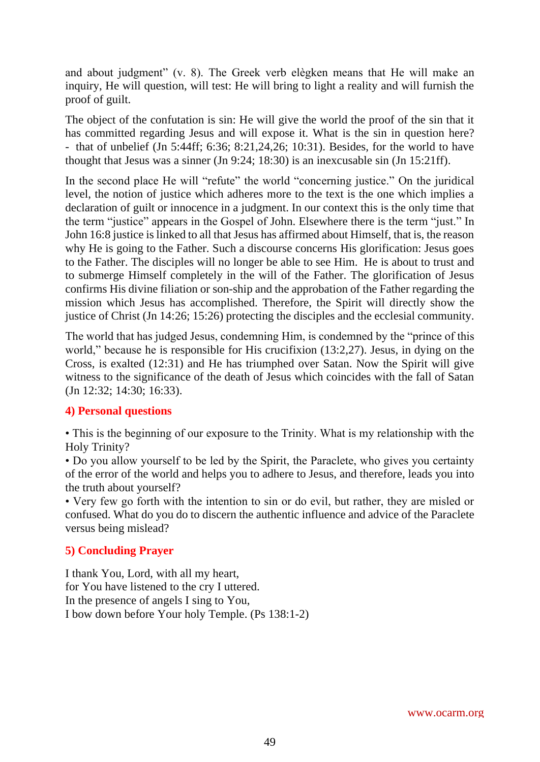and about judgment" (v. 8). The Greek verb elègken means that He will make an inquiry, He will question, will test: He will bring to light a reality and will furnish the proof of guilt.

The object of the confutation is sin: He will give the world the proof of the sin that it has committed regarding Jesus and will expose it. What is the sin in question here? - that of unbelief (Jn 5:44ff; 6:36; 8:21,24,26; 10:31). Besides, for the world to have thought that Jesus was a sinner (Jn 9:24; 18:30) is an inexcusable sin (Jn 15:21ff).

In the second place He will "refute" the world "concerning justice." On the juridical level, the notion of justice which adheres more to the text is the one which implies a declaration of guilt or innocence in a judgment. In our context this is the only time that the term "justice" appears in the Gospel of John. Elsewhere there is the term "just." In John 16:8 justice is linked to all that Jesus has affirmed about Himself, that is, the reason why He is going to the Father. Such a discourse concerns His glorification: Jesus goes to the Father. The disciples will no longer be able to see Him. He is about to trust and to submerge Himself completely in the will of the Father. The glorification of Jesus confirms His divine filiation or son-ship and the approbation of the Father regarding the mission which Jesus has accomplished. Therefore, the Spirit will directly show the justice of Christ (Jn 14:26; 15:26) protecting the disciples and the ecclesial community.

The world that has judged Jesus, condemning Him, is condemned by the "prince of this world," because he is responsible for His crucifixion (13:2,27). Jesus, in dying on the Cross, is exalted (12:31) and He has triumphed over Satan. Now the Spirit will give witness to the significance of the death of Jesus which coincides with the fall of Satan (Jn 12:32; 14:30; 16:33).

# **4) Personal questions**

• This is the beginning of our exposure to the Trinity. What is my relationship with the Holy Trinity?

• Do you allow yourself to be led by the Spirit, the Paraclete, who gives you certainty of the error of the world and helps you to adhere to Jesus, and therefore, leads you into the truth about yourself?

• Very few go forth with the intention to sin or do evil, but rather, they are misled or confused. What do you do to discern the authentic influence and advice of the Paraclete versus being mislead?

# **5) Concluding Prayer**

I thank You, Lord, with all my heart, for You have listened to the cry I uttered. In the presence of angels I sing to You, I bow down before Your holy Temple. (Ps 138:1-2)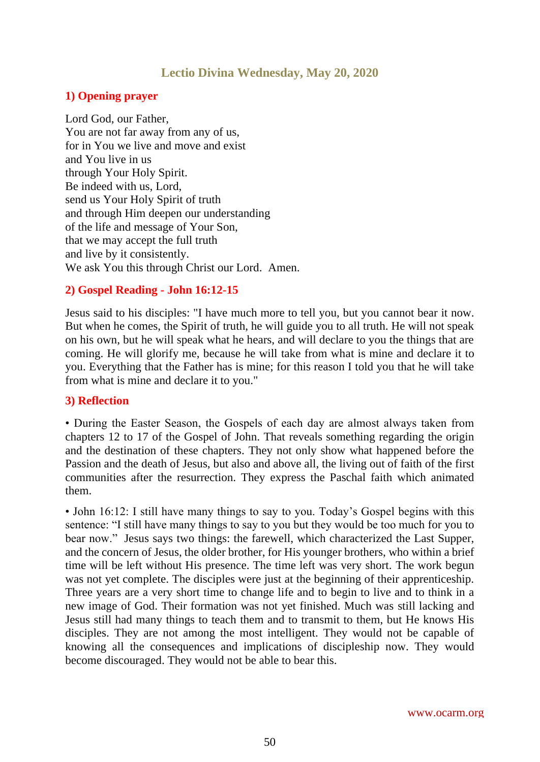## **Lectio Divina Wednesday, May 20, 2020**

### **1) Opening prayer**

Lord God, our Father, You are not far away from any of us, for in You we live and move and exist and You live in us through Your Holy Spirit. Be indeed with us, Lord, send us Your Holy Spirit of truth and through Him deepen our understanding of the life and message of Your Son, that we may accept the full truth and live by it consistently. We ask You this through Christ our Lord. Amen.

#### **2) Gospel Reading - John 16:12-15**

Jesus said to his disciples: "I have much more to tell you, but you cannot bear it now. But when he comes, the Spirit of truth, he will guide you to all truth. He will not speak on his own, but he will speak what he hears, and will declare to you the things that are coming. He will glorify me, because he will take from what is mine and declare it to you. Everything that the Father has is mine; for this reason I told you that he will take from what is mine and declare it to you."

#### **3) Reflection**

• During the Easter Season, the Gospels of each day are almost always taken from chapters 12 to 17 of the Gospel of John. That reveals something regarding the origin and the destination of these chapters. They not only show what happened before the Passion and the death of Jesus, but also and above all, the living out of faith of the first communities after the resurrection. They express the Paschal faith which animated them.

• John 16:12: I still have many things to say to you. Today's Gospel begins with this sentence: "I still have many things to say to you but they would be too much for you to bear now." Jesus says two things: the farewell, which characterized the Last Supper, and the concern of Jesus, the older brother, for His younger brothers, who within a brief time will be left without His presence. The time left was very short. The work begun was not yet complete. The disciples were just at the beginning of their apprenticeship. Three years are a very short time to change life and to begin to live and to think in a new image of God. Their formation was not yet finished. Much was still lacking and Jesus still had many things to teach them and to transmit to them, but He knows His disciples. They are not among the most intelligent. They would not be capable of knowing all the consequences and implications of discipleship now. They would become discouraged. They would not be able to bear this.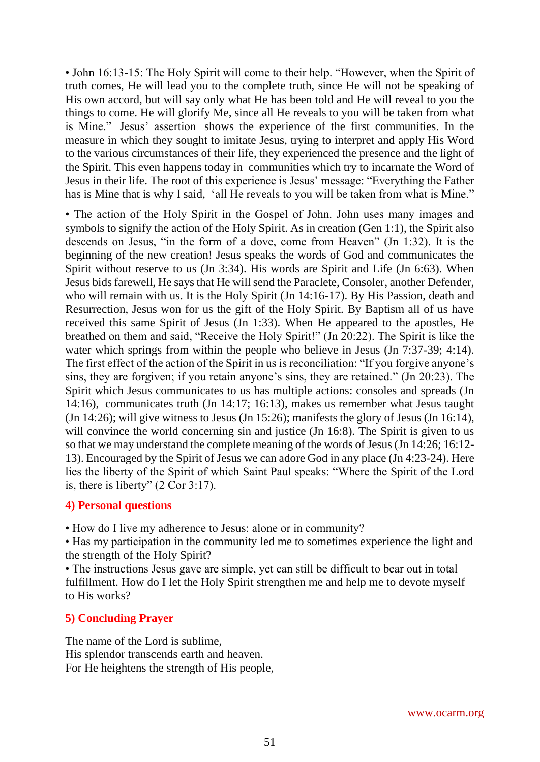• John 16:13-15: The Holy Spirit will come to their help. "However, when the Spirit of truth comes, He will lead you to the complete truth, since He will not be speaking of His own accord, but will say only what He has been told and He will reveal to you the things to come. He will glorify Me, since all He reveals to you will be taken from what is Mine." Jesus' assertion shows the experience of the first communities. In the measure in which they sought to imitate Jesus, trying to interpret and apply His Word to the various circumstances of their life, they experienced the presence and the light of the Spirit. This even happens today in communities which try to incarnate the Word of Jesus in their life. The root of this experience is Jesus' message: "Everything the Father has is Mine that is why I said, 'all He reveals to you will be taken from what is Mine."

• The action of the Holy Spirit in the Gospel of John. John uses many images and symbols to signify the action of the Holy Spirit. As in creation (Gen 1:1), the Spirit also descends on Jesus, "in the form of a dove, come from Heaven" (Jn 1:32). It is the beginning of the new creation! Jesus speaks the words of God and communicates the Spirit without reserve to us (Jn 3:34). His words are Spirit and Life (Jn 6:63). When Jesus bids farewell, He says that He will send the Paraclete, Consoler, another Defender, who will remain with us. It is the Holy Spirit (Jn 14:16-17). By His Passion, death and Resurrection, Jesus won for us the gift of the Holy Spirit. By Baptism all of us have received this same Spirit of Jesus (Jn 1:33). When He appeared to the apostles, He breathed on them and said, "Receive the Holy Spirit!" (Jn 20:22). The Spirit is like the water which springs from within the people who believe in Jesus (Jn 7:37-39; 4:14). The first effect of the action of the Spirit in us is reconciliation: "If you forgive anyone's sins, they are forgiven; if you retain anyone's sins, they are retained." (Jn 20:23). The Spirit which Jesus communicates to us has multiple actions: consoles and spreads (Jn 14:16), communicates truth (Jn 14:17; 16:13), makes us remember what Jesus taught (Jn 14:26); will give witness to Jesus (Jn 15:26); manifests the glory of Jesus (Jn 16:14), will convince the world concerning sin and justice (Jn 16:8). The Spirit is given to us so that we may understand the complete meaning of the words of Jesus (Jn 14:26; 16:12- 13). Encouraged by the Spirit of Jesus we can adore God in any place (Jn 4:23-24). Here lies the liberty of the Spirit of which Saint Paul speaks: "Where the Spirit of the Lord is, there is liberty" (2 Cor 3:17).

#### **4) Personal questions**

• How do I live my adherence to Jesus: alone or in community?

• Has my participation in the community led me to sometimes experience the light and the strength of the Holy Spirit?

• The instructions Jesus gave are simple, yet can still be difficult to bear out in total fulfillment. How do I let the Holy Spirit strengthen me and help me to devote myself to His works?

## **5) Concluding Prayer**

The name of the Lord is sublime, His splendor transcends earth and heaven. For He heightens the strength of His people,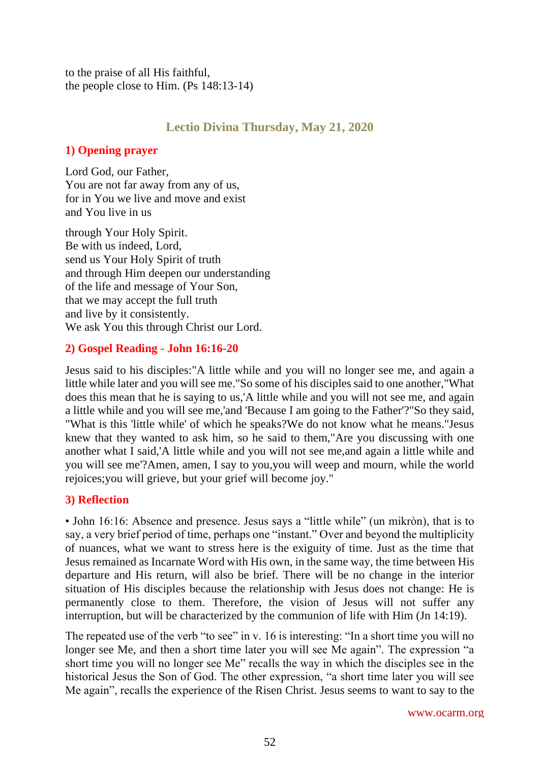to the praise of all His faithful, the people close to Him. (Ps 148:13-14)

### **Lectio Divina Thursday, May 21, 2020**

### **1) Opening prayer**

Lord God, our Father, You are not far away from any of us, for in You we live and move and exist and You live in us

through Your Holy Spirit. Be with us indeed, Lord, send us Your Holy Spirit of truth and through Him deepen our understanding of the life and message of Your Son, that we may accept the full truth and live by it consistently. We ask You this through Christ our Lord.

### **2) Gospel Reading - John 16:16-20**

Jesus said to his disciples:"A little while and you will no longer see me, and again a little while later and you will see me."So some of his disciples said to one another,"What does this mean that he is saying to us,'A little while and you will not see me, and again a little while and you will see me,'and 'Because I am going to the Father'?"So they said, "What is this 'little while' of which he speaks?We do not know what he means."Jesus knew that they wanted to ask him, so he said to them,"Are you discussing with one another what I said,'A little while and you will not see me,and again a little while and you will see me'?Amen, amen, I say to you,you will weep and mourn, while the world rejoices;you will grieve, but your grief will become joy."

## **3) Reflection**

• John 16:16: Absence and presence. Jesus says a "little while" (un mikròn), that is to say, a very brief period of time, perhaps one "instant." Over and beyond the multiplicity of nuances, what we want to stress here is the exiguity of time. Just as the time that Jesus remained as Incarnate Word with His own, in the same way, the time between His departure and His return, will also be brief. There will be no change in the interior situation of His disciples because the relationship with Jesus does not change: He is permanently close to them. Therefore, the vision of Jesus will not suffer any interruption, but will be characterized by the communion of life with Him (Jn 14:19).

The repeated use of the verb "to see" in v. 16 is interesting: "In a short time you will no longer see Me, and then a short time later you will see Me again". The expression "a short time you will no longer see Me" recalls the way in which the disciples see in the historical Jesus the Son of God. The other expression, "a short time later you will see Me again", recalls the experience of the Risen Christ. Jesus seems to want to say to the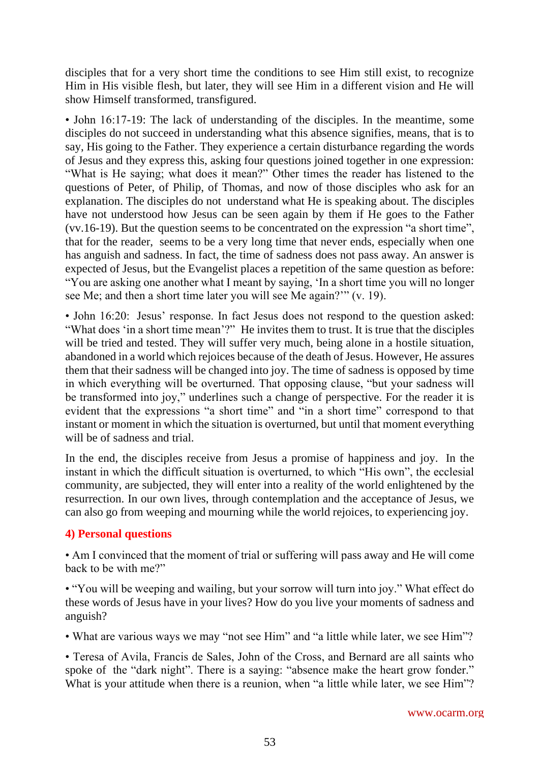disciples that for a very short time the conditions to see Him still exist, to recognize Him in His visible flesh, but later, they will see Him in a different vision and He will show Himself transformed, transfigured.

• John 16:17-19: The lack of understanding of the disciples. In the meantime, some disciples do not succeed in understanding what this absence signifies, means, that is to say, His going to the Father. They experience a certain disturbance regarding the words of Jesus and they express this, asking four questions joined together in one expression: "What is He saying; what does it mean?" Other times the reader has listened to the questions of Peter, of Philip, of Thomas, and now of those disciples who ask for an explanation. The disciples do not understand what He is speaking about. The disciples have not understood how Jesus can be seen again by them if He goes to the Father (vv.16-19). But the question seems to be concentrated on the expression "a short time", that for the reader, seems to be a very long time that never ends, especially when one has anguish and sadness. In fact, the time of sadness does not pass away. An answer is expected of Jesus, but the Evangelist places a repetition of the same question as before: "You are asking one another what I meant by saying, 'In a short time you will no longer see Me; and then a short time later you will see Me again?" (v. 19).

• John 16:20: Jesus' response. In fact Jesus does not respond to the question asked: "What does 'in a short time mean'?" He invites them to trust. It is true that the disciples will be tried and tested. They will suffer very much, being alone in a hostile situation, abandoned in a world which rejoices because of the death of Jesus. However, He assures them that their sadness will be changed into joy. The time of sadness is opposed by time in which everything will be overturned. That opposing clause, "but your sadness will be transformed into joy," underlines such a change of perspective. For the reader it is evident that the expressions "a short time" and "in a short time" correspond to that instant or moment in which the situation is overturned, but until that moment everything will be of sadness and trial.

In the end, the disciples receive from Jesus a promise of happiness and joy. In the instant in which the difficult situation is overturned, to which "His own", the ecclesial community, are subjected, they will enter into a reality of the world enlightened by the resurrection. In our own lives, through contemplation and the acceptance of Jesus, we can also go from weeping and mourning while the world rejoices, to experiencing joy.

## **4) Personal questions**

• Am I convinced that the moment of trial or suffering will pass away and He will come back to be with me?"

• "You will be weeping and wailing, but your sorrow will turn into joy." What effect do these words of Jesus have in your lives? How do you live your moments of sadness and anguish?

• What are various ways we may "not see Him" and "a little while later, we see Him"?

• Teresa of Avila, Francis de Sales, John of the Cross, and Bernard are all saints who spoke of the "dark night". There is a saying: "absence make the heart grow fonder." What is your attitude when there is a reunion, when "a little while later, we see Him"?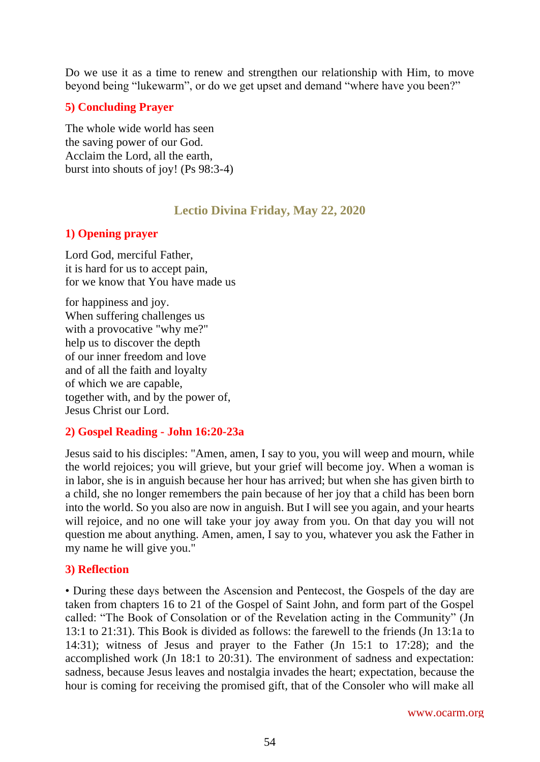Do we use it as a time to renew and strengthen our relationship with Him, to move beyond being "lukewarm", or do we get upset and demand "where have you been?"

### **5) Concluding Prayer**

The whole wide world has seen the saving power of our God. Acclaim the Lord, all the earth, burst into shouts of joy! (Ps 98:3-4)

## **Lectio Divina Friday, May 22, 2020**

## **1) Opening prayer**

Lord God, merciful Father, it is hard for us to accept pain, for we know that You have made us

for happiness and joy. When suffering challenges us with a provocative "why me?" help us to discover the depth of our inner freedom and love and of all the faith and loyalty of which we are capable, together with, and by the power of, Jesus Christ our Lord.

## **2) Gospel Reading - John 16:20-23a**

Jesus said to his disciples: "Amen, amen, I say to you, you will weep and mourn, while the world rejoices; you will grieve, but your grief will become joy. When a woman is in labor, she is in anguish because her hour has arrived; but when she has given birth to a child, she no longer remembers the pain because of her joy that a child has been born into the world. So you also are now in anguish. But I will see you again, and your hearts will rejoice, and no one will take your joy away from you. On that day you will not question me about anything. Amen, amen, I say to you, whatever you ask the Father in my name he will give you."

## **3) Reflection**

• During these days between the Ascension and Pentecost, the Gospels of the day are taken from chapters 16 to 21 of the Gospel of Saint John, and form part of the Gospel called: "The Book of Consolation or of the Revelation acting in the Community" (Jn 13:1 to 21:31). This Book is divided as follows: the farewell to the friends (Jn 13:1a to 14:31); witness of Jesus and prayer to the Father (Jn 15:1 to 17:28); and the accomplished work (Jn 18:1 to 20:31). The environment of sadness and expectation: sadness, because Jesus leaves and nostalgia invades the heart; expectation, because the hour is coming for receiving the promised gift, that of the Consoler who will make all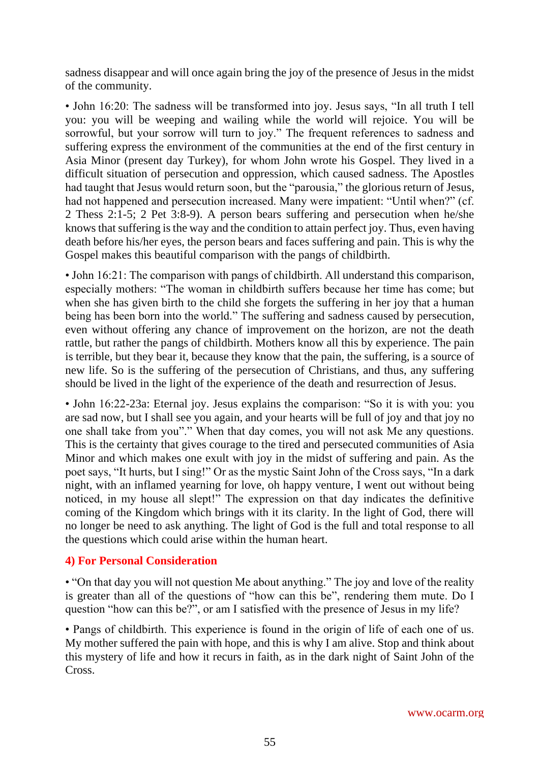sadness disappear and will once again bring the joy of the presence of Jesus in the midst of the community.

• John 16:20: The sadness will be transformed into joy. Jesus says, "In all truth I tell you: you will be weeping and wailing while the world will rejoice. You will be sorrowful, but your sorrow will turn to joy." The frequent references to sadness and suffering express the environment of the communities at the end of the first century in Asia Minor (present day Turkey), for whom John wrote his Gospel. They lived in a difficult situation of persecution and oppression, which caused sadness. The Apostles had taught that Jesus would return soon, but the "parousia," the glorious return of Jesus, had not happened and persecution increased. Many were impatient: "Until when?" (cf. 2 Thess 2:1-5; 2 Pet 3:8-9). A person bears suffering and persecution when he/she knows that suffering is the way and the condition to attain perfect joy. Thus, even having death before his/her eyes, the person bears and faces suffering and pain. This is why the Gospel makes this beautiful comparison with the pangs of childbirth.

• John 16:21: The comparison with pangs of childbirth. All understand this comparison, especially mothers: "The woman in childbirth suffers because her time has come; but when she has given birth to the child she forgets the suffering in her joy that a human being has been born into the world." The suffering and sadness caused by persecution, even without offering any chance of improvement on the horizon, are not the death rattle, but rather the pangs of childbirth. Mothers know all this by experience. The pain is terrible, but they bear it, because they know that the pain, the suffering, is a source of new life. So is the suffering of the persecution of Christians, and thus, any suffering should be lived in the light of the experience of the death and resurrection of Jesus.

• John 16:22-23a: Eternal joy. Jesus explains the comparison: "So it is with you: you are sad now, but I shall see you again, and your hearts will be full of joy and that joy no one shall take from you"." When that day comes, you will not ask Me any questions. This is the certainty that gives courage to the tired and persecuted communities of Asia Minor and which makes one exult with joy in the midst of suffering and pain. As the poet says, "It hurts, but I sing!" Or as the mystic Saint John of the Cross says, "In a dark night, with an inflamed yearning for love, oh happy venture, I went out without being noticed, in my house all slept!" The expression on that day indicates the definitive coming of the Kingdom which brings with it its clarity. In the light of God, there will no longer be need to ask anything. The light of God is the full and total response to all the questions which could arise within the human heart.

## **4) For Personal Consideration**

• "On that day you will not question Me about anything." The joy and love of the reality is greater than all of the questions of "how can this be", rendering them mute. Do I question "how can this be?", or am I satisfied with the presence of Jesus in my life?

• Pangs of childbirth. This experience is found in the origin of life of each one of us. My mother suffered the pain with hope, and this is why I am alive. Stop and think about this mystery of life and how it recurs in faith, as in the dark night of Saint John of the Cross.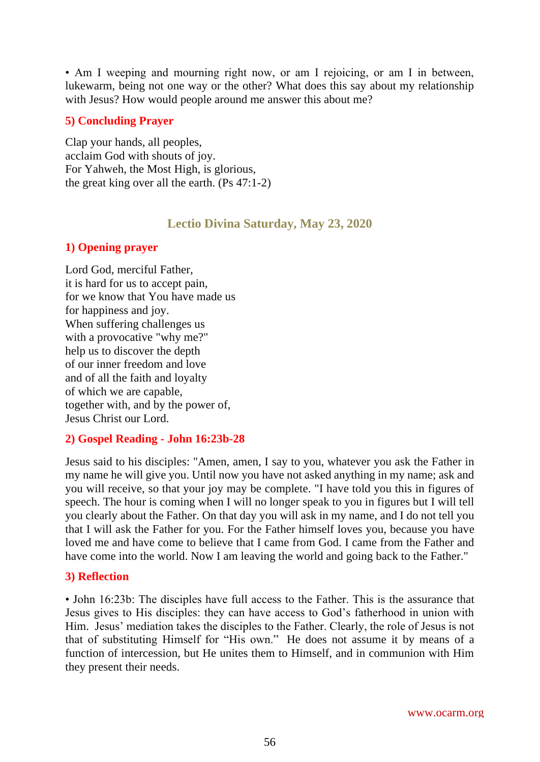• Am I weeping and mourning right now, or am I rejoicing, or am I in between, lukewarm, being not one way or the other? What does this say about my relationship with Jesus? How would people around me answer this about me?

#### **5) Concluding Prayer**

Clap your hands, all peoples, acclaim God with shouts of joy. For Yahweh, the Most High, is glorious, the great king over all the earth. (Ps 47:1-2)

### **Lectio Divina Saturday, May 23, 2020**

#### **1) Opening prayer**

Lord God, merciful Father, it is hard for us to accept pain, for we know that You have made us for happiness and joy. When suffering challenges us with a provocative "why me?" help us to discover the depth of our inner freedom and love and of all the faith and loyalty of which we are capable, together with, and by the power of, Jesus Christ our Lord.

#### **2) Gospel Reading - John 16:23b-28**

Jesus said to his disciples: "Amen, amen, I say to you, whatever you ask the Father in my name he will give you. Until now you have not asked anything in my name; ask and you will receive, so that your joy may be complete. "I have told you this in figures of speech. The hour is coming when I will no longer speak to you in figures but I will tell you clearly about the Father. On that day you will ask in my name, and I do not tell you that I will ask the Father for you. For the Father himself loves you, because you have loved me and have come to believe that I came from God. I came from the Father and have come into the world. Now I am leaving the world and going back to the Father."

#### **3) Reflection**

• John 16:23b: The disciples have full access to the Father. This is the assurance that Jesus gives to His disciples: they can have access to God's fatherhood in union with Him. Jesus' mediation takes the disciples to the Father. Clearly, the role of Jesus is not that of substituting Himself for "His own." He does not assume it by means of a function of intercession, but He unites them to Himself, and in communion with Him they present their needs.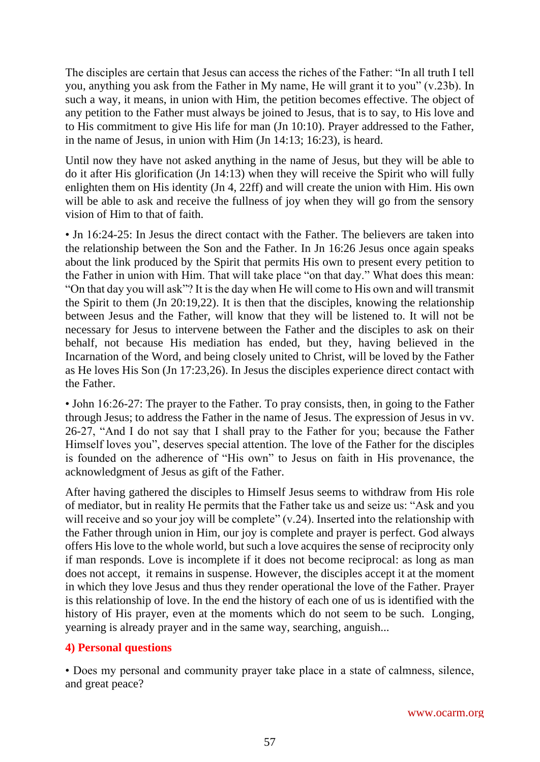The disciples are certain that Jesus can access the riches of the Father: "In all truth I tell you, anything you ask from the Father in My name, He will grant it to you" (v.23b). In such a way, it means, in union with Him, the petition becomes effective. The object of any petition to the Father must always be joined to Jesus, that is to say, to His love and to His commitment to give His life for man (Jn 10:10). Prayer addressed to the Father, in the name of Jesus, in union with Him (Jn 14:13; 16:23), is heard.

Until now they have not asked anything in the name of Jesus, but they will be able to do it after His glorification (Jn 14:13) when they will receive the Spirit who will fully enlighten them on His identity (Jn 4, 22ff) and will create the union with Him. His own will be able to ask and receive the fullness of joy when they will go from the sensory vision of Him to that of faith.

• In 16:24-25: In Jesus the direct contact with the Father. The believers are taken into the relationship between the Son and the Father. In Jn 16:26 Jesus once again speaks about the link produced by the Spirit that permits His own to present every petition to the Father in union with Him. That will take place "on that day." What does this mean: "On that day you will ask"? It is the day when He will come to His own and will transmit the Spirit to them (Jn 20:19,22). It is then that the disciples, knowing the relationship between Jesus and the Father, will know that they will be listened to. It will not be necessary for Jesus to intervene between the Father and the disciples to ask on their behalf, not because His mediation has ended, but they, having believed in the Incarnation of the Word, and being closely united to Christ, will be loved by the Father as He loves His Son (Jn 17:23,26). In Jesus the disciples experience direct contact with the Father.

• John 16:26-27: The prayer to the Father. To pray consists, then, in going to the Father through Jesus; to address the Father in the name of Jesus. The expression of Jesus in vv. 26-27, "And I do not say that I shall pray to the Father for you; because the Father Himself loves you", deserves special attention. The love of the Father for the disciples is founded on the adherence of "His own" to Jesus on faith in His provenance, the acknowledgment of Jesus as gift of the Father.

After having gathered the disciples to Himself Jesus seems to withdraw from His role of mediator, but in reality He permits that the Father take us and seize us: "Ask and you will receive and so your joy will be complete" (v.24). Inserted into the relationship with the Father through union in Him, our joy is complete and prayer is perfect. God always offers His love to the whole world, but such a love acquires the sense of reciprocity only if man responds. Love is incomplete if it does not become reciprocal: as long as man does not accept, it remains in suspense. However, the disciples accept it at the moment in which they love Jesus and thus they render operational the love of the Father. Prayer is this relationship of love. In the end the history of each one of us is identified with the history of His prayer, even at the moments which do not seem to be such. Longing, yearning is already prayer and in the same way, searching, anguish...

## **4) Personal questions**

• Does my personal and community prayer take place in a state of calmness, silence, and great peace?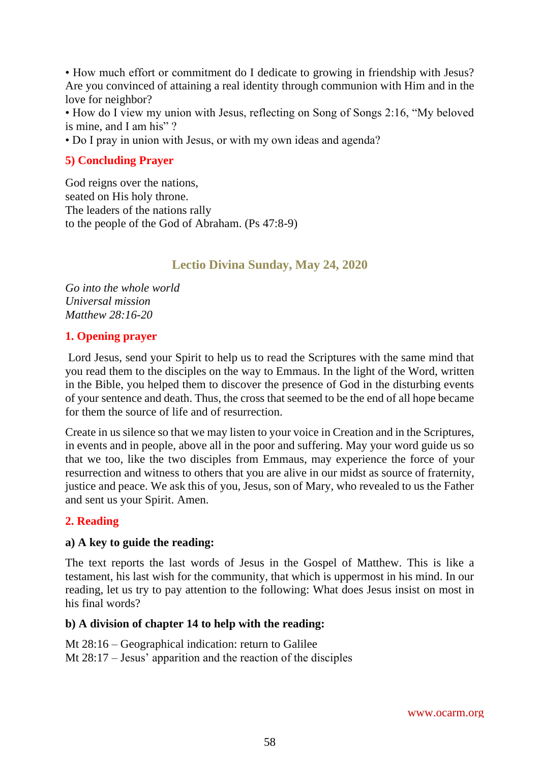• How much effort or commitment do I dedicate to growing in friendship with Jesus? Are you convinced of attaining a real identity through communion with Him and in the love for neighbor?

• How do I view my union with Jesus, reflecting on Song of Songs 2:16, "My beloved is mine, and I am his" ?

• Do I pray in union with Jesus, or with my own ideas and agenda?

## **5) Concluding Prayer**

God reigns over the nations, seated on His holy throne. The leaders of the nations rally to the people of the God of Abraham. (Ps 47:8-9)

# **Lectio Divina Sunday, May 24, 2020**

*Go into the whole world Universal mission Matthew 28:16-20*

## **1. Opening prayer**

Lord Jesus, send your Spirit to help us to read the Scriptures with the same mind that you read them to the disciples on the way to Emmaus. In the light of the Word, written in the Bible, you helped them to discover the presence of God in the disturbing events of your sentence and death. Thus, the cross that seemed to be the end of all hope became for them the source of life and of resurrection.

Create in us silence so that we may listen to your voice in Creation and in the Scriptures, in events and in people, above all in the poor and suffering. May your word guide us so that we too, like the two disciples from Emmaus, may experience the force of your resurrection and witness to others that you are alive in our midst as source of fraternity, justice and peace. We ask this of you, Jesus, son of Mary, who revealed to us the Father and sent us your Spirit. Amen.

## **2. Reading**

## **a) A key to guide the reading:**

The text reports the last words of Jesus in the Gospel of Matthew. This is like a testament, his last wish for the community, that which is uppermost in his mind. In our reading, let us try to pay attention to the following: What does Jesus insist on most in his final words?

## **b) A division of chapter 14 to help with the reading:**

Mt 28:16 – Geographical indication: return to Galilee Mt 28:17 – Jesus' apparition and the reaction of the disciples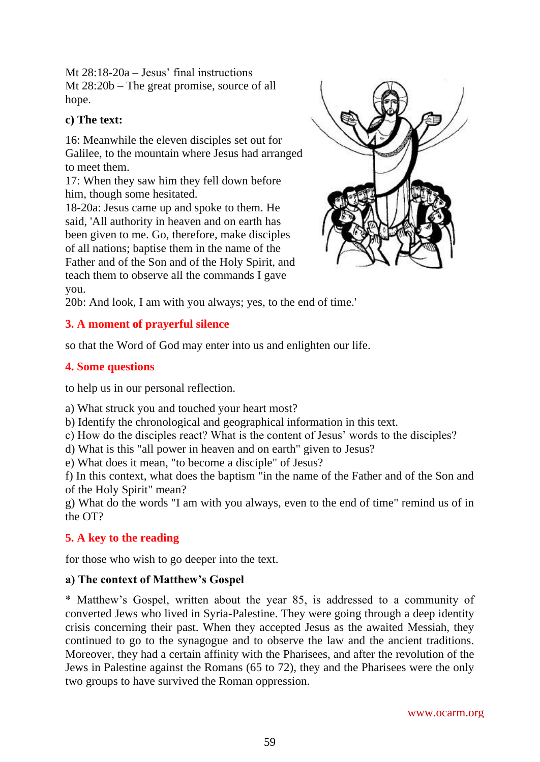Mt 28:18-20a – Jesus' final instructions Mt 28:20b – The great promise, source of all hope.

## **c) The text:**

16: Meanwhile the eleven disciples set out for Galilee, to the mountain where Jesus had arranged to meet them.

17: When they saw him they fell down before him, though some hesitated.

18-20a: Jesus came up and spoke to them. He said, 'All authority in heaven and on earth has been given to me. Go, therefore, make disciples of all nations; baptise them in the name of the Father and of the Son and of the Holy Spirit, and teach them to observe all the commands I gave you.



20b: And look, I am with you always; yes, to the end of time.'

# **3. A moment of prayerful silence**

so that the Word of God may enter into us and enlighten our life.

# **4. Some questions**

to help us in our personal reflection.

a) What struck you and touched your heart most?

b) Identify the chronological and geographical information in this text.

c) How do the disciples react? What is the content of Jesus' words to the disciples?

d) What is this "all power in heaven and on earth" given to Jesus?

e) What does it mean, "to become a disciple" of Jesus?

f) In this context, what does the baptism "in the name of the Father and of the Son and of the Holy Spirit" mean?

g) What do the words "I am with you always, even to the end of time" remind us of in the OT?

# **5. A key to the reading**

for those who wish to go deeper into the text.

# **a) The context of Matthew's Gospel**

\* Matthew's Gospel, written about the year 85, is addressed to a community of converted Jews who lived in Syria-Palestine. They were going through a deep identity crisis concerning their past. When they accepted Jesus as the awaited Messiah, they continued to go to the synagogue and to observe the law and the ancient traditions. Moreover, they had a certain affinity with the Pharisees, and after the revolution of the Jews in Palestine against the Romans (65 to 72), they and the Pharisees were the only two groups to have survived the Roman oppression.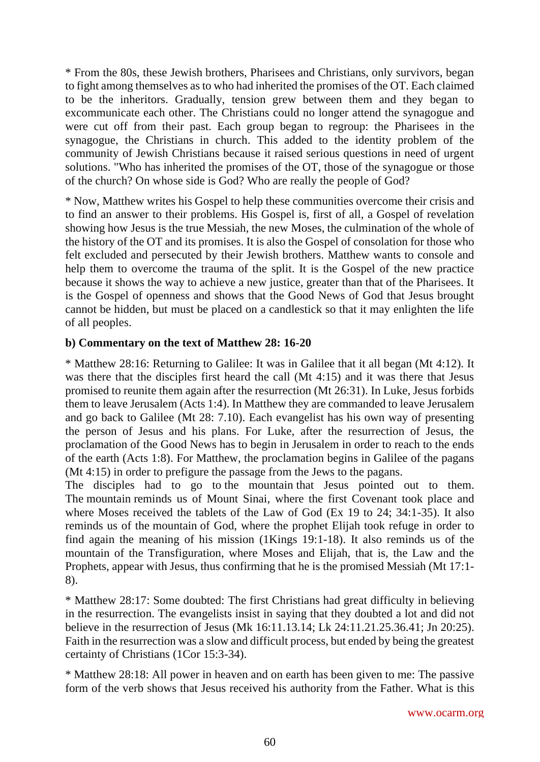\* From the 80s, these Jewish brothers, Pharisees and Christians, only survivors, began to fight among themselves as to who had inherited the promises of the OT. Each claimed to be the inheritors. Gradually, tension grew between them and they began to excommunicate each other. The Christians could no longer attend the synagogue and were cut off from their past. Each group began to regroup: the Pharisees in the synagogue, the Christians in church. This added to the identity problem of the community of Jewish Christians because it raised serious questions in need of urgent solutions. "Who has inherited the promises of the OT, those of the synagogue or those of the church? On whose side is God? Who are really the people of God?

\* Now, Matthew writes his Gospel to help these communities overcome their crisis and to find an answer to their problems. His Gospel is, first of all, a Gospel of revelation showing how Jesus is the true Messiah, the new Moses, the culmination of the whole of the history of the OT and its promises. It is also the Gospel of consolation for those who felt excluded and persecuted by their Jewish brothers. Matthew wants to console and help them to overcome the trauma of the split. It is the Gospel of the new practice because it shows the way to achieve a new justice, greater than that of the Pharisees. It is the Gospel of openness and shows that the Good News of God that Jesus brought cannot be hidden, but must be placed on a candlestick so that it may enlighten the life of all peoples.

## **b) Commentary on the text of Matthew 28: 16-20**

\* Matthew 28:16: Returning to Galilee: It was in Galilee that it all began (Mt 4:12). It was there that the disciples first heard the call (Mt 4:15) and it was there that Jesus promised to reunite them again after the resurrection (Mt 26:31). In Luke, Jesus forbids them to leave Jerusalem (Acts 1:4). In Matthew they are commanded to leave Jerusalem and go back to Galilee (Mt 28: 7.10). Each evangelist has his own way of presenting the person of Jesus and his plans. For Luke, after the resurrection of Jesus, the proclamation of the Good News has to begin in Jerusalem in order to reach to the ends of the earth (Acts 1:8). For Matthew, the proclamation begins in Galilee of the pagans (Mt 4:15) in order to prefigure the passage from the Jews to the pagans.

The disciples had to go to the mountain that Jesus pointed out to them. The mountain reminds us of Mount Sinai, where the first Covenant took place and where Moses received the tablets of the Law of God (Ex 19 to 24; 34:1-35). It also reminds us of the mountain of God, where the prophet Elijah took refuge in order to find again the meaning of his mission (1Kings 19:1-18). It also reminds us of the mountain of the Transfiguration, where Moses and Elijah, that is, the Law and the Prophets, appear with Jesus, thus confirming that he is the promised Messiah (Mt 17:1- 8).

\* Matthew 28:17: Some doubted: The first Christians had great difficulty in believing in the resurrection. The evangelists insist in saying that they doubted a lot and did not believe in the resurrection of Jesus (Mk 16:11.13.14; Lk 24:11.21.25.36.41; Jn 20:25). Faith in the resurrection was a slow and difficult process, but ended by being the greatest certainty of Christians (1Cor 15:3-34).

\* Matthew 28:18: All power in heaven and on earth has been given to me: The passive form of the verb shows that Jesus received his authority from the Father. What is this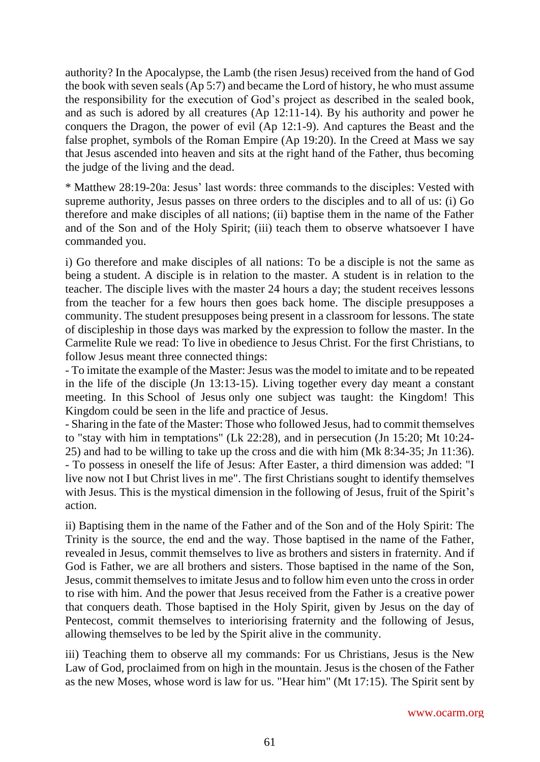authority? In the Apocalypse, the Lamb (the risen Jesus) received from the hand of God the book with seven seals (Ap 5:7) and became the Lord of history, he who must assume the responsibility for the execution of God's project as described in the sealed book, and as such is adored by all creatures (Ap 12:11-14). By his authority and power he conquers the Dragon, the power of evil (Ap 12:1-9). And captures the Beast and the false prophet, symbols of the Roman Empire (Ap 19:20). In the Creed at Mass we say that Jesus ascended into heaven and sits at the right hand of the Father, thus becoming the judge of the living and the dead.

\* Matthew 28:19-20a: Jesus' last words: three commands to the disciples: Vested with supreme authority, Jesus passes on three orders to the disciples and to all of us: (i) Go therefore and make disciples of all nations; (ii) baptise them in the name of the Father and of the Son and of the Holy Spirit; (iii) teach them to observe whatsoever I have commanded you.

i) Go therefore and make disciples of all nations: To be a disciple is not the same as being a student. A disciple is in relation to the master. A student is in relation to the teacher. The disciple lives with the master 24 hours a day; the student receives lessons from the teacher for a few hours then goes back home. The disciple presupposes a community. The student presupposes being present in a classroom for lessons. The state of discipleship in those days was marked by the expression to follow the master. In the Carmelite Rule we read: To live in obedience to Jesus Christ. For the first Christians, to follow Jesus meant three connected things:

- To imitate the example of the Master: Jesus was the model to imitate and to be repeated in the life of the disciple (Jn 13:13-15). Living together every day meant a constant meeting. In this School of Jesus only one subject was taught: the Kingdom! This Kingdom could be seen in the life and practice of Jesus.

- Sharing in the fate of the Master: Those who followed Jesus, had to commit themselves to "stay with him in temptations" (Lk 22:28), and in persecution (Jn 15:20; Mt 10:24- 25) and had to be willing to take up the cross and die with him (Mk 8:34-35; Jn 11:36). - To possess in oneself the life of Jesus: After Easter, a third dimension was added: "I live now not I but Christ lives in me". The first Christians sought to identify themselves with Jesus. This is the mystical dimension in the following of Jesus, fruit of the Spirit's action.

ii) Baptising them in the name of the Father and of the Son and of the Holy Spirit: The Trinity is the source, the end and the way. Those baptised in the name of the Father, revealed in Jesus, commit themselves to live as brothers and sisters in fraternity. And if God is Father, we are all brothers and sisters. Those baptised in the name of the Son, Jesus, commit themselves to imitate Jesus and to follow him even unto the cross in order to rise with him. And the power that Jesus received from the Father is a creative power that conquers death. Those baptised in the Holy Spirit, given by Jesus on the day of Pentecost, commit themselves to interiorising fraternity and the following of Jesus, allowing themselves to be led by the Spirit alive in the community.

iii) Teaching them to observe all my commands: For us Christians, Jesus is the New Law of God, proclaimed from on high in the mountain. Jesus is the chosen of the Father as the new Moses, whose word is law for us. "Hear him" (Mt 17:15). The Spirit sent by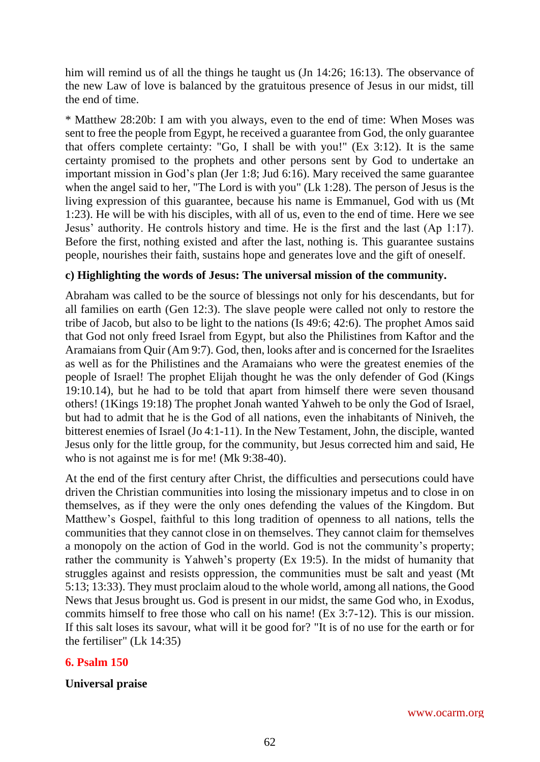him will remind us of all the things he taught us (Jn 14:26; 16:13). The observance of the new Law of love is balanced by the gratuitous presence of Jesus in our midst, till the end of time.

\* Matthew 28:20b: I am with you always, even to the end of time: When Moses was sent to free the people from Egypt, he received a guarantee from God, the only guarantee that offers complete certainty: "Go, I shall be with you!" (Ex 3:12). It is the same certainty promised to the prophets and other persons sent by God to undertake an important mission in God's plan (Jer 1:8; Jud 6:16). Mary received the same guarantee when the angel said to her, "The Lord is with you" (Lk 1:28). The person of Jesus is the living expression of this guarantee, because his name is Emmanuel, God with us (Mt 1:23). He will be with his disciples, with all of us, even to the end of time. Here we see Jesus' authority. He controls history and time. He is the first and the last (Ap 1:17). Before the first, nothing existed and after the last, nothing is. This guarantee sustains people, nourishes their faith, sustains hope and generates love and the gift of oneself.

## **c) Highlighting the words of Jesus: The universal mission of the community.**

Abraham was called to be the source of blessings not only for his descendants, but for all families on earth (Gen 12:3). The slave people were called not only to restore the tribe of Jacob, but also to be light to the nations (Is 49:6; 42:6). The prophet Amos said that God not only freed Israel from Egypt, but also the Philistines from Kaftor and the Aramaians from Quir (Am 9:7). God, then, looks after and is concerned for the Israelites as well as for the Philistines and the Aramaians who were the greatest enemies of the people of Israel! The prophet Elijah thought he was the only defender of God (Kings 19:10.14), but he had to be told that apart from himself there were seven thousand others! (1Kings 19:18) The prophet Jonah wanted Yahweh to be only the God of Israel, but had to admit that he is the God of all nations, even the inhabitants of Niniveh, the bitterest enemies of Israel (Jo 4:1-11). In the New Testament, John, the disciple, wanted Jesus only for the little group, for the community, but Jesus corrected him and said, He who is not against me is for me! (Mk 9:38-40).

At the end of the first century after Christ, the difficulties and persecutions could have driven the Christian communities into losing the missionary impetus and to close in on themselves, as if they were the only ones defending the values of the Kingdom. But Matthew's Gospel, faithful to this long tradition of openness to all nations, tells the communities that they cannot close in on themselves. They cannot claim for themselves a monopoly on the action of God in the world. God is not the community's property; rather the community is Yahweh's property (Ex 19:5). In the midst of humanity that struggles against and resists oppression, the communities must be salt and yeast (Mt 5:13; 13:33). They must proclaim aloud to the whole world, among all nations, the Good News that Jesus brought us. God is present in our midst, the same God who, in Exodus, commits himself to free those who call on his name! (Ex 3:7-12). This is our mission. If this salt loses its savour, what will it be good for? "It is of no use for the earth or for the fertiliser" (Lk 14:35)

# **6. Psalm 150**

## **Universal praise**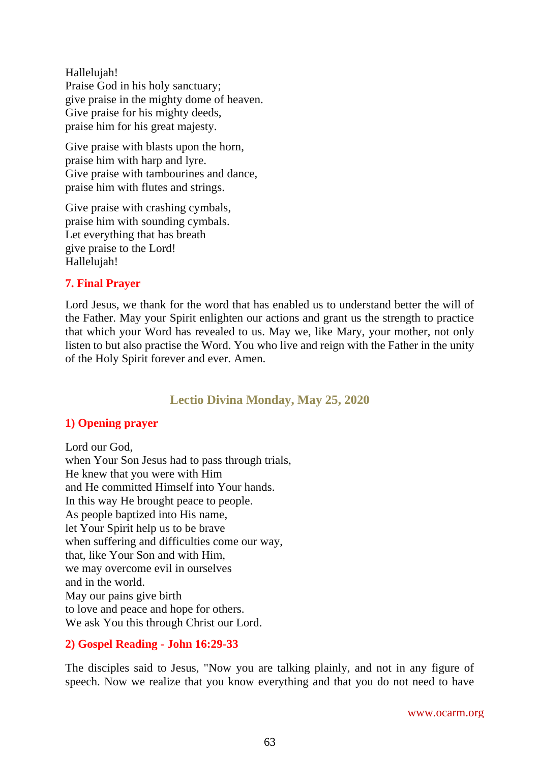Hallelujah! Praise God in his holy sanctuary; give praise in the mighty dome of heaven. Give praise for his mighty deeds, praise him for his great majesty.

Give praise with blasts upon the horn, praise him with harp and lyre. Give praise with tambourines and dance, praise him with flutes and strings.

Give praise with crashing cymbals, praise him with sounding cymbals. Let everything that has breath give praise to the Lord! Hallelujah!

## **7. Final Prayer**

Lord Jesus, we thank for the word that has enabled us to understand better the will of the Father. May your Spirit enlighten our actions and grant us the strength to practice that which your Word has revealed to us. May we, like Mary, your mother, not only listen to but also practise the Word. You who live and reign with the Father in the unity of the Holy Spirit forever and ever. Amen.

# **Lectio Divina Monday, May 25, 2020**

## **1) Opening prayer**

Lord our God, when Your Son Jesus had to pass through trials, He knew that you were with Him and He committed Himself into Your hands. In this way He brought peace to people. As people baptized into His name, let Your Spirit help us to be brave when suffering and difficulties come our way, that, like Your Son and with Him, we may overcome evil in ourselves and in the world. May our pains give birth to love and peace and hope for others. We ask You this through Christ our Lord.

## **2) Gospel Reading - John 16:29-33**

The disciples said to Jesus, "Now you are talking plainly, and not in any figure of speech. Now we realize that you know everything and that you do not need to have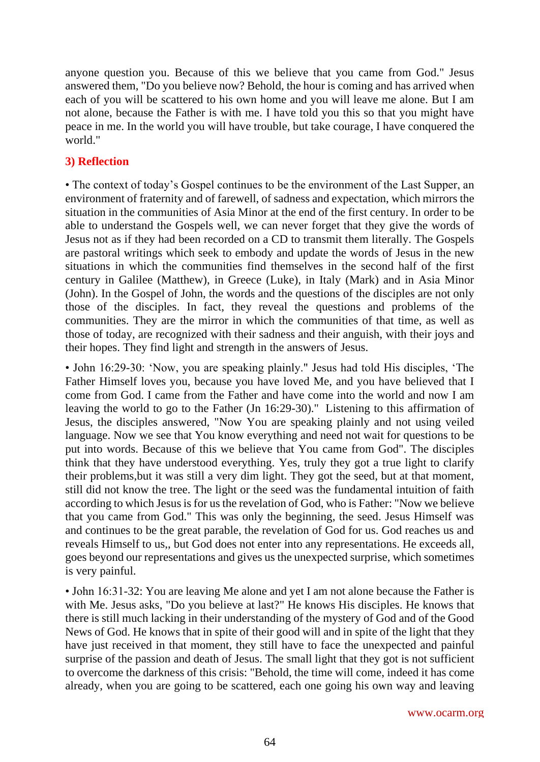anyone question you. Because of this we believe that you came from God." Jesus answered them, "Do you believe now? Behold, the hour is coming and has arrived when each of you will be scattered to his own home and you will leave me alone. But I am not alone, because the Father is with me. I have told you this so that you might have peace in me. In the world you will have trouble, but take courage, I have conquered the world."

### **3) Reflection**

• The context of today's Gospel continues to be the environment of the Last Supper, an environment of fraternity and of farewell, of sadness and expectation, which mirrors the situation in the communities of Asia Minor at the end of the first century. In order to be able to understand the Gospels well, we can never forget that they give the words of Jesus not as if they had been recorded on a CD to transmit them literally. The Gospels are pastoral writings which seek to embody and update the words of Jesus in the new situations in which the communities find themselves in the second half of the first century in Galilee (Matthew), in Greece (Luke), in Italy (Mark) and in Asia Minor (John). In the Gospel of John, the words and the questions of the disciples are not only those of the disciples. In fact, they reveal the questions and problems of the communities. They are the mirror in which the communities of that time, as well as those of today, are recognized with their sadness and their anguish, with their joys and their hopes. They find light and strength in the answers of Jesus.

• John 16:29-30: 'Now, you are speaking plainly." Jesus had told His disciples, 'The Father Himself loves you, because you have loved Me, and you have believed that I come from God. I came from the Father and have come into the world and now I am leaving the world to go to the Father (Jn 16:29-30)." Listening to this affirmation of Jesus, the disciples answered, "Now You are speaking plainly and not using veiled language. Now we see that You know everything and need not wait for questions to be put into words. Because of this we believe that You came from God". The disciples think that they have understood everything. Yes, truly they got a true light to clarify their problems,but it was still a very dim light. They got the seed, but at that moment, still did not know the tree. The light or the seed was the fundamental intuition of faith according to which Jesus is for us the revelation of God, who is Father: "Now we believe that you came from God." This was only the beginning, the seed. Jesus Himself was and continues to be the great parable, the revelation of God for us. God reaches us and reveals Himself to us,, but God does not enter into any representations. He exceeds all, goes beyond our representations and gives us the unexpected surprise, which sometimes is very painful.

• John 16:31-32: You are leaving Me alone and yet I am not alone because the Father is with Me. Jesus asks, "Do you believe at last?" He knows His disciples. He knows that there is still much lacking in their understanding of the mystery of God and of the Good News of God. He knows that in spite of their good will and in spite of the light that they have just received in that moment, they still have to face the unexpected and painful surprise of the passion and death of Jesus. The small light that they got is not sufficient to overcome the darkness of this crisis: "Behold, the time will come, indeed it has come already, when you are going to be scattered, each one going his own way and leaving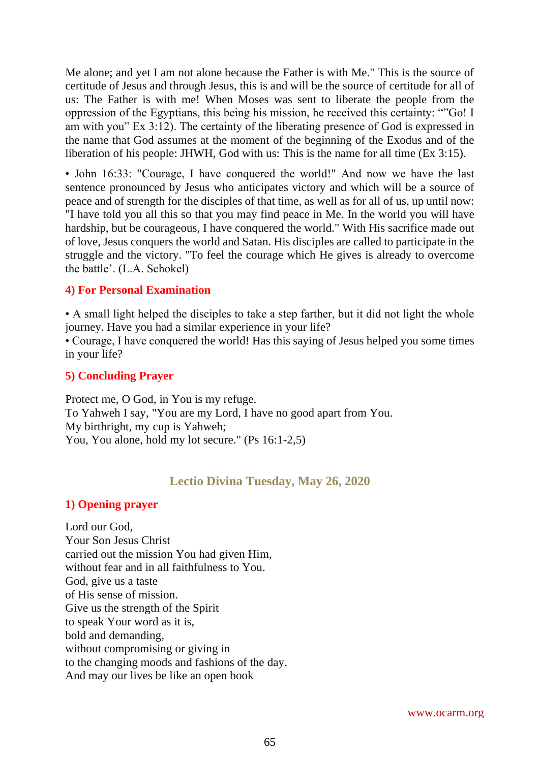Me alone; and yet I am not alone because the Father is with Me." This is the source of certitude of Jesus and through Jesus, this is and will be the source of certitude for all of us: The Father is with me! When Moses was sent to liberate the people from the oppression of the Egyptians, this being his mission, he received this certainty: ""Go! I am with you" Ex 3:12). The certainty of the liberating presence of God is expressed in the name that God assumes at the moment of the beginning of the Exodus and of the liberation of his people: JHWH, God with us: This is the name for all time (Ex 3:15).

• John 16:33: "Courage, I have conquered the world!" And now we have the last sentence pronounced by Jesus who anticipates victory and which will be a source of peace and of strength for the disciples of that time, as well as for all of us, up until now: "I have told you all this so that you may find peace in Me. In the world you will have hardship, but be courageous, I have conquered the world." With His sacrifice made out of love, Jesus conquers the world and Satan. His disciples are called to participate in the struggle and the victory. "To feel the courage which He gives is already to overcome the battle'. (L.A. Schokel)

#### **4) For Personal Examination**

• A small light helped the disciples to take a step farther, but it did not light the whole journey. Have you had a similar experience in your life?

• Courage, I have conquered the world! Has this saying of Jesus helped you some times in your life?

### **5) Concluding Prayer**

Protect me, O God, in You is my refuge. To Yahweh I say, "You are my Lord, I have no good apart from You. My birthright, my cup is Yahweh; You, You alone, hold my lot secure." (Ps 16:1-2,5)

## **Lectio Divina Tuesday, May 26, 2020**

#### **1) Opening prayer**

Lord our God, Your Son Jesus Christ carried out the mission You had given Him, without fear and in all faithfulness to You. God, give us a taste of His sense of mission. Give us the strength of the Spirit to speak Your word as it is, bold and demanding, without compromising or giving in to the changing moods and fashions of the day. And may our lives be like an open book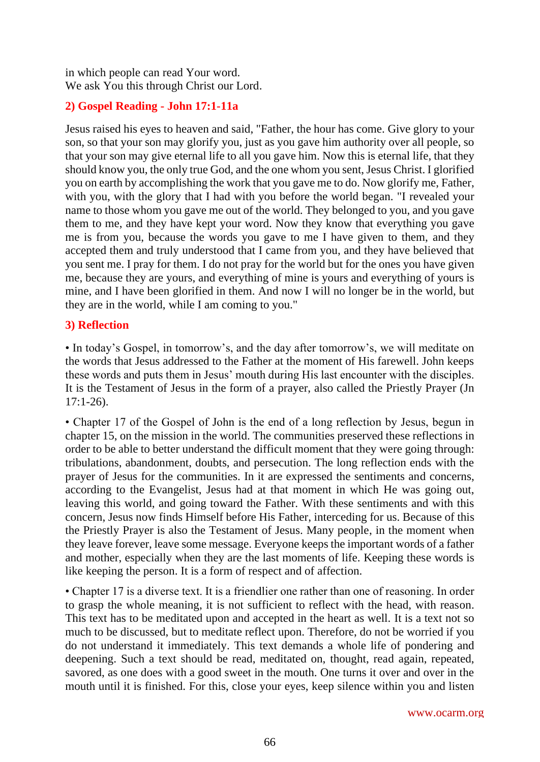in which people can read Your word. We ask You this through Christ our Lord.

# **2) Gospel Reading - John 17:1-11a**

Jesus raised his eyes to heaven and said, "Father, the hour has come. Give glory to your son, so that your son may glorify you, just as you gave him authority over all people, so that your son may give eternal life to all you gave him. Now this is eternal life, that they should know you, the only true God, and the one whom you sent, Jesus Christ. I glorified you on earth by accomplishing the work that you gave me to do. Now glorify me, Father, with you, with the glory that I had with you before the world began. "I revealed your name to those whom you gave me out of the world. They belonged to you, and you gave them to me, and they have kept your word. Now they know that everything you gave me is from you, because the words you gave to me I have given to them, and they accepted them and truly understood that I came from you, and they have believed that you sent me. I pray for them. I do not pray for the world but for the ones you have given me, because they are yours, and everything of mine is yours and everything of yours is mine, and I have been glorified in them. And now I will no longer be in the world, but they are in the world, while I am coming to you."

# **3) Reflection**

• In today's Gospel, in tomorrow's, and the day after tomorrow's, we will meditate on the words that Jesus addressed to the Father at the moment of His farewell. John keeps these words and puts them in Jesus' mouth during His last encounter with the disciples. It is the Testament of Jesus in the form of a prayer, also called the Priestly Prayer (Jn 17:1-26).

• Chapter 17 of the Gospel of John is the end of a long reflection by Jesus, begun in chapter 15, on the mission in the world. The communities preserved these reflections in order to be able to better understand the difficult moment that they were going through: tribulations, abandonment, doubts, and persecution. The long reflection ends with the prayer of Jesus for the communities. In it are expressed the sentiments and concerns, according to the Evangelist, Jesus had at that moment in which He was going out, leaving this world, and going toward the Father. With these sentiments and with this concern, Jesus now finds Himself before His Father, interceding for us. Because of this the Priestly Prayer is also the Testament of Jesus. Many people, in the moment when they leave forever, leave some message. Everyone keeps the important words of a father and mother, especially when they are the last moments of life. Keeping these words is like keeping the person. It is a form of respect and of affection.

• Chapter 17 is a diverse text. It is a friendlier one rather than one of reasoning. In order to grasp the whole meaning, it is not sufficient to reflect with the head, with reason. This text has to be meditated upon and accepted in the heart as well. It is a text not so much to be discussed, but to meditate reflect upon. Therefore, do not be worried if you do not understand it immediately. This text demands a whole life of pondering and deepening. Such a text should be read, meditated on, thought, read again, repeated, savored, as one does with a good sweet in the mouth. One turns it over and over in the mouth until it is finished. For this, close your eyes, keep silence within you and listen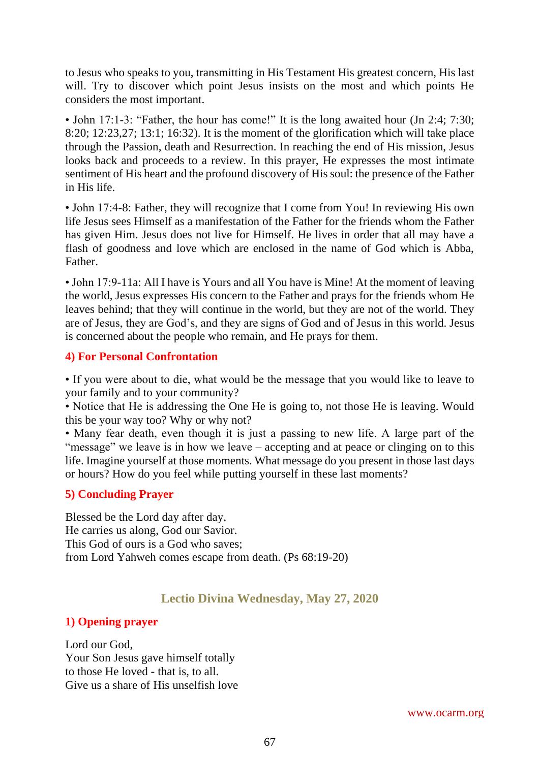to Jesus who speaks to you, transmitting in His Testament His greatest concern, His last will. Try to discover which point Jesus insists on the most and which points He considers the most important.

• John 17:1-3: "Father, the hour has come!" It is the long awaited hour (Jn 2:4; 7:30; 8:20; 12:23,27; 13:1; 16:32). It is the moment of the glorification which will take place through the Passion, death and Resurrection. In reaching the end of His mission, Jesus looks back and proceeds to a review. In this prayer, He expresses the most intimate sentiment of His heart and the profound discovery of His soul: the presence of the Father in His life.

• John 17:4-8: Father, they will recognize that I come from You! In reviewing His own life Jesus sees Himself as a manifestation of the Father for the friends whom the Father has given Him. Jesus does not live for Himself. He lives in order that all may have a flash of goodness and love which are enclosed in the name of God which is Abba, Father.

• John 17:9-11a: All I have is Yours and all You have is Mine! At the moment of leaving the world, Jesus expresses His concern to the Father and prays for the friends whom He leaves behind; that they will continue in the world, but they are not of the world. They are of Jesus, they are God's, and they are signs of God and of Jesus in this world. Jesus is concerned about the people who remain, and He prays for them.

## **4) For Personal Confrontation**

• If you were about to die, what would be the message that you would like to leave to your family and to your community?

• Notice that He is addressing the One He is going to, not those He is leaving. Would this be your way too? Why or why not?

• Many fear death, even though it is just a passing to new life. A large part of the "message" we leave is in how we leave – accepting and at peace or clinging on to this life. Imagine yourself at those moments. What message do you present in those last days or hours? How do you feel while putting yourself in these last moments?

## **5) Concluding Prayer**

Blessed be the Lord day after day, He carries us along, God our Savior. This God of ours is a God who saves; from Lord Yahweh comes escape from death. (Ps 68:19-20)

# **Lectio Divina Wednesday, May 27, 2020**

# **1) Opening prayer**

Lord our God, Your Son Jesus gave himself totally to those He loved - that is, to all. Give us a share of His unselfish love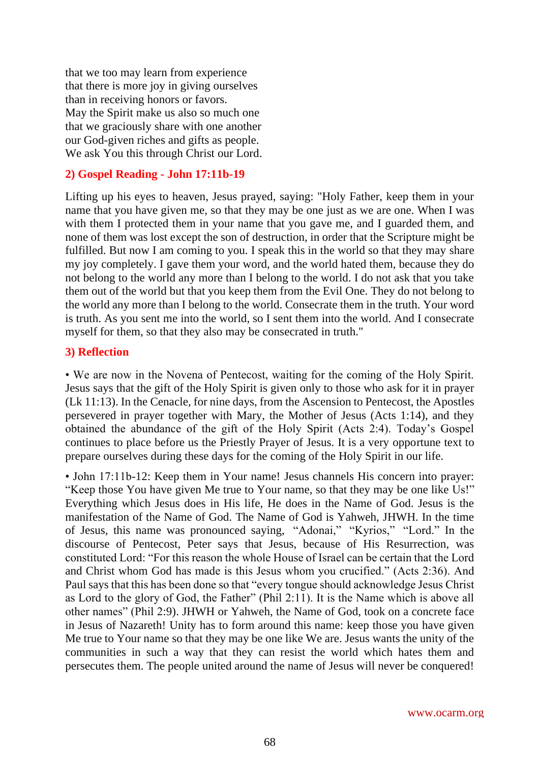that we too may learn from experience that there is more joy in giving ourselves than in receiving honors or favors. May the Spirit make us also so much one that we graciously share with one another our God-given riches and gifts as people. We ask You this through Christ our Lord.

### **2) Gospel Reading - John 17:11b-19**

Lifting up his eyes to heaven, Jesus prayed, saying: "Holy Father, keep them in your name that you have given me, so that they may be one just as we are one. When I was with them I protected them in your name that you gave me, and I guarded them, and none of them was lost except the son of destruction, in order that the Scripture might be fulfilled. But now I am coming to you. I speak this in the world so that they may share my joy completely. I gave them your word, and the world hated them, because they do not belong to the world any more than I belong to the world. I do not ask that you take them out of the world but that you keep them from the Evil One. They do not belong to the world any more than I belong to the world. Consecrate them in the truth. Your word is truth. As you sent me into the world, so I sent them into the world. And I consecrate myself for them, so that they also may be consecrated in truth."

#### **3) Reflection**

• We are now in the Novena of Pentecost, waiting for the coming of the Holy Spirit. Jesus says that the gift of the Holy Spirit is given only to those who ask for it in prayer (Lk 11:13). In the Cenacle, for nine days, from the Ascension to Pentecost, the Apostles persevered in prayer together with Mary, the Mother of Jesus (Acts 1:14), and they obtained the abundance of the gift of the Holy Spirit (Acts 2:4). Today's Gospel continues to place before us the Priestly Prayer of Jesus. It is a very opportune text to prepare ourselves during these days for the coming of the Holy Spirit in our life.

• John 17:11b-12: Keep them in Your name! Jesus channels His concern into prayer: "Keep those You have given Me true to Your name, so that they may be one like Us!" Everything which Jesus does in His life, He does in the Name of God. Jesus is the manifestation of the Name of God. The Name of God is Yahweh, JHWH. In the time of Jesus, this name was pronounced saying, "Adonai," "Kyrios," "Lord." In the discourse of Pentecost, Peter says that Jesus, because of His Resurrection, was constituted Lord: "For this reason the whole House of Israel can be certain that the Lord and Christ whom God has made is this Jesus whom you crucified." (Acts 2:36). And Paul says that this has been done so that "every tongue should acknowledge Jesus Christ as Lord to the glory of God, the Father" (Phil 2:11). It is the Name which is above all other names" (Phil 2:9). JHWH or Yahweh, the Name of God, took on a concrete face in Jesus of Nazareth! Unity has to form around this name: keep those you have given Me true to Your name so that they may be one like We are. Jesus wants the unity of the communities in such a way that they can resist the world which hates them and persecutes them. The people united around the name of Jesus will never be conquered!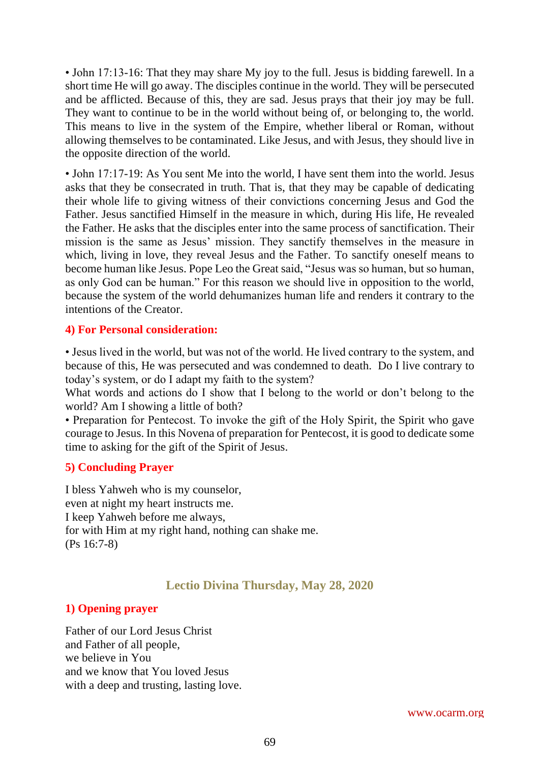• John 17:13-16: That they may share My joy to the full. Jesus is bidding farewell. In a short time He will go away. The disciples continue in the world. They will be persecuted and be afflicted. Because of this, they are sad. Jesus prays that their joy may be full. They want to continue to be in the world without being of, or belonging to, the world. This means to live in the system of the Empire, whether liberal or Roman, without allowing themselves to be contaminated. Like Jesus, and with Jesus, they should live in the opposite direction of the world.

• John 17:17-19: As You sent Me into the world, I have sent them into the world. Jesus asks that they be consecrated in truth. That is, that they may be capable of dedicating their whole life to giving witness of their convictions concerning Jesus and God the Father. Jesus sanctified Himself in the measure in which, during His life, He revealed the Father. He asks that the disciples enter into the same process of sanctification. Their mission is the same as Jesus' mission. They sanctify themselves in the measure in which, living in love, they reveal Jesus and the Father. To sanctify oneself means to become human like Jesus. Pope Leo the Great said, "Jesus was so human, but so human, as only God can be human." For this reason we should live in opposition to the world, because the system of the world dehumanizes human life and renders it contrary to the intentions of the Creator.

## **4) For Personal consideration:**

• Jesus lived in the world, but was not of the world. He lived contrary to the system, and because of this, He was persecuted and was condemned to death. Do I live contrary to today's system, or do I adapt my faith to the system?

What words and actions do I show that I belong to the world or don't belong to the world? Am I showing a little of both?

• Preparation for Pentecost. To invoke the gift of the Holy Spirit, the Spirit who gave courage to Jesus. In this Novena of preparation for Pentecost, it is good to dedicate some time to asking for the gift of the Spirit of Jesus.

## **5) Concluding Prayer**

I bless Yahweh who is my counselor, even at night my heart instructs me. I keep Yahweh before me always, for with Him at my right hand, nothing can shake me. (Ps 16:7-8)

# **Lectio Divina Thursday, May 28, 2020**

## **1) Opening prayer**

Father of our Lord Jesus Christ and Father of all people, we believe in You and we know that You loved Jesus with a deep and trusting, lasting love.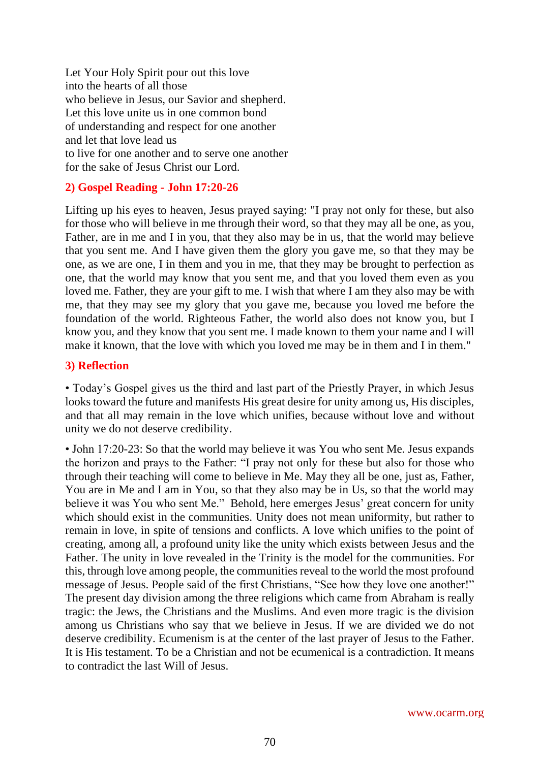Let Your Holy Spirit pour out this love into the hearts of all those who believe in Jesus, our Savior and shepherd. Let this love unite us in one common bond of understanding and respect for one another and let that love lead us to live for one another and to serve one another for the sake of Jesus Christ our Lord.

## **2) Gospel Reading - John 17:20-26**

Lifting up his eyes to heaven, Jesus prayed saying: "I pray not only for these, but also for those who will believe in me through their word, so that they may all be one, as you, Father, are in me and I in you, that they also may be in us, that the world may believe that you sent me. And I have given them the glory you gave me, so that they may be one, as we are one, I in them and you in me, that they may be brought to perfection as one, that the world may know that you sent me, and that you loved them even as you loved me. Father, they are your gift to me. I wish that where I am they also may be with me, that they may see my glory that you gave me, because you loved me before the foundation of the world. Righteous Father, the world also does not know you, but I know you, and they know that you sent me. I made known to them your name and I will make it known, that the love with which you loved me may be in them and I in them."

## **3) Reflection**

• Today's Gospel gives us the third and last part of the Priestly Prayer, in which Jesus looks toward the future and manifests His great desire for unity among us, His disciples, and that all may remain in the love which unifies, because without love and without unity we do not deserve credibility.

• John 17:20-23: So that the world may believe it was You who sent Me. Jesus expands the horizon and prays to the Father: "I pray not only for these but also for those who through their teaching will come to believe in Me. May they all be one, just as, Father, You are in Me and I am in You, so that they also may be in Us, so that the world may believe it was You who sent Me." Behold, here emerges Jesus' great concern for unity which should exist in the communities. Unity does not mean uniformity, but rather to remain in love, in spite of tensions and conflicts. A love which unifies to the point of creating, among all, a profound unity like the unity which exists between Jesus and the Father. The unity in love revealed in the Trinity is the model for the communities. For this, through love among people, the communities reveal to the world the most profound message of Jesus. People said of the first Christians, "See how they love one another!" The present day division among the three religions which came from Abraham is really tragic: the Jews, the Christians and the Muslims. And even more tragic is the division among us Christians who say that we believe in Jesus. If we are divided we do not deserve credibility. Ecumenism is at the center of the last prayer of Jesus to the Father. It is His testament. To be a Christian and not be ecumenical is a contradiction. It means to contradict the last Will of Jesus.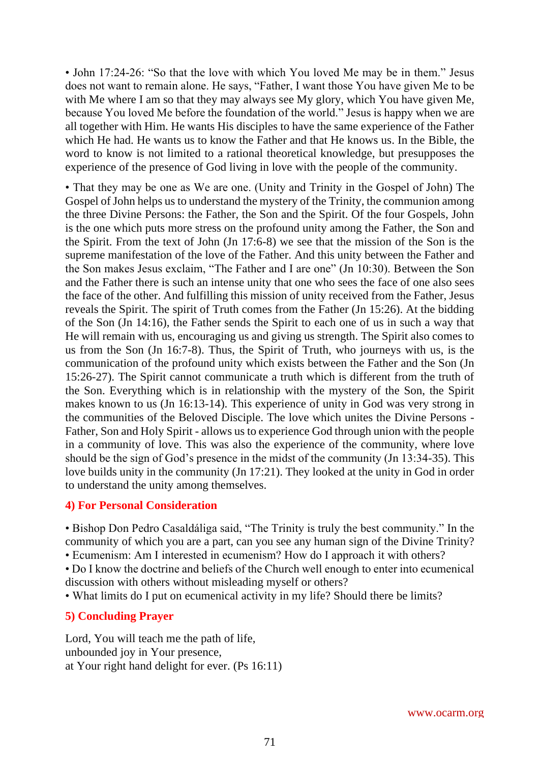• John 17:24-26: "So that the love with which You loved Me may be in them." Jesus does not want to remain alone. He says, "Father, I want those You have given Me to be with Me where I am so that they may always see My glory, which You have given Me, because You loved Me before the foundation of the world." Jesus is happy when we are all together with Him. He wants His disciples to have the same experience of the Father which He had. He wants us to know the Father and that He knows us. In the Bible, the word to know is not limited to a rational theoretical knowledge, but presupposes the experience of the presence of God living in love with the people of the community.

• That they may be one as We are one. (Unity and Trinity in the Gospel of John) The Gospel of John helps us to understand the mystery of the Trinity, the communion among the three Divine Persons: the Father, the Son and the Spirit. Of the four Gospels, John is the one which puts more stress on the profound unity among the Father, the Son and the Spirit. From the text of John (Jn 17:6-8) we see that the mission of the Son is the supreme manifestation of the love of the Father. And this unity between the Father and the Son makes Jesus exclaim, "The Father and I are one" (Jn 10:30). Between the Son and the Father there is such an intense unity that one who sees the face of one also sees the face of the other. And fulfilling this mission of unity received from the Father, Jesus reveals the Spirit. The spirit of Truth comes from the Father (Jn 15:26). At the bidding of the Son (Jn 14:16), the Father sends the Spirit to each one of us in such a way that He will remain with us, encouraging us and giving us strength. The Spirit also comes to us from the Son (Jn 16:7-8). Thus, the Spirit of Truth, who journeys with us, is the communication of the profound unity which exists between the Father and the Son (Jn 15:26-27). The Spirit cannot communicate a truth which is different from the truth of the Son. Everything which is in relationship with the mystery of the Son, the Spirit makes known to us (Jn 16:13-14). This experience of unity in God was very strong in the communities of the Beloved Disciple. The love which unites the Divine Persons - Father, Son and Holy Spirit - allows us to experience God through union with the people in a community of love. This was also the experience of the community, where love should be the sign of God's presence in the midst of the community (Jn 13:34-35). This love builds unity in the community (Jn 17:21). They looked at the unity in God in order to understand the unity among themselves.

## **4) For Personal Consideration**

• Bishop Don Pedro Casaldáliga said, "The Trinity is truly the best community." In the community of which you are a part, can you see any human sign of the Divine Trinity?

• Ecumenism: Am I interested in ecumenism? How do I approach it with others?

• Do I know the doctrine and beliefs of the Church well enough to enter into ecumenical discussion with others without misleading myself or others?

• What limits do I put on ecumenical activity in my life? Should there be limits?

#### **5) Concluding Prayer**

Lord, You will teach me the path of life, unbounded joy in Your presence, at Your right hand delight for ever. (Ps 16:11)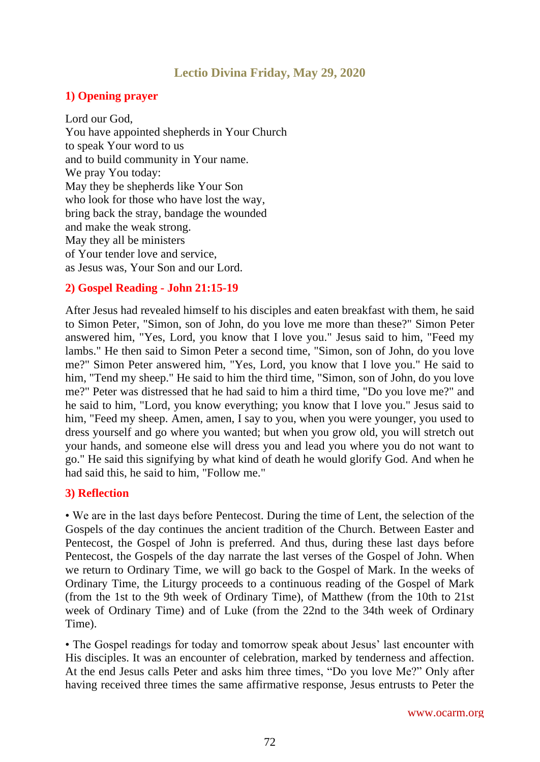## **Lectio Divina Friday, May 29, 2020**

### **1) Opening prayer**

Lord our God, You have appointed shepherds in Your Church to speak Your word to us and to build community in Your name. We pray You today: May they be shepherds like Your Son who look for those who have lost the way, bring back the stray, bandage the wounded and make the weak strong. May they all be ministers of Your tender love and service, as Jesus was, Your Son and our Lord.

#### **2) Gospel Reading - John 21:15-19**

After Jesus had revealed himself to his disciples and eaten breakfast with them, he said to Simon Peter, "Simon, son of John, do you love me more than these?" Simon Peter answered him, "Yes, Lord, you know that I love you." Jesus said to him, "Feed my lambs." He then said to Simon Peter a second time, "Simon, son of John, do you love me?" Simon Peter answered him, "Yes, Lord, you know that I love you." He said to him, "Tend my sheep." He said to him the third time, "Simon, son of John, do you love me?" Peter was distressed that he had said to him a third time, "Do you love me?" and he said to him, "Lord, you know everything; you know that I love you." Jesus said to him, "Feed my sheep. Amen, amen, I say to you, when you were younger, you used to dress yourself and go where you wanted; but when you grow old, you will stretch out your hands, and someone else will dress you and lead you where you do not want to go." He said this signifying by what kind of death he would glorify God. And when he had said this, he said to him, "Follow me."

#### **3) Reflection**

• We are in the last days before Pentecost. During the time of Lent, the selection of the Gospels of the day continues the ancient tradition of the Church. Between Easter and Pentecost, the Gospel of John is preferred. And thus, during these last days before Pentecost, the Gospels of the day narrate the last verses of the Gospel of John. When we return to Ordinary Time, we will go back to the Gospel of Mark. In the weeks of Ordinary Time, the Liturgy proceeds to a continuous reading of the Gospel of Mark (from the 1st to the 9th week of Ordinary Time), of Matthew (from the 10th to 21st week of Ordinary Time) and of Luke (from the 22nd to the 34th week of Ordinary Time).

• The Gospel readings for today and tomorrow speak about Jesus' last encounter with His disciples. It was an encounter of celebration, marked by tenderness and affection. At the end Jesus calls Peter and asks him three times, "Do you love Me?" Only after having received three times the same affirmative response, Jesus entrusts to Peter the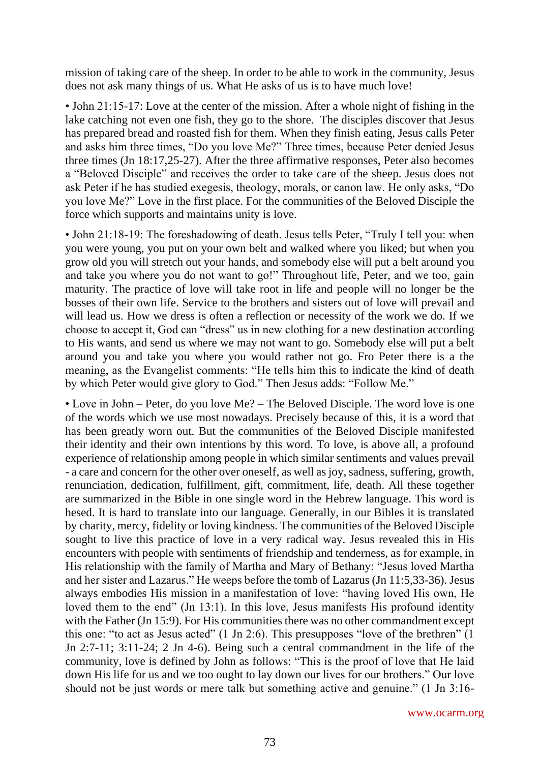mission of taking care of the sheep. In order to be able to work in the community, Jesus does not ask many things of us. What He asks of us is to have much love!

• John 21:15-17: Love at the center of the mission. After a whole night of fishing in the lake catching not even one fish, they go to the shore. The disciples discover that Jesus has prepared bread and roasted fish for them. When they finish eating, Jesus calls Peter and asks him three times, "Do you love Me?" Three times, because Peter denied Jesus three times (Jn 18:17,25-27). After the three affirmative responses, Peter also becomes a "Beloved Disciple" and receives the order to take care of the sheep. Jesus does not ask Peter if he has studied exegesis, theology, morals, or canon law. He only asks, "Do you love Me?" Love in the first place. For the communities of the Beloved Disciple the force which supports and maintains unity is love.

• John 21:18-19: The foreshadowing of death. Jesus tells Peter, "Truly I tell you: when you were young, you put on your own belt and walked where you liked; but when you grow old you will stretch out your hands, and somebody else will put a belt around you and take you where you do not want to go!" Throughout life, Peter, and we too, gain maturity. The practice of love will take root in life and people will no longer be the bosses of their own life. Service to the brothers and sisters out of love will prevail and will lead us. How we dress is often a reflection or necessity of the work we do. If we choose to accept it, God can "dress" us in new clothing for a new destination according to His wants, and send us where we may not want to go. Somebody else will put a belt around you and take you where you would rather not go. Fro Peter there is a the meaning, as the Evangelist comments: "He tells him this to indicate the kind of death by which Peter would give glory to God." Then Jesus adds: "Follow Me."

• Love in John – Peter, do you love Me? – The Beloved Disciple. The word love is one of the words which we use most nowadays. Precisely because of this, it is a word that has been greatly worn out. But the communities of the Beloved Disciple manifested their identity and their own intentions by this word. To love, is above all, a profound experience of relationship among people in which similar sentiments and values prevail - a care and concern for the other over oneself, as well as joy, sadness, suffering, growth, renunciation, dedication, fulfillment, gift, commitment, life, death. All these together are summarized in the Bible in one single word in the Hebrew language. This word is hesed. It is hard to translate into our language. Generally, in our Bibles it is translated by charity, mercy, fidelity or loving kindness. The communities of the Beloved Disciple sought to live this practice of love in a very radical way. Jesus revealed this in His encounters with people with sentiments of friendship and tenderness, as for example, in His relationship with the family of Martha and Mary of Bethany: "Jesus loved Martha and her sister and Lazarus." He weeps before the tomb of Lazarus (Jn 11:5,33-36). Jesus always embodies His mission in a manifestation of love: "having loved His own, He loved them to the end" (Jn 13:1). In this love, Jesus manifests His profound identity with the Father (Jn 15:9). For His communities there was no other commandment except this one: "to act as Jesus acted" (1 Jn 2:6). This presupposes "love of the brethren" (1 Jn 2:7-11; 3:11-24; 2 Jn 4-6). Being such a central commandment in the life of the community, love is defined by John as follows: "This is the proof of love that He laid down His life for us and we too ought to lay down our lives for our brothers." Our love should not be just words or mere talk but something active and genuine." (1 Jn 3:16-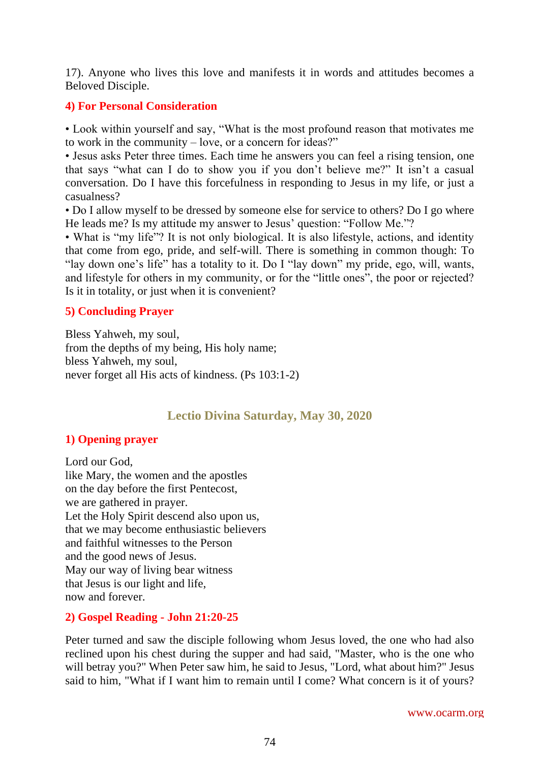17). Anyone who lives this love and manifests it in words and attitudes becomes a Beloved Disciple.

## **4) For Personal Consideration**

• Look within yourself and say, "What is the most profound reason that motivates me to work in the community – love, or a concern for ideas?"

• Jesus asks Peter three times. Each time he answers you can feel a rising tension, one that says "what can I do to show you if you don't believe me?" It isn't a casual conversation. Do I have this forcefulness in responding to Jesus in my life, or just a casualness?

• Do I allow myself to be dressed by someone else for service to others? Do I go where He leads me? Is my attitude my answer to Jesus' question: "Follow Me."?

• What is "my life"? It is not only biological. It is also lifestyle, actions, and identity that come from ego, pride, and self-will. There is something in common though: To "lay down one's life" has a totality to it. Do I "lay down" my pride, ego, will, wants, and lifestyle for others in my community, or for the "little ones", the poor or rejected? Is it in totality, or just when it is convenient?

## **5) Concluding Prayer**

Bless Yahweh, my soul, from the depths of my being, His holy name; bless Yahweh, my soul, never forget all His acts of kindness. (Ps 103:1-2)

## **Lectio Divina Saturday, May 30, 2020**

## **1) Opening prayer**

Lord our God, like Mary, the women and the apostles on the day before the first Pentecost, we are gathered in prayer. Let the Holy Spirit descend also upon us, that we may become enthusiastic believers and faithful witnesses to the Person and the good news of Jesus. May our way of living bear witness that Jesus is our light and life, now and forever.

## **2) Gospel Reading - John 21:20-25**

Peter turned and saw the disciple following whom Jesus loved, the one who had also reclined upon his chest during the supper and had said, "Master, who is the one who will betray you?" When Peter saw him, he said to Jesus, "Lord, what about him?" Jesus said to him, "What if I want him to remain until I come? What concern is it of yours?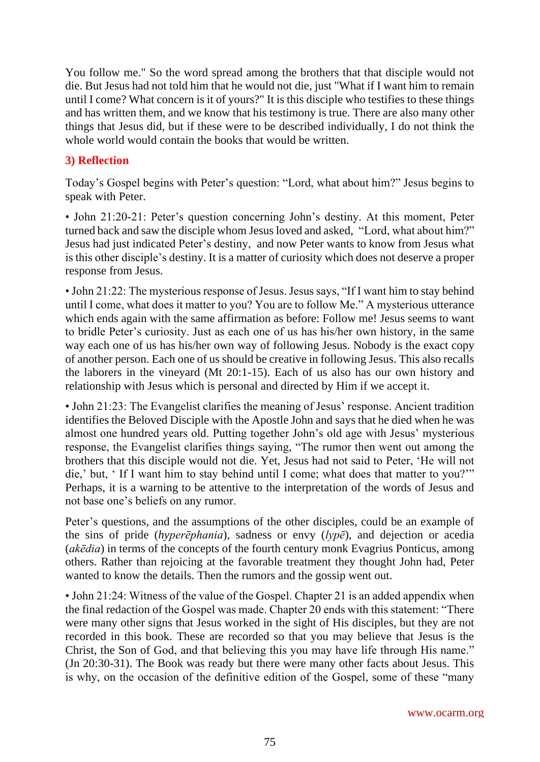You follow me." So the word spread among the brothers that that disciple would not die. But Jesus had not told him that he would not die, just "What if I want him to remain until I come? What concern is it of yours?" It is this disciple who testifies to these things and has written them, and we know that his testimony is true. There are also many other things that Jesus did, but if these were to be described individually, I do not think the whole world would contain the books that would be written.

## **3) Reflection**

Today's Gospel begins with Peter's question: "Lord, what about him?" Jesus begins to speak with Peter.

• John 21:20-21: Peter's question concerning John's destiny. At this moment, Peter turned back and saw the disciple whom Jesus loved and asked, "Lord, what about him?" Jesus had just indicated Peter's destiny, and now Peter wants to know from Jesus what is this other disciple's destiny. It is a matter of curiosity which does not deserve a proper response from Jesus.

• John 21:22: The mysterious response of Jesus. Jesus says, "If I want him to stay behind until I come, what does it matter to you? You are to follow Me." A mysterious utterance which ends again with the same affirmation as before: Follow me! Jesus seems to want to bridle Peter's curiosity. Just as each one of us has his/her own history, in the same way each one of us has his/her own way of following Jesus. Nobody is the exact copy of another person. Each one of us should be creative in following Jesus. This also recalls the laborers in the vineyard (Mt 20:1-15). Each of us also has our own history and relationship with Jesus which is personal and directed by Him if we accept it.

• John 21:23: The Evangelist clarifies the meaning of Jesus' response. Ancient tradition identifies the Beloved Disciple with the Apostle John and says that he died when he was almost one hundred years old. Putting together John's old age with Jesus' mysterious response, the Evangelist clarifies things saying, "The rumor then went out among the brothers that this disciple would not die. Yet, Jesus had not said to Peter, 'He will not die,' but, ' If I want him to stay behind until I come; what does that matter to you?'" Perhaps, it is a warning to be attentive to the interpretation of the words of Jesus and not base one's beliefs on any rumor.

Peter's questions, and the assumptions of the other disciples, could be an example of the sins of pride (*hyperēphania*), sadness or envy (*lypē*), and dejection or acedia (*akēdia*) in terms of the concepts of the fourth century monk Evagrius Ponticus, among others. Rather than rejoicing at the favorable treatment they thought John had, Peter wanted to know the details. Then the rumors and the gossip went out.

• John 21:24: Witness of the value of the Gospel. Chapter 21 is an added appendix when the final redaction of the Gospel was made. Chapter 20 ends with this statement: "There were many other signs that Jesus worked in the sight of His disciples, but they are not recorded in this book. These are recorded so that you may believe that Jesus is the Christ, the Son of God, and that believing this you may have life through His name." (Jn 20:30-31). The Book was ready but there were many other facts about Jesus. This is why, on the occasion of the definitive edition of the Gospel, some of these "many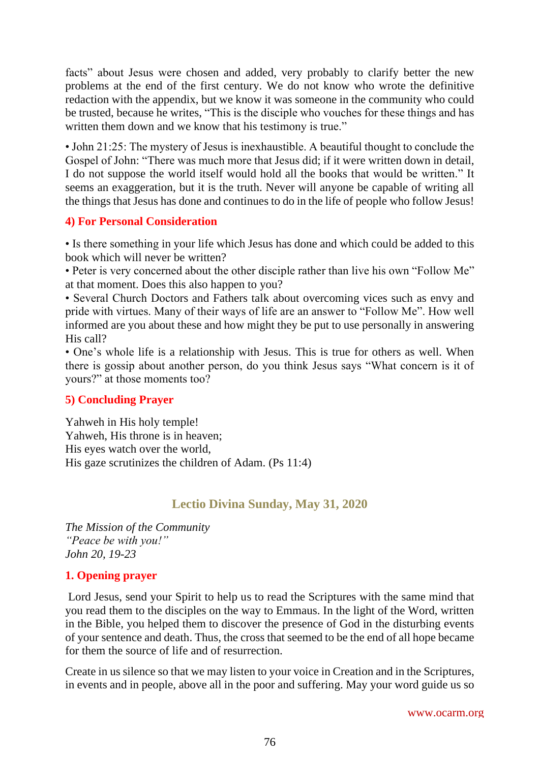facts" about Jesus were chosen and added, very probably to clarify better the new problems at the end of the first century. We do not know who wrote the definitive redaction with the appendix, but we know it was someone in the community who could be trusted, because he writes, "This is the disciple who vouches for these things and has written them down and we know that his testimony is true."

• John 21:25: The mystery of Jesus is inexhaustible. A beautiful thought to conclude the Gospel of John: "There was much more that Jesus did; if it were written down in detail, I do not suppose the world itself would hold all the books that would be written." It seems an exaggeration, but it is the truth. Never will anyone be capable of writing all the things that Jesus has done and continues to do in the life of people who follow Jesus!

## **4) For Personal Consideration**

• Is there something in your life which Jesus has done and which could be added to this book which will never be written?

• Peter is very concerned about the other disciple rather than live his own "Follow Me" at that moment. Does this also happen to you?

• Several Church Doctors and Fathers talk about overcoming vices such as envy and pride with virtues. Many of their ways of life are an answer to "Follow Me". How well informed are you about these and how might they be put to use personally in answering His call?

• One's whole life is a relationship with Jesus. This is true for others as well. When there is gossip about another person, do you think Jesus says "What concern is it of yours?" at those moments too?

## **5) Concluding Prayer**

Yahweh in His holy temple! Yahweh, His throne is in heaven; His eyes watch over the world, His gaze scrutinizes the children of Adam. (Ps 11:4)

# **Lectio Divina Sunday, May 31, 2020**

*The Mission of the Community "Peace be with you!" John 20, 19-23*

## **1. Opening prayer**

Lord Jesus, send your Spirit to help us to read the Scriptures with the same mind that you read them to the disciples on the way to Emmaus. In the light of the Word, written in the Bible, you helped them to discover the presence of God in the disturbing events of your sentence and death. Thus, the cross that seemed to be the end of all hope became for them the source of life and of resurrection.

Create in us silence so that we may listen to your voice in Creation and in the Scriptures, in events and in people, above all in the poor and suffering. May your word guide us so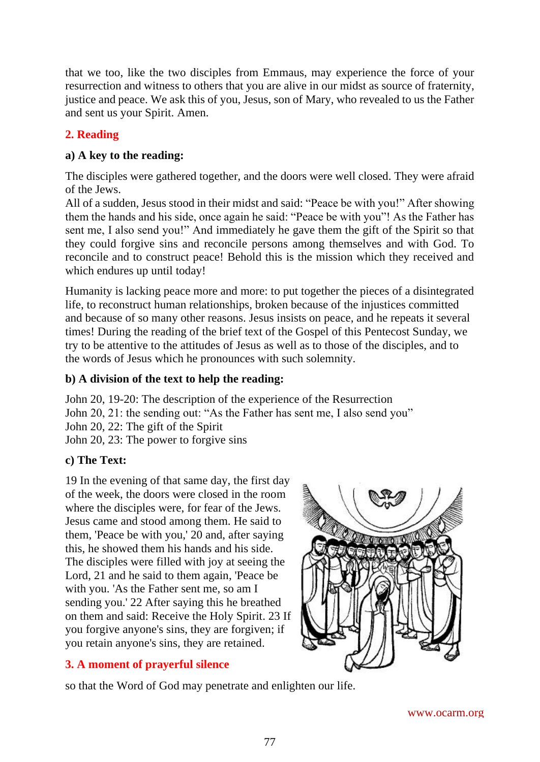that we too, like the two disciples from Emmaus, may experience the force of your resurrection and witness to others that you are alive in our midst as source of fraternity, justice and peace. We ask this of you, Jesus, son of Mary, who revealed to us the Father and sent us your Spirit. Amen.

# **2. Reading**

## **a) A key to the reading:**

The disciples were gathered together, and the doors were well closed. They were afraid of the Jews.

All of a sudden, Jesus stood in their midst and said: "Peace be with you!" After showing them the hands and his side, once again he said: "Peace be with you"! As the Father has sent me, I also send you!" And immediately he gave them the gift of the Spirit so that they could forgive sins and reconcile persons among themselves and with God. To reconcile and to construct peace! Behold this is the mission which they received and which endures up until today!

Humanity is lacking peace more and more: to put together the pieces of a disintegrated life, to reconstruct human relationships, broken because of the injustices committed and because of so many other reasons. Jesus insists on peace, and he repeats it several times! During the reading of the brief text of the Gospel of this Pentecost Sunday, we try to be attentive to the attitudes of Jesus as well as to those of the disciples, and to the words of Jesus which he pronounces with such solemnity.

## **b) A division of the text to help the reading:**

John 20, 19-20: The description of the experience of the Resurrection John 20, 21: the sending out: "As the Father has sent me, I also send you" John 20, 22: The gift of the Spirit John 20, 23: The power to forgive sins

# **c) The Text:**

19 In the evening of that same day, the first day of the week, the doors were closed in the room where the disciples were, for fear of the Jews. Jesus came and stood among them. He said to them, 'Peace be with you,' 20 and, after saying this, he showed them his hands and his side. The disciples were filled with joy at seeing the Lord, 21 and he said to them again, 'Peace be with you. 'As the Father sent me, so am I sending you.' 22 After saying this he breathed on them and said: Receive the Holy Spirit. 23 If you forgive anyone's sins, they are forgiven; if you retain anyone's sins, they are retained.





so that the Word of God may penetrate and enlighten our life.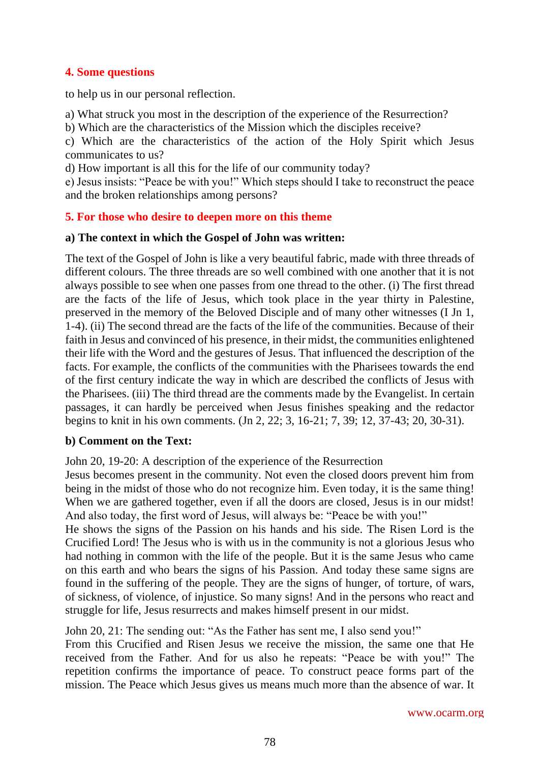## **4. Some questions**

to help us in our personal reflection.

a) What struck you most in the description of the experience of the Resurrection?

b) Which are the characteristics of the Mission which the disciples receive?

c) Which are the characteristics of the action of the Holy Spirit which Jesus communicates to us?

d) How important is all this for the life of our community today?

e) Jesus insists: "Peace be with you!" Which steps should I take to reconstruct the peace and the broken relationships among persons?

## **5. For those who desire to deepen more on this theme**

## **a) The context in which the Gospel of John was written:**

The text of the Gospel of John is like a very beautiful fabric, made with three threads of different colours. The three threads are so well combined with one another that it is not always possible to see when one passes from one thread to the other. (i) The first thread are the facts of the life of Jesus, which took place in the year thirty in Palestine, preserved in the memory of the Beloved Disciple and of many other witnesses (I Jn 1, 1-4). (ii) The second thread are the facts of the life of the communities. Because of their faith in Jesus and convinced of his presence, in their midst, the communities enlightened their life with the Word and the gestures of Jesus. That influenced the description of the facts. For example, the conflicts of the communities with the Pharisees towards the end of the first century indicate the way in which are described the conflicts of Jesus with the Pharisees. (iii) The third thread are the comments made by the Evangelist. In certain passages, it can hardly be perceived when Jesus finishes speaking and the redactor begins to knit in his own comments. (Jn 2, 22; 3, 16-21; 7, 39; 12, 37-43; 20, 30-31).

#### **b) Comment on the Text:**

John 20, 19-20: A description of the experience of the Resurrection

Jesus becomes present in the community. Not even the closed doors prevent him from being in the midst of those who do not recognize him. Even today, it is the same thing! When we are gathered together, even if all the doors are closed, Jesus is in our midst! And also today, the first word of Jesus, will always be: "Peace be with you!"

He shows the signs of the Passion on his hands and his side. The Risen Lord is the Crucified Lord! The Jesus who is with us in the community is not a glorious Jesus who had nothing in common with the life of the people. But it is the same Jesus who came on this earth and who bears the signs of his Passion. And today these same signs are found in the suffering of the people. They are the signs of hunger, of torture, of wars, of sickness, of violence, of injustice. So many signs! And in the persons who react and struggle for life, Jesus resurrects and makes himself present in our midst.

John 20, 21: The sending out: "As the Father has sent me, I also send you!"

From this Crucified and Risen Jesus we receive the mission, the same one that He received from the Father. And for us also he repeats: "Peace be with you!" The repetition confirms the importance of peace. To construct peace forms part of the mission. The Peace which Jesus gives us means much more than the absence of war. It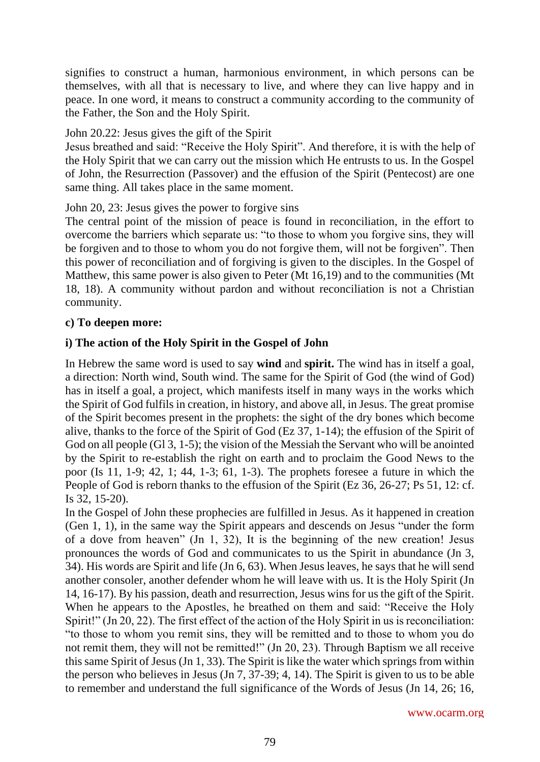signifies to construct a human, harmonious environment, in which persons can be themselves, with all that is necessary to live, and where they can live happy and in peace. In one word, it means to construct a community according to the community of the Father, the Son and the Holy Spirit.

## John 20.22: Jesus gives the gift of the Spirit

Jesus breathed and said: "Receive the Holy Spirit". And therefore, it is with the help of the Holy Spirit that we can carry out the mission which He entrusts to us. In the Gospel of John, the Resurrection (Passover) and the effusion of the Spirit (Pentecost) are one same thing. All takes place in the same moment.

#### John 20, 23: Jesus gives the power to forgive sins

The central point of the mission of peace is found in reconciliation, in the effort to overcome the barriers which separate us: "to those to whom you forgive sins, they will be forgiven and to those to whom you do not forgive them, will not be forgiven". Then this power of reconciliation and of forgiving is given to the disciples. In the Gospel of Matthew, this same power is also given to Peter (Mt 16,19) and to the communities (Mt 18, 18). A community without pardon and without reconciliation is not a Christian community.

#### **c) To deepen more:**

## **i) The action of the Holy Spirit in the Gospel of John**

In Hebrew the same word is used to say **wind** and **spirit.** The wind has in itself a goal, a direction: North wind, South wind. The same for the Spirit of God (the wind of God) has in itself a goal, a project, which manifests itself in many ways in the works which the Spirit of God fulfils in creation, in history, and above all, in Jesus. The great promise of the Spirit becomes present in the prophets: the sight of the dry bones which become alive, thanks to the force of the Spirit of God (Ez 37, 1-14); the effusion of the Spirit of God on all people (Gl 3, 1-5); the vision of the Messiah the Servant who will be anointed by the Spirit to re-establish the right on earth and to proclaim the Good News to the poor (Is 11, 1-9; 42, 1; 44, 1-3; 61, 1-3). The prophets foresee a future in which the People of God is reborn thanks to the effusion of the Spirit (Ez 36, 26-27; Ps 51, 12: cf. Is 32, 15-20).

In the Gospel of John these prophecies are fulfilled in Jesus. As it happened in creation (Gen 1, 1), in the same way the Spirit appears and descends on Jesus "under the form of a dove from heaven" (Jn 1, 32), It is the beginning of the new creation! Jesus pronounces the words of God and communicates to us the Spirit in abundance (Jn 3, 34). His words are Spirit and life (Jn 6, 63). When Jesus leaves, he says that he will send another consoler, another defender whom he will leave with us. It is the Holy Spirit (Jn 14, 16-17). By his passion, death and resurrection, Jesus wins for us the gift of the Spirit. When he appears to the Apostles, he breathed on them and said: "Receive the Holy Spirit!" (Jn 20, 22). The first effect of the action of the Holy Spirit in us is reconciliation: "to those to whom you remit sins, they will be remitted and to those to whom you do not remit them, they will not be remitted!" (Jn 20, 23). Through Baptism we all receive this same Spirit of Jesus (Jn 1, 33). The Spirit is like the water which springs from within the person who believes in Jesus (Jn 7, 37-39; 4, 14). The Spirit is given to us to be able to remember and understand the full significance of the Words of Jesus (Jn 14, 26; 16,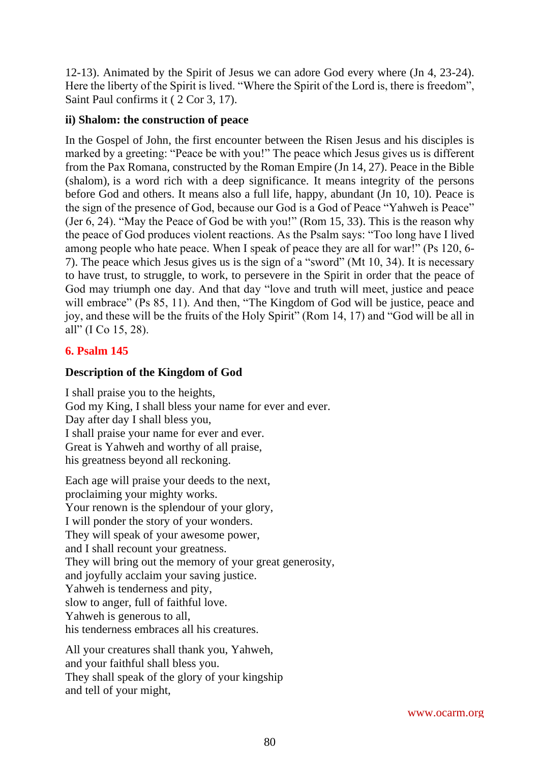12-13). Animated by the Spirit of Jesus we can adore God every where (Jn 4, 23-24). Here the liberty of the Spirit is lived. "Where the Spirit of the Lord is, there is freedom", Saint Paul confirms it ( 2 Cor 3, 17).

## **ii) Shalom: the construction of peace**

In the Gospel of John, the first encounter between the Risen Jesus and his disciples is marked by a greeting: "Peace be with you!" The peace which Jesus gives us is different from the Pax Romana, constructed by the Roman Empire (Jn 14, 27). Peace in the Bible (shalom), is a word rich with a deep significance. It means integrity of the persons before God and others. It means also a full life, happy, abundant (Jn 10, 10). Peace is the sign of the presence of God, because our God is a God of Peace "Yahweh is Peace" (Jer 6, 24). "May the Peace of God be with you!" (Rom 15, 33). This is the reason why the peace of God produces violent reactions. As the Psalm says: "Too long have I lived among people who hate peace. When I speak of peace they are all for war!" (Ps 120, 6- 7). The peace which Jesus gives us is the sign of a "sword" (Mt 10, 34). It is necessary to have trust, to struggle, to work, to persevere in the Spirit in order that the peace of God may triumph one day. And that day "love and truth will meet, justice and peace will embrace" (Ps 85, 11). And then, "The Kingdom of God will be justice, peace and joy, and these will be the fruits of the Holy Spirit" (Rom 14, 17) and "God will be all in all" (I Co 15, 28).

## **6. Psalm 145**

## **Description of the Kingdom of God**

I shall praise you to the heights, God my King, I shall bless your name for ever and ever. Day after day I shall bless you, I shall praise your name for ever and ever. Great is Yahweh and worthy of all praise, his greatness beyond all reckoning.

Each age will praise your deeds to the next, proclaiming your mighty works. Your renown is the splendour of your glory, I will ponder the story of your wonders. They will speak of your awesome power, and I shall recount your greatness. They will bring out the memory of your great generosity, and joyfully acclaim your saving justice. Yahweh is tenderness and pity, slow to anger, full of faithful love. Yahweh is generous to all, his tenderness embraces all his creatures.

All your creatures shall thank you, Yahweh, and your faithful shall bless you. They shall speak of the glory of your kingship and tell of your might,